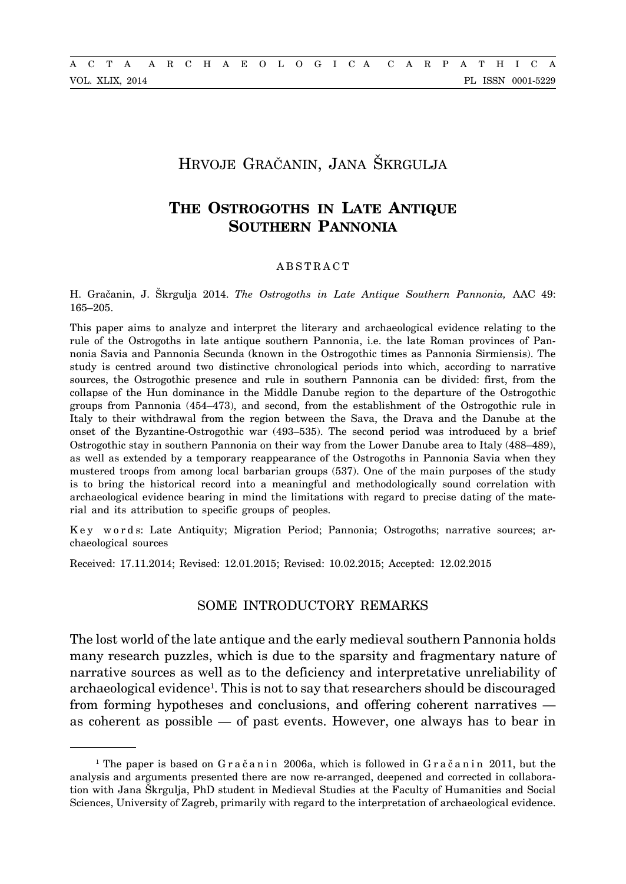# Hrvoje Gračanin, Jana Škrgulja

# **The Ostrogoths in Late Antique SOUTHERN PANNONIA**

### ABSTRACT

H. Gračanin, J. Škrgulja 2014. *The Ostrogoths in Late Antique Southern Pannonia,* AAC 49: 165–205.

This paper aims to analyze and interpret the literary and archaeological evidence relating to the rule of the Ostrogoths in late antique southern Pannonia, i.e. the late Roman provinces of Pannonia Savia and Pannonia Secunda (known in the Ostrogothic times as Pannonia Sirmiensis). The study is centred around two distinctive chronological periods into which, according to narrative sources, the Ostrogothic presence and rule in southern Pannonia can be divided: first, from the collapse of the Hun dominance in the Middle Danube region to the departure of the Ostrogothic groups from Pannonia (454–473), and second, from the establishment of the Ostrogothic rule in Italy to their withdrawal from the region between the Sava, the Drava and the Danube at the onset of the Byzantine-Ostrogothic war (493–535). The second period was introduced by a brief Ostrogothic stay in southern Pannonia on their way from the Lower Danube area to Italy (488–489), as well as extended by a temporary reappearance of the Ostrogoths in Pannonia Savia when they mustered troops from among local barbarian groups (537). One of the main purposes of the study is to bring the historical record into a meaningful and methodologically sound correlation with archaeological evidence bearing in mind the limitations with regard to precise dating of the material and its attribution to specific groups of peoples.

Key words: Late Antiquity; Migration Period; Pannonia; Ostrogoths; narrative sources; archaeological sources

Received: 17.11.2014; Revised: 12.01.2015; Revised: 10.02.2015; Accepted: 12.02.2015

# Some introductory remarks

The lost world of the late antique and the early medieval southern Pannonia holds many research puzzles, which is due to the sparsity and fragmentary nature of narrative sources as well as to the deficiency and interpretative unreliability of archaeological evidence<sup>1</sup>. This is not to say that researchers should be discouraged from forming hypotheses and conclusions, and offering coherent narratives as coherent as possible — of past events. However, one always has to bear in

<sup>&</sup>lt;sup>1</sup> The paper is based on  $G$ račanin 2006a, which is followed in  $G$ račanin 2011, but the analysis and arguments presented there are now re-arranged, deepened and corrected in collaboration with Jana Škrgulja, PhD student in Medieval Studies at the Faculty of Humanities and Social Sciences, University of Zagreb, primarily with regard to the interpretation of archaeological evidence.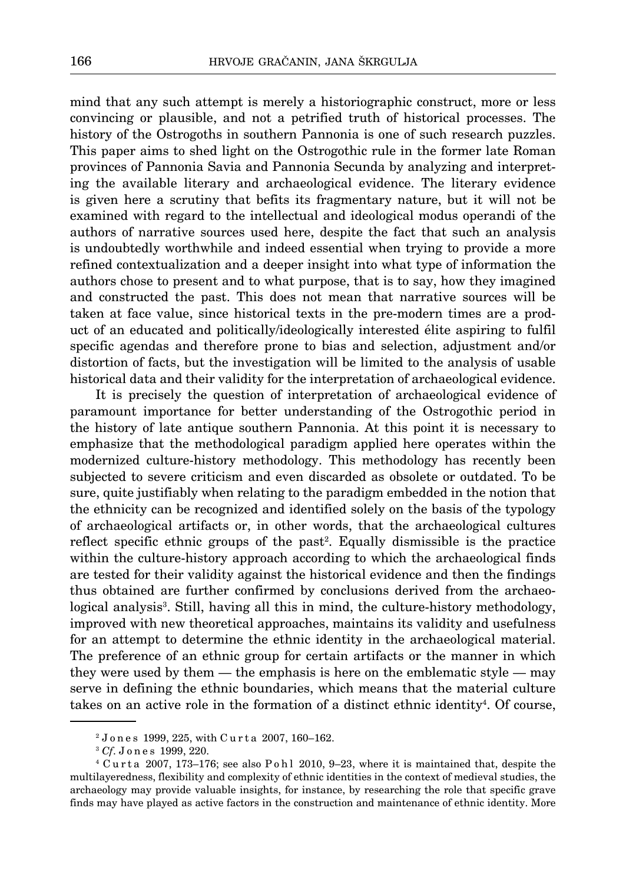mind that any such attempt is merely a historiographic construct, more or less convincing or plausible, and not a petrified truth of historical processes. The history of the Ostrogoths in southern Pannonia is one of such research puzzles. This paper aims to shed light on the Ostrogothic rule in the former late Roman provinces of Pannonia Savia and Pannonia Secunda by analyzing and interpreting the available literary and archaeological evidence. The literary evidence is given here a scrutiny that befits its fragmentary nature, but it will not be examined with regard to the intellectual and ideological modus operandi of the authors of narrative sources used here, despite the fact that such an analysis is undoubtedly worthwhile and indeed essential when trying to provide a more refined contextualization and a deeper insight into what type of information the authors chose to present and to what purpose, that is to say, how they imagined and constructed the past. This does not mean that narrative sources will be taken at face value, since historical texts in the pre-modern times are a product of an educated and politically/ideologically interested élite aspiring to fulfil specific agendas and therefore prone to bias and selection, adjustment and/or distortion of facts, but the investigation will be limited to the analysis of usable historical data and their validity for the interpretation of archaeological evidence.

It is precisely the question of interpretation of archaeological evidence of paramount importance for better understanding of the Ostrogothic period in the history of late antique southern Pannonia. At this point it is necessary to emphasize that the methodological paradigm applied here operates within the modernized culture-history methodology. This methodology has recently been subjected to severe criticism and even discarded as obsolete or outdated. To be sure, quite justifiably when relating to the paradigm embedded in the notion that the ethnicity can be recognized and identified solely on the basis of the typology of archaeological artifacts or, in other words, that the archaeological cultures reflect specific ethnic groups of the past<sup>2</sup>. Equally dismissible is the practice within the culture-history approach according to which the archaeological finds are tested for their validity against the historical evidence and then the findings thus obtained are further confirmed by conclusions derived from the archaeological analysis<sup>3</sup>. Still, having all this in mind, the culture-history methodology, improved with new theoretical approaches, maintains its validity and usefulness for an attempt to determine the ethnic identity in the archaeological material. The preference of an ethnic group for certain artifacts or the manner in which they were used by them — the emphasis is here on the emblematic style — may serve in defining the ethnic boundaries, which means that the material culture takes on an active role in the formation of a distinct ethnic identity<sup>4</sup>. Of course,

<sup>2</sup> J o n e s 1999, 225, with C u r t a 2007, 160–162.

<sup>3</sup> *Cf*. J o n e s 1999, 220.

 $4$  Curta 2007, 173–176; see also Pohl 2010, 9–23, where it is maintained that, despite the multilayeredness, flexibility and complexity of ethnic identities in the context of medieval studies, the archaeology may provide valuable insights, for instance, by researching the role that specific grave finds may have played as active factors in the construction and maintenance of ethnic identity. More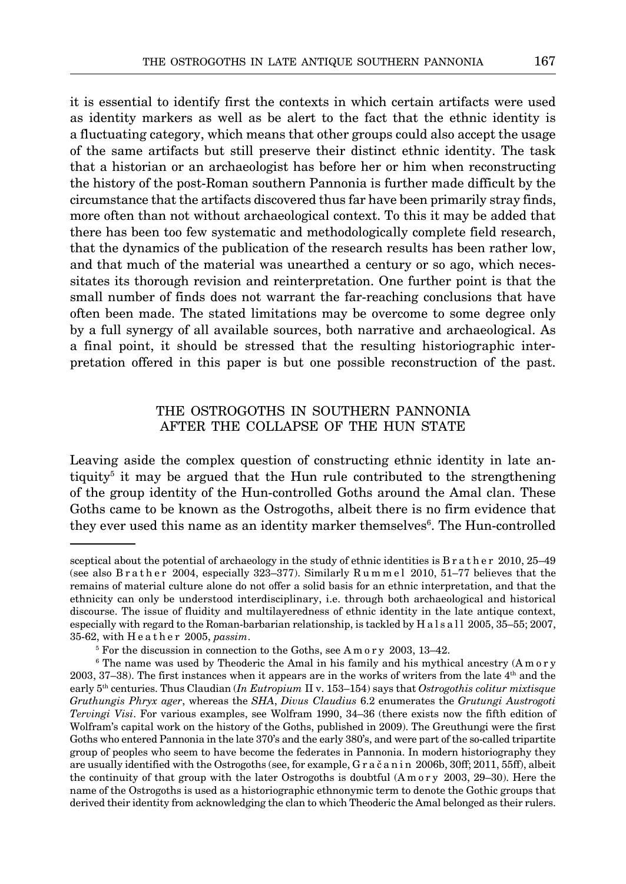it is essential to identify first the contexts in which certain artifacts were used as identity markers as well as be alert to the fact that the ethnic identity is a fluctuating category, which means that other groups could also accept the usage of the same artifacts but still preserve their distinct ethnic identity. The task that a historian or an archaeologist has before her or him when reconstructing the history of the post-Roman southern Pannonia is further made difficult by the circumstance that the artifacts discovered thus far have been primarily stray finds, more often than not without archaeological context. To this it may be added that there has been too few systematic and methodologically complete field research, that the dynamics of the publication of the research results has been rather low, and that much of the material was unearthed a century or so ago, which necessitates its thorough revision and reinterpretation. One further point is that the small number of finds does not warrant the far-reaching conclusions that have often been made. The stated limitations may be overcome to some degree only by a full synergy of all available sources, both narrative and archaeological. As a final point, it should be stressed that the resulting historiographic interpretation offered in this paper is but one possible reconstruction of the past.

# The Ostrogoths in southern Pannonia after the collapse of the Hun state

Leaving aside the complex question of constructing ethnic identity in late antiquity<sup>5</sup> it may be argued that the Hun rule contributed to the strengthening of the group identity of the Hun-controlled Goths around the Amal clan. These Goths came to be known as the Ostrogoths, albeit there is no firm evidence that they ever used this name as an identity marker themselves<sup>6</sup>. The Hun-controlled

sceptical about the potential of archaeology in the study of ethnic identities is B r a t h e r 2010, 25–49 (see also Brather 2004, especially 323-377). Similarly  $R$ ummel 2010, 51-77 believes that the remains of material culture alone do not offer a solid basis for an ethnic interpretation, and that the ethnicity can only be understood interdisciplinary, i.e. through both archaeological and historical discourse. The issue of fluidity and multilayeredness of ethnic identity in the late antique context, especially with regard to the Roman-barbarian relationship, is tackled by H a l s a l l 2005, 35–55; 2007, 35-62, with H e a t h e r 2005, *passim*.

<sup>5</sup> For the discussion in connection to the Goths, see A m o r y 2003, 13–42.

<sup>&</sup>lt;sup>6</sup> The name was used by Theoderic the Amal in his family and his mythical ancestry (Amory 2003, 37–38). The first instances when it appears are in the works of writers from the late 4th and the early 5th centuries. Thus Claudian (*In Eutropium* II v. 153–154) says that *Ostrogothis colitur mixtisque Gruthungis Phryx ager*, whereas the *SHA*, *Divus Claudius* 6.2 enumerates the *Grutungi Austrogoti Tervingi Visi*. For various examples, see Wolfram 1990, 34–36 (there exists now the fifth edition of Wolfram's capital work on the history of the Goths, published in 2009). The Greuthungi were the first Goths who entered Pannonia in the late 370's and the early 380's, and were part of the so-called tripartite group of peoples who seem to have become the federates in Pannonia. In modern historiography they are usually identified with the Ostrogoths (see, for example, G r a č a n i n 2006b, 30ff; 2011, 55ff), albeit the continuity of that group with the later Ostrogoths is doubtful (A m o r y 2003, 29–30). Here the name of the Ostrogoths is used as a historiographic ethnonymic term to denote the Gothic groups that derived their identity from acknowledging the clan to which Theoderic the Amal belonged as their rulers.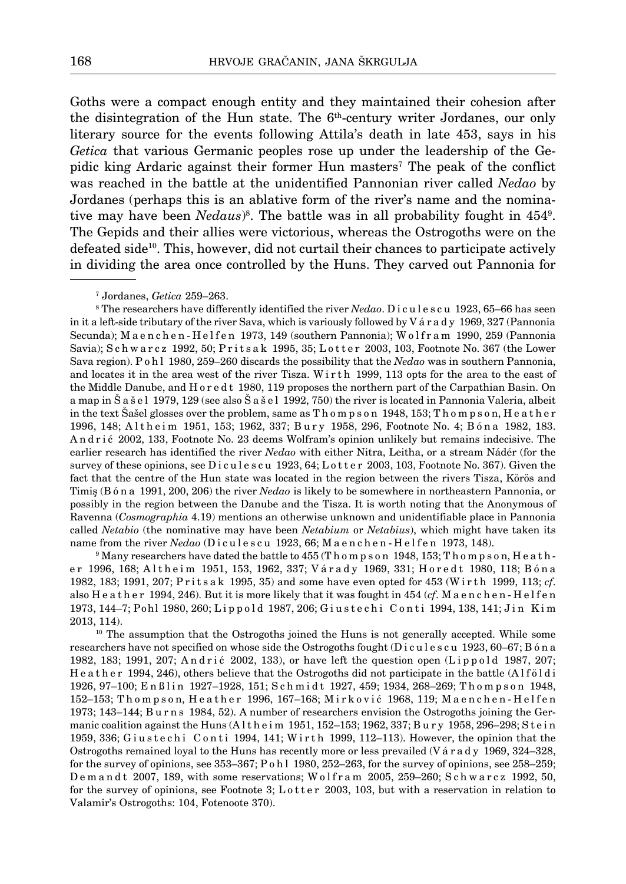Goths were a compact enough entity and they maintained their cohesion after the disintegration of the Hun state. The  $6<sup>th</sup>$ -century writer Jordanes, our only literary source for the events following Attila's death in late 453, says in his *Getica* that various Germanic peoples rose up under the leadership of the Gepidic king Ardaric against their former Hun masters<sup>7</sup> The peak of the conflict was reached in the battle at the unidentified Pannonian river called *Nedao* by Jordanes (perhaps this is an ablative form of the river's name and the nominative may have been *Nedaus*<sup>8</sup>. The battle was in all probability fought in 454<sup>9</sup>. The Gepids and their allies were victorious, whereas the Ostrogoths were on the defeated side10. This, however, did not curtail their chances to participate actively in dividing the area once controlled by the Huns. They carved out Pannonia for

7 Jordanes, *Getica* 259–263.

8 The researchers have differently identified the river *Nedao*. D i c u l e s c u 1923, 65–66 has seen in it a left-side tributary of the river Sava, which is variously followed by V á r a d y 1969, 327 (Pannonia Secunda); Maenchen-Helfen 1973, 149 (southern Pannonia); Wolfram 1990, 259 (Pannonia Savia); Schwarcz 1992, 50; Pritsak 1995, 35; Lotter 2003, 103, Footnote No. 367 (the Lower Sava region). P o h l 1980, 259–260 discards the possibility that the *Nedao* was in southern Pannonia, and locates it in the area west of the river Tisza. Wirth 1999, 113 opts for the area to the east of the Middle Danube, and H o r e d t 1980, 119 proposes the northern part of the Carpathian Basin. On a map in Š a š e l 1979, 129 (see also Š a š e l 1992, 750) the river is located in Pannonia Valeria, albeit in the text Šašel glosses over the problem, same as T h o m p s o n 1948, 153; T h o m p s o n, H e a t h e r 1996, 148; Altheim 1951, 153; 1962, 337; Bury 1958, 296, Footnote No. 4; Bóna 1982, 183. An drić 2002, 133, Footnote No. 23 deems Wolfram's opinion unlikely but remains indecisive. The earlier research has identified the river *Nedao* with either Nitra, Leitha, or a stream Nádér (for the survey of these opinions, see Dicules cu 1923, 64; Lotter 2003, 103, Footnote No. 367). Given the fact that the centre of the Hun state was located in the region between the rivers Tisza, Körös and Timiş (B ó n a 1991, 200, 206) the river *Nedao* is likely to be somewhere in northeastern Pannonia, or possibly in the region between the Danube and the Tisza. It is worth noting that the Anonymous of Ravenna (*Cosmographia* 4.19) mentions an otherwise unknown and unidentifiable place in Pannonia called *Netabio* (the nominative may have been *Netabium* or *Netabius*), which might have taken its name from the river *Nedao* (Diculescu 1923, 66; Maenchen-Helfen 1973, 148).

 $^9$  Many researchers have dated the battle to 455 (T h o m p s o n  $\,1948,\,153;$  T h o m p s o n, H e a t h er 1996, 168; Altheim 1951, 153, 1962, 337; Várady 1969, 331; Horedt 1980, 118; Bóna 1982, 183; 1991, 207; P r i t s a k 1995, 35) and some have even opted for 453 (W i r t h 1999, 113; *cf*. also H e a ther 1994, 246). But it is more likely that it was fought in 454 (*cf*. M a enchen-Helfen 1973, 144–7; Pohl 1980, 260; Lippold 1987, 206; Giustechi Conti 1994, 138, 141; Jin Kim 2013, 114).

 $10$  The assumption that the Ostrogoths joined the Huns is not generally accepted. While some researchers have not specified on whose side the Ostrogoths fought (Diculescu 1923, 60–67; B ó n a 1982, 183; 1991, 207; Andrić 2002, 133), or have left the question open (Lippold 1987, 207; H e a t h e r 1994, 246), others believe that the Ostrogoths did not participate in the battle (Alfold i 1926, 97-100; En ßlin 1927-1928, 151; Schmidt 1927, 459; 1934, 268-269; Thompson 1948, 152–153; Thompson, Heather 1996, 167–168; Mirković 1968, 119; Maenchen-Helfen 1973; 143–144; B u r n s 1984, 52). A number of researchers envision the Ostrogoths joining the Germanic coalition against the Huns (Altheim 1951, 152–153; 1962, 337; Bury 1958, 296–298; Stein 1959, 336; Giustechi Conti 1994, 141; Wirth 1999, 112-113). However, the opinion that the Ostrogoths remained loyal to the Huns has recently more or less prevailed (V á r a d y 1969, 324–328, for the survey of opinions, see  $353-367$ ; P o h l 1980,  $252-263$ , for the survey of opinions, see  $258-259$ ; Demandt 2007, 189, with some reservations; Wolfram 2005, 259–260; Schwarcz 1992, 50, for the survey of opinions, see Footnote 3; Lotter 2003, 103, but with a reservation in relation to Valamir's Ostrogoths: 104, Fotenoote 370).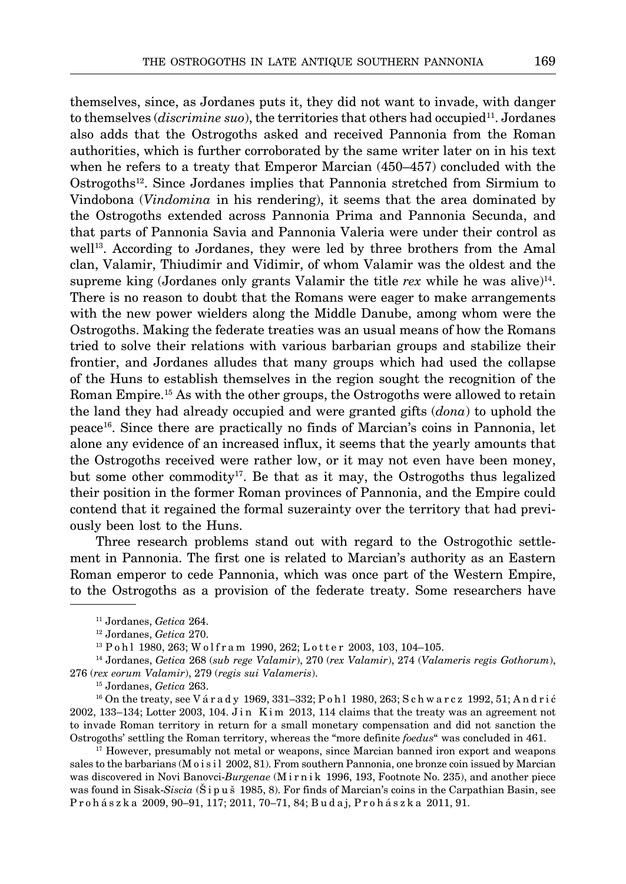themselves, since, as Jordanes puts it, they did not want to invade, with danger to themselves *(discrimine suo)*, the territories that others had occupied<sup>11</sup>. Jordanes also adds that the Ostrogoths asked and received Pannonia from the Roman authorities, which is further corroborated by the same writer later on in his text when he refers to a treaty that Emperor Marcian (450–457) concluded with the Ostrogoths12. Since Jordanes implies that Pannonia stretched from Sirmium to Vindobona (*Vindomina* in his rendering), it seems that the area dominated by the Ostrogoths extended across Pannonia Prima and Pannonia Secunda, and that parts of Pannonia Savia and Pannonia Valeria were under their control as well<sup>13</sup>. According to Jordanes, they were led by three brothers from the Amal clan, Valamir, Thiudimir and Vidimir, of whom Valamir was the oldest and the supreme king (Jordanes only grants Valamir the title  $rex$  while he was alive)<sup>14</sup>. There is no reason to doubt that the Romans were eager to make arrangements with the new power wielders along the Middle Danube, among whom were the Ostrogoths. Making the federate treaties was an usual means of how the Romans tried to solve their relations with various barbarian groups and stabilize their frontier, and Jordanes alludes that many groups which had used the collapse of the Huns to establish themselves in the region sought the recognition of the Roman Empire.15 As with the other groups, the Ostrogoths were allowed to retain the land they had already occupied and were granted gifts (*dona*) to uphold the peace16. Since there are practically no finds of Marcian's coins in Pannonia, let alone any evidence of an increased influx, it seems that the yearly amounts that the Ostrogoths received were rather low, or it may not even have been money, but some other commodity<sup>17</sup>. Be that as it may, the Ostrogoths thus legalized their position in the former Roman provinces of Pannonia, and the Empire could contend that it regained the formal suzerainty over the territory that had previously been lost to the Huns.

Three research problems stand out with regard to the Ostrogothic settlement in Pannonia. The first one is related to Marcian's authority as an Eastern Roman emperor to cede Pannonia, which was once part of the Western Empire, to the Ostrogoths as a provision of the federate treaty. Some researchers have

 $^{16}$  On the treaty, see V á r a d y 1969, 331–332; P o h l 1980, 263; S c h w a r c z 1992, 51; A n d r i ć 2002, 133–134; Lotter 2003, 104. J in K im 2013, 114 claims that the treaty was an agreement not to invade Roman territory in return for a small monetary compensation and did not sanction the Ostrogoths' settling the Roman territory, whereas the "more definite *foedus*" was concluded in 461.

<sup>17</sup> However, presumably not metal or weapons, since Marcian banned iron export and weapons sales to the barbarians (M o i s i l 2002, 81). From southern Pannonia, one bronze coin issued by Marcian was discovered in Novi Banovci-*Burgenae* (M i r n i k 1996, 193, Footnote No. 235), and another piece was found in Sisak-*Siscia* (Š i p u š 1985, 8). For finds of Marcian's coins in the Carpathian Basin, see P r o h á s z k a 2009, 90–91, 117; 2011, 70–71, 84; B u d a j, P r o h á s z k a 2011, 91.

<sup>&</sup>lt;sup>11</sup> Jordanes, *Getica* 264.<br><sup>12</sup> Jordanes, *Getica* 270.<br><sup>13</sup> P o h l 1980, 263; W o l f r a m 1990, 262; L o t t e r 2003, 103, 104–105.

<sup>14</sup> Jordanes, *Getica* 268 (*sub rege Valamir*), 270 (*rex Valamir*), 274 (*Valameris regis Gothorum*), 276 (*rex eorum Valamir*), 279 (*regis sui Valameris*).

<sup>15</sup> Jordanes, *Getica* 263.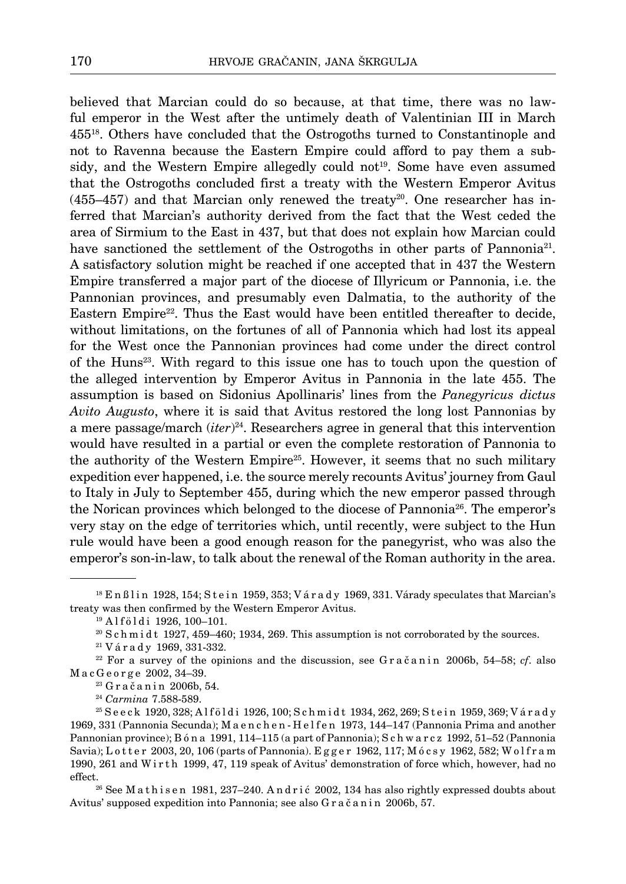believed that Marcian could do so because, at that time, there was no lawful emperor in the West after the untimely death of Valentinian III in March 45518. Others have concluded that the Ostrogoths turned to Constantinople and not to Ravenna because the Eastern Empire could afford to pay them a subsidy, and the Western Empire allegedly could not<sup>19</sup>. Some have even assumed that the Ostrogoths concluded first a treaty with the Western Emperor Avitus  $(455-457)$  and that Marcian only renewed the treaty<sup>20</sup>. One researcher has inferred that Marcian's authority derived from the fact that the West ceded the area of Sirmium to the East in 437, but that does not explain how Marcian could have sanctioned the settlement of the Ostrogoths in other parts of Pannonia<sup>21</sup>. A satisfactory solution might be reached if one accepted that in 437 the Western Empire transferred a major part of the diocese of Illyricum or Pannonia, i.e. the Pannonian provinces, and presumably even Dalmatia, to the authority of the Eastern Empire<sup>22</sup>. Thus the East would have been entitled thereafter to decide, without limitations, on the fortunes of all of Pannonia which had lost its appeal for the West once the Pannonian provinces had come under the direct control of the Huns23. With regard to this issue one has to touch upon the question of the alleged intervention by Emperor Avitus in Pannonia in the late 455. The assumption is based on Sidonius Apollinaris' lines from the *Panegyricus dictus Avito Augusto*, where it is said that Avitus restored the long lost Pannonias by a mere passage/march (*iter*) 24. Researchers agree in general that this intervention would have resulted in a partial or even the complete restoration of Pannonia to the authority of the Western Empire<sup>25</sup>. However, it seems that no such military expedition ever happened, i.e. the source merely recounts Avitus' journey from Gaul to Italy in July to September 455, during which the new emperor passed through the Norican provinces which belonged to the diocese of Pannonia26. The emperor's very stay on the edge of territories which, until recently, were subject to the Hun rule would have been a good enough reason for the panegyrist, who was also the emperor's son-in-law, to talk about the renewal of the Roman authority in the area.

 $^{18}$  E n ß l i n 1928, 154; S t e i n 1959, 353; V á r a d y 1969, 331. Várady speculates that Marcian's treaty was then confirmed by the Western Emperor Avitus.

<sup>&</sup>lt;sup>19</sup> Alföldi 1926, 100-101.

 $20$  S c h m i d t 1927, 459–460; 1934, 269. This assumption is not corroborated by the sources.

<sup>21</sup> V á r a d y 1969, 331-332.

 $22$  For a survey of the opinions and the discussion, see Gračanin 2006b, 54–58; *cf.* also M a c G e o r g e 2002, 34–39.

 $23$  G r a č a n i n 2006b, 54.

<sup>24</sup> *Carmina* 7.588-589.

 $^{25}$  Seeck 1920, 328; Alföldi 1926, 100; Schmidt 1934, 262, 269; Stein 1959, 369; Várady 1969, 331 (Pannonia Secunda); M a e n c h e n - H e l f e n 1973, 144–147 (Pannonia Prima and another Pannonian province); B ó n a 1991, 114–115 (a part of Pannonia); S c h w a r c z 1992, 51–52 (Pannonia Savia); Lotter 2003, 20, 106 (parts of Pannonia). Egger 1962, 117; Mócsy 1962, 582; Wolfram 1990, 261 and W i r t h 1999, 47, 119 speak of Avitus' demonstration of force which, however, had no effect.<br><sup>26</sup> See M a t h i s e n 1981, 237–240. A n d r i ć 2002, 134 has also rightly expressed doubts about

Avitus' supposed expedition into Pannonia; see also Gračanin 2006b, 57.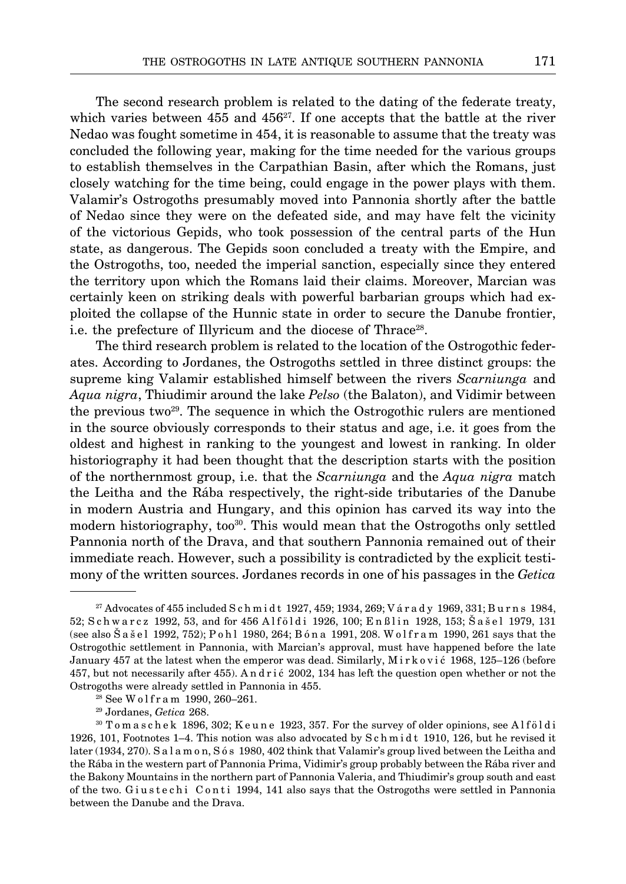The second research problem is related to the dating of the federate treaty, which varies between  $455$  and  $456<sup>27</sup>$ . If one accepts that the battle at the river Nedao was fought sometime in 454, it is reasonable to assume that the treaty was concluded the following year, making for the time needed for the various groups to establish themselves in the Carpathian Basin, after which the Romans, just closely watching for the time being, could engage in the power plays with them. Valamir's Ostrogoths presumably moved into Pannonia shortly after the battle of Nedao since they were on the defeated side, and may have felt the vicinity of the victorious Gepids, who took possession of the central parts of the Hun state, as dangerous. The Gepids soon concluded a treaty with the Empire, and the Ostrogoths, too, needed the imperial sanction, especially since they entered the territory upon which the Romans laid their claims. Moreover, Marcian was certainly keen on striking deals with powerful barbarian groups which had exploited the collapse of the Hunnic state in order to secure the Danube frontier, i.e. the prefecture of Illyricum and the diocese of Thrace<sup>28</sup>.

The third research problem is related to the location of the Ostrogothic federates. According to Jordanes, the Ostrogoths settled in three distinct groups: the supreme king Valamir established himself between the rivers *Scarniunga* and *Aqua nigra*, Thiudimir around the lake *Pelso* (the Balaton), and Vidimir between the previous two<sup>29</sup>. The sequence in which the Ostrogothic rulers are mentioned in the source obviously corresponds to their status and age, i.e. it goes from the oldest and highest in ranking to the youngest and lowest in ranking. In older historiography it had been thought that the description starts with the position of the northernmost group, i.e. that the *Scarniunga* and the *Aqua nigra* match the Leitha and the Rába respectively, the right-side tributaries of the Danube in modern Austria and Hungary, and this opinion has carved its way into the modern historiography, too<sup>30</sup>. This would mean that the Ostrogoths only settled Pannonia north of the Drava, and that southern Pannonia remained out of their immediate reach. However, such a possibility is contradicted by the explicit testimony of the written sources. Jordanes records in one of his passages in the *Getica*

 $^{27}$  Advocates of 455 included S c h m i d t 1927, 459; 1934, 269; V á r a d y 1969, 331; B u r n s 1984, 52; S c h w a r c z 1992, 53, and for 456 A l f ö l d i 1926, 100; E n ß l i n 1928, 153; Š a š e l 1979, 131 (see also Š a š e l 1992, 752); P o h l 1980, 264; B ó n a 1991, 208. W o l f r a m 1990, 261 says that the Ostrogothic settlement in Pannonia, with Marcian's approval, must have happened before the late January 457 at the latest when the emperor was dead. Similarly, Mirković 1968, 125-126 (before 457, but not necessarily after 455). A n d r i ć 2002, 134 has left the question open whether or not the Ostrogoths were already settled in Pannonia in 455.

<sup>&</sup>lt;sup>28</sup> See Wolfram 1990, 260-261.

<sup>29</sup> Jordanes, *Getica* 268.

<sup>&</sup>lt;sup>30</sup> T o m a s c h e k 1896, 302; K e u n e 1923, 357. For the survey of older opinions, see Alf öldi 1926, 101, Footnotes 1–4. This notion was also advocated by S c h m i d t 1910, 126, but he revised it later (1934, 270). S a l a m o n, S ó s 1980, 402 think that Valamir's group lived between the Leitha and the Rába in the western part of Pannonia Prima, Vidimir's group probably between the Rába river and the Bakony Mountains in the northern part of Pannonia Valeria, and Thiudimir's group south and east of the two. Giustechi Conti 1994, 141 also says that the Ostrogoths were settled in Pannonia between the Danube and the Drava.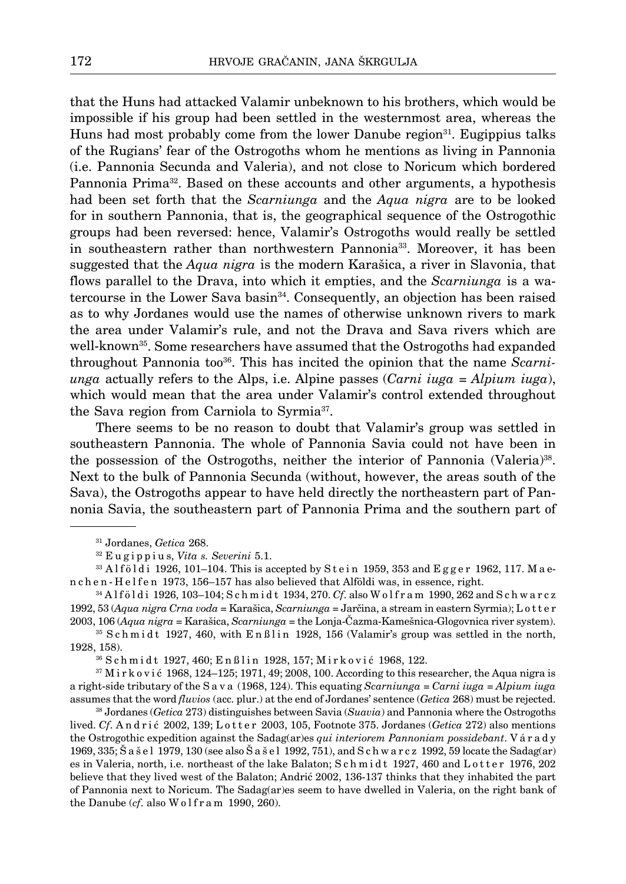that the Huns had attacked Valamir unbeknown to his brothers, which would be impossible if his group had been settled in the westernmost area, whereas the Huns had most probably come from the lower Danube region<sup>31</sup>. Eugippius talks of the Rugians' fear of the Ostrogoths whom he mentions as living in Pannonia (i.e. Pannonia Secunda and Valeria), and not close to Noricum which bordered Pannonia Prima<sup>32</sup>. Based on these accounts and other arguments, a hypothesis had been set forth that the *Scarniunga* and the *Aqua nigra* are to be looked for in southern Pannonia, that is, the geographical sequence of the Ostrogothic groups had been reversed: hence, Valamir's Ostrogoths would really be settled in southeastern rather than northwestern Pannonia<sup>33</sup>. Moreover, it has been suggested that the *Aqua nigra* is the modern Karašica, a river in Slavonia, that flows parallel to the Drava, into which it empties, and the *Scarniunga* is a watercourse in the Lower Sava basin34. Consequently, an objection has been raised as to why Jordanes would use the names of otherwise unknown rivers to mark the area under Valamir's rule, and not the Drava and Sava rivers which are well-known<sup>35</sup>. Some researchers have assumed that the Ostrogoths had expanded throughout Pannonia too36. This has incited the opinion that the name *Scarniunga* actually refers to the Alps, i.e. Alpine passes (*Carni iuga* = *Alpium iuga*), which would mean that the area under Valamir's control extended throughout the Sava region from Carniola to Syrmia37.

There seems to be no reason to doubt that Valamir's group was settled in southeastern Pannonia. The whole of Pannonia Savia could not have been in the possession of the Ostrogoths, neither the interior of Pannonia (Valeria)38. Next to the bulk of Pannonia Secunda (without, however, the areas south of the Sava), the Ostrogoths appear to have held directly the northeastern part of Pannonia Savia, the southeastern part of Pannonia Prima and the southern part of

<sup>36</sup> Schmidt 1927, 460; Enßlin 1928, 157; Mirković 1968, 122.

 $37$  M i r k o v i ć 1968, 124–125; 1971, 49; 2008, 100. According to this researcher, the Aqua nigra is a right-side tributary of the S a v a (1968, 124). This equating *Scarniunga* = *Carni iuga* = *Alpium iuga* assumes that the word *fluvios* (acc. plur.) at the end of Jordanes' sentence (*Getica* 268) must be rejected.

38 Jordanes (*Getica* 273) distinguishes between Savia (*Suavia*) and Pannonia where the Ostrogoths lived. *Cf.* Andrić 2002, 139; Lotter 2003, 105, Footnote 375. Jordanes (*Getica* 272) also mentions the Ostrogothic expedition against the Sadag(ar)es *qui interiorem Pannoniam possidebant*. V á r a d y 1969, 335; Š a š e l 1979, 130 (see also Š a š e l 1992, 751), and S c h w a r c z 1992, 59 locate the Sadag(ar) es in Valeria, north, i.e. northeast of the lake Balaton; S c h m i d t 1927, 460 and L o t t e r 1976, 202 believe that they lived west of the Balaton; Andrić 2002, 136-137 thinks that they inhabited the part of Pannonia next to Noricum. The Sadag(ar)es seem to have dwelled in Valeria, on the right bank of the Danube  $(cf.$  also  $W$  o  $1$  f  $r$  a m  $1990$ ,  $260$ ).

<sup>31</sup> Jordanes, *Getica* 268.

<sup>32</sup> E u g i p p i u s, *Vita s. Severini* 5.1.

 $33$  Alföldi 1926, 101–104. This is accepted by Stein 1959, 353 and Egger 1962, 117. Maen c h e n - H e l f e n 1973, 156–157 has also believed that Alföldi was, in essence, right.

<sup>34</sup> A l f ö l d i 1926, 103–104; S c h m i d t 1934, 270. *Cf*. also W o l f r a m 1990, 262 and S c h w a r c z 1992, 53 (*Aqua nigra Crna voda* = Karašica, *Scarniunga* = Jarčina, a stream in eastern Syrmia); L o t t e r 2003, 106 (*Aqua nigra* = Karašica, *Scarniunga* = the Lonja-Čazma-Kamešnica-Glogovnica river system).

 $35$  S c h m i d t 1927, 460, with E n ß l i n 1928, 156 (Valamir's group was settled in the north, 1928, 158).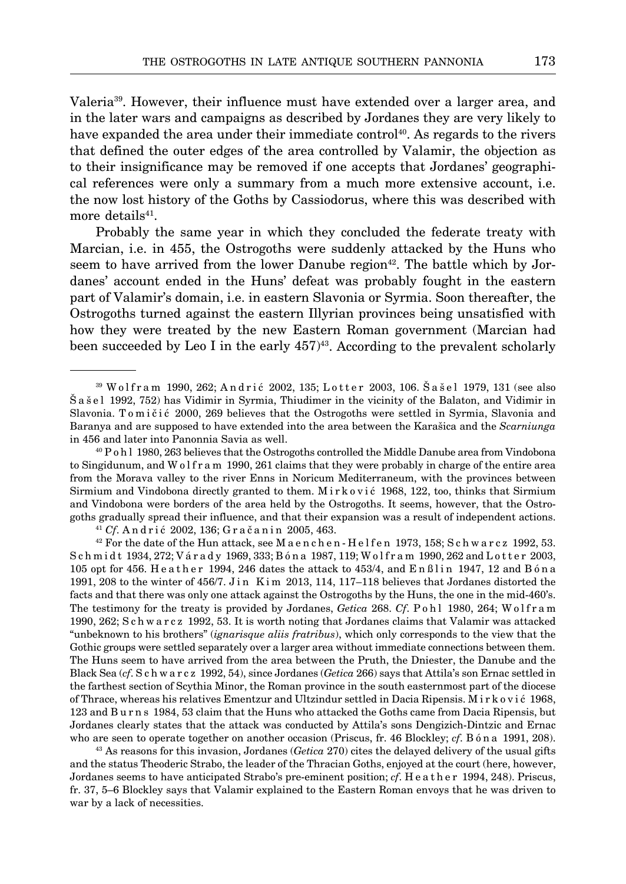Valeria39. However, their influence must have extended over a larger area, and in the later wars and campaigns as described by Jordanes they are very likely to have expanded the area under their immediate control<sup>40</sup>. As regards to the rivers that defined the outer edges of the area controlled by Valamir, the objection as to their insignificance may be removed if one accepts that Jordanes' geographical references were only a summary from a much more extensive account, i.e. the now lost history of the Goths by Cassiodorus, where this was described with more details<sup>41</sup>.

Probably the same year in which they concluded the federate treaty with Marcian, i.e. in 455, the Ostrogoths were suddenly attacked by the Huns who seem to have arrived from the lower Danube region<sup>42</sup>. The battle which by Jordanes' account ended in the Huns' defeat was probably fought in the eastern part of Valamir's domain, i.e. in eastern Slavonia or Syrmia. Soon thereafter, the Ostrogoths turned against the eastern Illyrian provinces being unsatisfied with how they were treated by the new Eastern Roman government (Marcian had been succeeded by Leo I in the early  $457<sup>43</sup>$ . According to the prevalent scholarly

S c h m i d t 1934, 272; V á r a d y 1969, 333; B ó n a 1987, 119; W o l f r a m 1990, 262 and L o t t e r 2003, 105 opt for 456. Heather 1994, 246 dates the attack to 453/4, and  $En Blin 1947$ , 12 and  $Bóna$ 1991, 208 to the winter of  $456/7$ . J in K im 2013, 114, 117-118 believes that Jordanes distorted the facts and that there was only one attack against the Ostrogoths by the Huns, the one in the mid-460's. The testimony for the treaty is provided by Jordanes, *Getica* 268. *Cf*. P o h l 1980, 264; W o l f r a m 1990, 262; S c h w a r c z 1992, 53. It is worth noting that Jordanes claims that Valamir was attacked "unbeknown to his brothers" (*ignarisque aliis fratribus*), which only corresponds to the view that the Gothic groups were settled separately over a larger area without immediate connections between them. The Huns seem to have arrived from the area between the Pruth, the Dniester, the Danube and the Black Sea (*cf*. S c h w a r c z 1992, 54), since Jordanes (*Getica* 266) says that Attila's son Ernac settled in the farthest section of Scythia Minor, the Roman province in the south easternmost part of the diocese of Thrace, whereas his relatives Ementzur and Ultzindur settled in Dacia Ripensis. M i r k o v i ć 1968, 123 and B u r n s 1984, 53 claim that the Huns who attacked the Goths came from Dacia Ripensis, but Jordanes clearly states that the attack was conducted by Attila's sons Dengizich-Dintzic and Ernac who are seen to operate together on another occasion (Priscus, fr. 46 Blockley; *cf*. B ó n a 1991, 208).

43 As reasons for this invasion, Jordanes (*Getica* 270) cites the delayed delivery of the usual gifts and the status Theoderic Strabo, the leader of the Thracian Goths, enjoyed at the court (here, however, Jordanes seems to have anticipated Strabo's pre-eminent position; *cf*. H e a t h e r 1994, 248). Priscus, fr. 37, 5–6 Blockley says that Valamir explained to the Eastern Roman envoys that he was driven to war by a lack of necessities.

<sup>39</sup> W o l f r a m 1990, 262; A n d r i ć 2002, 135; L o t t e r 2003, 106. Š a š e l 1979, 131 (see also Š a š e l 1992, 752) has Vidimir in Syrmia, Thiudimer in the vicinity of the Balaton, and Vidimir in Slavonia. To mičić 2000, 269 believes that the Ostrogoths were settled in Syrmia, Slavonia and Baranya and are supposed to have extended into the area between the Karašica and the *Scarniunga* in 456 and later into Panonnia Savia as well.

<sup>40</sup> P o h l 1980, 263 believes that the Ostrogoths controlled the Middle Danube area from Vindobona to Singidunum, and W o l f r a m 1990, 261 claims that they were probably in charge of the entire area from the Morava valley to the river Enns in Noricum Mediterraneum, with the provinces between Sirmium and Vindobona directly granted to them. M i r k o v i c 1968, 122, too, thinks that Sirmium and Vindobona were borders of the area held by the Ostrogoths. It seems, however, that the Ostrogoths gradually spread their influence, and that their expansion was a result of independent actions.<br><sup>41</sup> Cf. Andrić 2002, 136; Gračanin 2005, 463.<br><sup>42</sup> For the date of the Hun attack, see M a enchen-Helfen 1973, 158; Sc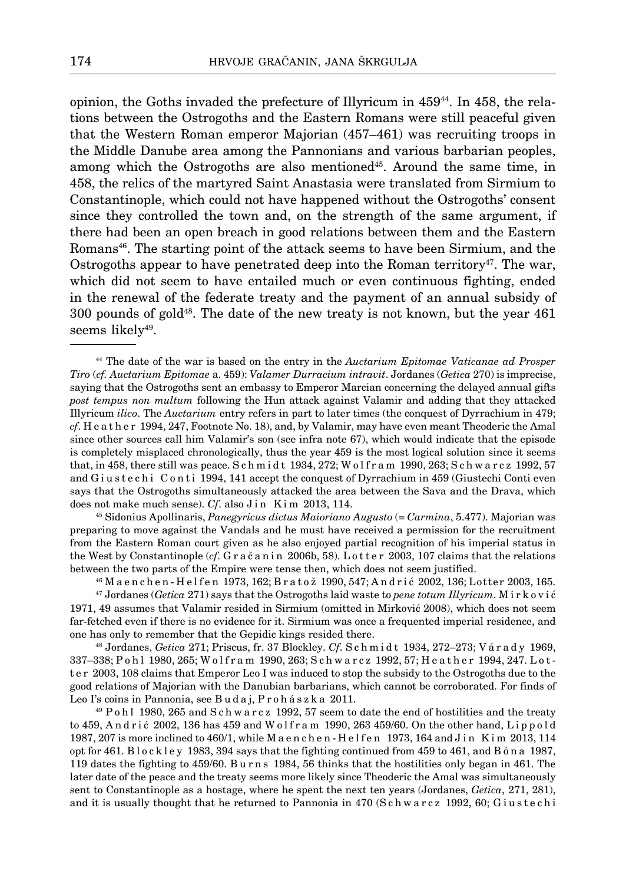opinion, the Goths invaded the prefecture of Illyricum in 45944. In 458, the relations between the Ostrogoths and the Eastern Romans were still peaceful given that the Western Roman emperor Majorian (457–461) was recruiting troops in the Middle Danube area among the Pannonians and various barbarian peoples, among which the Ostrogoths are also mentioned<sup>45</sup>. Around the same time, in 458, the relics of the martyred Saint Anastasia were translated from Sirmium to Constantinople, which could not have happened without the Ostrogoths' consent since they controlled the town and, on the strength of the same argument, if there had been an open breach in good relations between them and the Eastern Romans46. The starting point of the attack seems to have been Sirmium, and the Ostrogoths appear to have penetrated deep into the Roman territory<sup>47</sup>. The war, which did not seem to have entailed much or even continuous fighting, ended in the renewal of the federate treaty and the payment of an annual subsidy of 300 pounds of gold48. The date of the new treaty is not known, but the year 461 seems likely<sup>49</sup>.

45 Sidonius Apollinaris, *Panegyricus dictus Maioriano Augusto* (= *Carmina*, 5.477). Majorian was preparing to move against the Vandals and he must have received a permission for the recruitment from the Eastern Roman court given as he also enjoyed partial recognition of his imperial status in the West by Constantinople (*cf.* G r a č a n i n 2006b, 58). L o t t e r 2003, 107 claims that the relations between the two parts of the Empire were tense then, which does not seem justified.

46 M a e n c h e n - H e l f e n 1973, 162; B r a t o ž 1990, 547; A n d r i ć 2002, 136; Lotter 2003, 165.

337–338; P o h l 1980, 265; W o l f r a m 1990, 263; S c h w a r c z 1992, 57; H e a t h e r 1994, 247. L o t t e r 2003, 108 claims that Emperor Leo I was induced to stop the subsidy to the Ostrogoths due to the good relations of Majorian with the Danubian barbarians, which cannot be corroborated. For finds of Leo I's coins in Pannonia, see B u d a j, P r o h á s z k a 2011.

 $49$  P o h l 1980, 265 and S c h w a r c z 1992, 57 seem to date the end of hostilities and the treaty to  $459$ , Andrić 2002, 136 has  $459$  and Wolfram 1990, 263  $459/60$ . On the other hand, Lippold 1987, 207 is more inclined to 460/1, while M a e n c h e n - H e l f e n 1973, 164 and J in K im 2013, 114 opt for 461. B l o c k l e y 1983, 394 says that the fighting continued from 459 to 461, and B ó n a 1987, 119 dates the fighting to 459/60. B u r n s 1984, 56 thinks that the hostilities only began in 461. The later date of the peace and the treaty seems more likely since Theoderic the Amal was simultaneously sent to Constantinople as a hostage, where he spent the next ten years (Jordanes, *Getica*, 271, 281), and it is usually thought that he returned to Pannonia in 470 (Schwarcz 1992, 60; Giustechi

<sup>44</sup> The date of the war is based on the entry in the *Auctarium Epitomae Vaticanae ad Prosper Tiro* (*cf. Auctarium Epitomae* a. 459): *Valamer Durracium intravit*. Jordanes (*Getica* 270) is imprecise, saying that the Ostrogoths sent an embassy to Emperor Marcian concerning the delayed annual gifts *post tempus non multum* following the Hun attack against Valamir and adding that they attacked Illyricum *ilico*. The *Auctarium* entry refers in part to later times (the conquest of Dyrrachium in 479; *cf*. H e a t h e r 1994, 247, Footnote No. 18), and, by Valamir, may have even meant Theoderic the Amal since other sources call him Valamir's son (see infra note 67), which would indicate that the episode is completely misplaced chronologically, thus the year 459 is the most logical solution since it seems that, in 458, there still was peace. S c h m i d t 1934, 272; W o l f r a m 1990, 263; S c h w a r c z 1992, 57 and G i u s t e c h i C o n t i 1994, 141 accept the conquest of Dyrrachium in 459 (Giustechi Conti even says that the Ostrogoths simultaneously attacked the area between the Sava and the Drava, which does not make much sense). *Cf.* also Jin Kim 2013, 114.

<sup>47</sup> Jordanes (*Getica* 271) says that the Ostrogoths laid waste to *pene totum Illyricum*. M i r k o v i ć 1971, 49 assumes that Valamir resided in Sirmium (omitted in Mirković 2008), which does not seem far-fetched even if there is no evidence for it. Sirmium was once a frequented imperial residence, and one has only to remember that the Gepidic kings resided there. 48 Jordanes, *Getica* 271; Priscus, fr. 37 Blockley. *Cf*. S c h m i d t 1934, 272–273; V á r a d y 1969,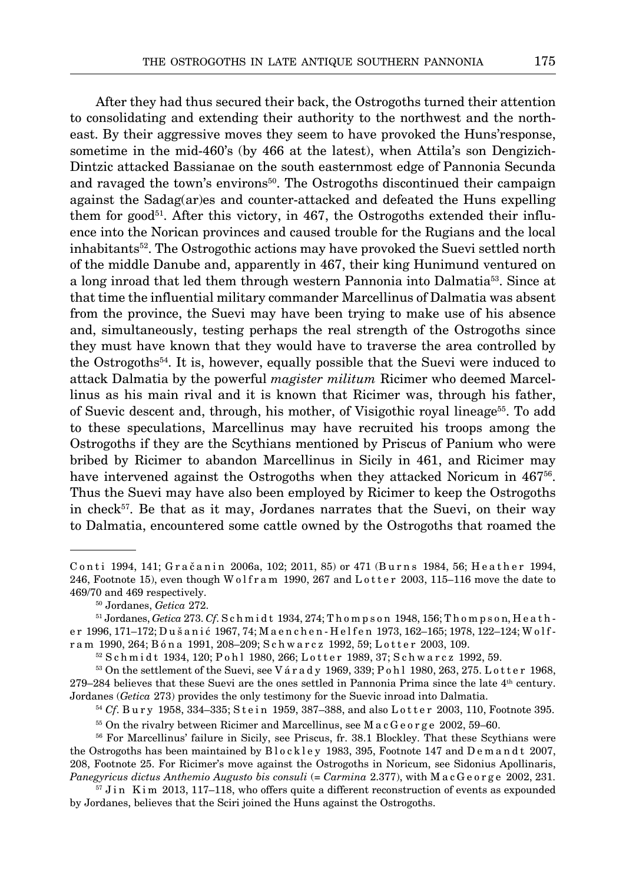After they had thus secured their back, the Ostrogoths turned their attention to consolidating and extending their authority to the northwest and the northeast. By their aggressive moves they seem to have provoked the Huns'response, sometime in the mid-460's (by 466 at the latest), when Attila's son Dengizich-Dintzic attacked Bassianae on the south easternmost edge of Pannonia Secunda and ravaged the town's environs<sup>50</sup>. The Ostrogoths discontinued their campaign against the Sadag(ar)es and counter-attacked and defeated the Huns expelling them for good<sup>51</sup>. After this victory, in 467, the Ostrogoths extended their influence into the Norican provinces and caused trouble for the Rugians and the local inhabitants52. The Ostrogothic actions may have provoked the Suevi settled north of the middle Danube and, apparently in 467, their king Hunimund ventured on a long inroad that led them through western Pannonia into Dalmatia53. Since at that time the influential military commander Marcellinus of Dalmatia was absent from the province, the Suevi may have been trying to make use of his absence and, simultaneously, testing perhaps the real strength of the Ostrogoths since they must have known that they would have to traverse the area controlled by the Ostrogoths<sup>54</sup>. It is, however, equally possible that the Suevi were induced to attack Dalmatia by the powerful *magister militum* Ricimer who deemed Marcellinus as his main rival and it is known that Ricimer was, through his father, of Suevic descent and, through, his mother, of Visigothic royal lineage55. To add to these speculations, Marcellinus may have recruited his troops among the Ostrogoths if they are the Scythians mentioned by Priscus of Panium who were bribed by Ricimer to abandon Marcellinus in Sicily in 461, and Ricimer may have intervened against the Ostrogoths when they attacked Noricum in 467<sup>56</sup>. Thus the Suevi may have also been employed by Ricimer to keep the Ostrogoths in check<sup>57</sup>. Be that as it may, Jordanes narrates that the Suevi, on their way to Dalmatia, encountered some cattle owned by the Ostrogoths that roamed the

52 Schmidt 1934, 120; Pohl 1980, 266; Lotter 1989, 37; Schwarcz 1992, 59.

 $53$  On the settlement of the Suevi, see V árady 1969, 339; P o h l 1980, 263, 275. L otter 1968, 279–284 believes that these Suevi are the ones settled in Pannonia Prima since the late 4th century. Jordanes (*Getica* 273) provides the only testimony for the Suevic inroad into Dalmatia.

<sup>54</sup> *Cf*. Bury 1958, 334–335; Stein 1959, 387–388, and also Lotter 2003, 110, Footnote 395.

 $55$  On the rivalry between Ricimer and Marcellinus, see M a c G e o r g e  $2002$ ,  $59-60$ .

<sup>56</sup> For Marcellinus' failure in Sicily, see Priscus, fr. 38.1 Blockley. That these Scythians were the Ostrogoths has been maintained by Blockley 1983, 395, Footnote 147 and Demandt 2007, 208, Footnote 25. For Ricimer's move against the Ostrogoths in Noricum, see Sidonius Apollinaris, *Panegyricus dictus Anthemio Augusto bis consuli* (= *Carmina* 2.377), with M a c G e o r g e 2002, 231.

 $57$  J in K im 2013, 117–118, who offers quite a different reconstruction of events as expounded by Jordanes, believes that the Sciri joined the Huns against the Ostrogoths.

Conti 1994, 141; Gračanin 2006a, 102; 2011, 85) or 471 (Burns 1984, 56; Heather 1994, 246, Footnote 15), even though W o l f r a m 1990, 267 and L o t t e r  $2003$ , 115–116 move the date to 469/70 and 469 respectively.

<sup>50</sup> Jordanes, *Getica* 272.

<sup>51</sup> Jordanes, *Getica* 273. *Cf*. S c h m i d t 1934, 274; T h o m p s o n 1948, 156; T h o m p s o n, H e a t h er 1996, 171-172; Dušanić 1967, 74; Maenchen-Helfen 1973, 162-165; 1978, 122-124; Wolfram 1990, 264; Bóna 1991, 208–209; Schwarcz 1992, 59; Lotter 2003, 109.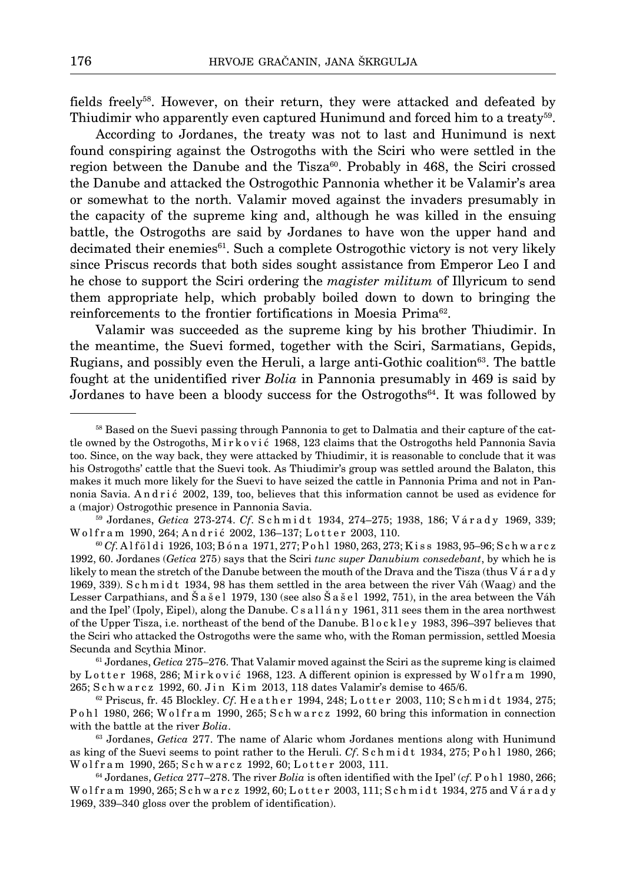fields freely58. However, on their return, they were attacked and defeated by Thiudimir who apparently even captured Hunimund and forced him to a treaty59.

According to Jordanes, the treaty was not to last and Hunimund is next found conspiring against the Ostrogoths with the Sciri who were settled in the region between the Danube and the Tisza<sup>60</sup>. Probably in  $468$ , the Sciri crossed the Danube and attacked the Ostrogothic Pannonia whether it be Valamir's area or somewhat to the north. Valamir moved against the invaders presumably in the capacity of the supreme king and, although he was killed in the ensuing battle, the Ostrogoths are said by Jordanes to have won the upper hand and decimated their enemies<sup>61</sup>. Such a complete Ostrogothic victory is not very likely since Priscus records that both sides sought assistance from Emperor Leo I and he chose to support the Sciri ordering the *magister militum* of Illyricum to send them appropriate help, which probably boiled down to down to bringing the reinforcements to the frontier fortifications in Moesia Prima62.

Valamir was succeeded as the supreme king by his brother Thiudimir. In the meantime, the Suevi formed, together with the Sciri, Sarmatians, Gepids, Rugians, and possibly even the Heruli, a large anti-Gothic coalition<sup>63</sup>. The battle fought at the unidentified river *Bolia* in Pannonia presumably in 469 is said by Jordanes to have been a bloody success for the Ostrogoths<sup>64</sup>. It was followed by

59 Jordanes, *Getica* 273-274. *Cf*. S c h m i d t 1934, 274–275; 1938, 186; V á r a d y 1969, 339; Wolfram 1990, 264; Andrić 2002, 136-137; Lotter 2003, 110.

<sup>60</sup> *Cf*. A l f ö l d i 1926, 103; B ó n a 1971, 277; P o h l 1980, 263, 273; K i s s 1983, 95–96; S c h w a r c z 1992, 60. Jordanes (*Getica* 275) says that the Sciri *tunc super Danubium consedebant*, by which he is likely to mean the stretch of the Danube between the mouth of the Drava and the Tisza (thus V ar a d y 1969, 339). S c h m i d t 1934, 98 has them settled in the area between the river Váh (Waag) and the Lesser Carpathians, and Š a š e l 1979, 130 (see also Š a š e l 1992, 751), in the area between the Váh and the Ipel' (Ipoly, Eipel), along the Danube. C s a l l á n y 1961, 311 sees them in the area northwest of the Upper Tisza, i.e. northeast of the bend of the Danube. B l o c k l e y 1983, 396–397 believes that the Sciri who attacked the Ostrogoths were the same who, with the Roman permission, settled Moesia Secunda and Scythia Minor.

<sup>61</sup> Jordanes, *Getica* 275–276. That Valamir moved against the Sciri as the supreme king is claimed by Lotter 1968, 286; Mirković 1968, 123. A different opinion is expressed by Wolfram 1990, 265; Schwarcz 1992, 60. Jin Kim 2013, 118 dates Valamir's demise to 465/6.

62 Priscus, fr. 45 Blockley. *Cf*. H e a t h e r 1994, 248; L o t t e r 2003, 110; S c h m i d t 1934, 275; P o h l 1980, 266; W o l f r a m 1990, 265; S c h w a r c z 1992, 60 bring this information in connection with the battle at the river *Bolia*.

63 Jordanes, *Getica* 277. The name of Alaric whom Jordanes mentions along with Hunimund as king of the Suevi seems to point rather to the Heruli. *Cf.* S ch m i dt 1934, 275; P o h l 1980, 266; Wolfram 1990, 265; Schwarcz 1992, 60; Lotter 2003, 111.

64 Jordanes, *Getica* 277–278. The river *Bolia* is often identified with the Ipel' (*cf*. P o h l 1980, 266; W olfram 1990, 265; S c h w a r c z 1992, 60; L otter 2003, 111; S c h m i d t 1934, 275 and V á r a d y 1969, 339–340 gloss over the problem of identification).

<sup>&</sup>lt;sup>58</sup> Based on the Suevi passing through Pannonia to get to Dalmatia and their capture of the cattle owned by the Ostrogoths, M i r k o v i ć 1968, 123 claims that the Ostrogoths held Pannonia Savia too. Since, on the way back, they were attacked by Thiudimir, it is reasonable to conclude that it was his Ostrogoths' cattle that the Suevi took. As Thiudimir's group was settled around the Balaton, this makes it much more likely for the Suevi to have seized the cattle in Pannonia Prima and not in Pannonia Savia. And ri ć 2002, 139, too, believes that this information cannot be used as evidence for a (major) Ostrogothic presence in Pannonia Savia.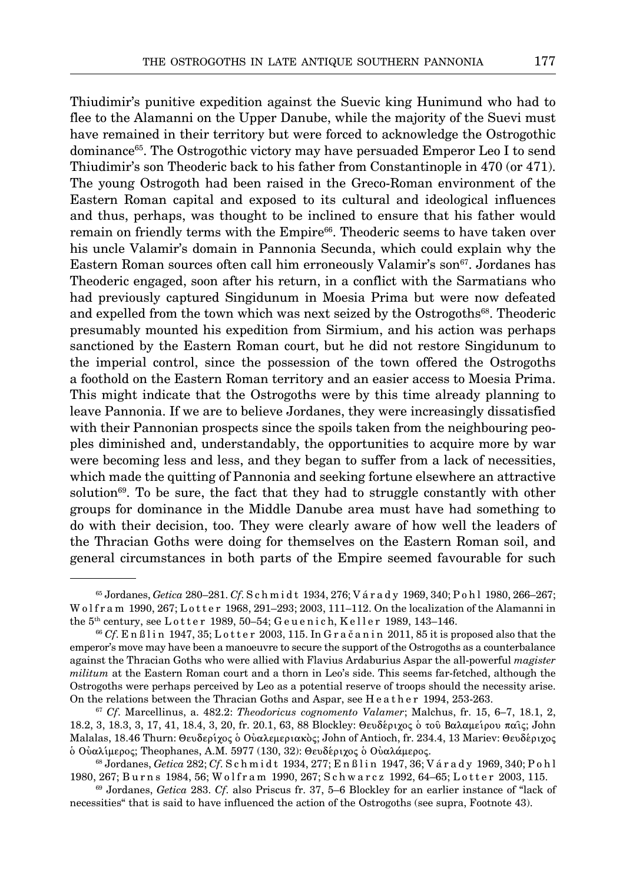Thiudimir's punitive expedition against the Suevic king Hunimund who had to flee to the Alamanni on the Upper Danube, while the majority of the Suevi must have remained in their territory but were forced to acknowledge the Ostrogothic dominance65. The Ostrogothic victory may have persuaded Emperor Leo I to send Thiudimir's son Theoderic back to his father from Constantinople in 470 (or 471). The young Ostrogoth had been raised in the Greco-Roman environment of the Eastern Roman capital and exposed to its cultural and ideological influences and thus, perhaps, was thought to be inclined to ensure that his father would remain on friendly terms with the Empire<sup>66</sup>. Theoderic seems to have taken over his uncle Valamir's domain in Pannonia Secunda, which could explain why the Eastern Roman sources often call him erroneously Valamir's son<sup>67</sup>. Jordanes has Theoderic engaged, soon after his return, in a conflict with the Sarmatians who had previously captured Singidunum in Moesia Prima but were now defeated and expelled from the town which was next seized by the Ostrogoths<sup>68</sup>. Theoderic presumably mounted his expedition from Sirmium, and his action was perhaps sanctioned by the Eastern Roman court, but he did not restore Singidunum to the imperial control, since the possession of the town offered the Ostrogoths a foothold on the Eastern Roman territory and an easier access to Moesia Prima. This might indicate that the Ostrogoths were by this time already planning to leave Pannonia. If we are to believe Jordanes, they were increasingly dissatisfied with their Pannonian prospects since the spoils taken from the neighbouring peoples diminished and, understandably, the opportunities to acquire more by war were becoming less and less, and they began to suffer from a lack of necessities, which made the quitting of Pannonia and seeking fortune elsewhere an attractive solution<sup>69</sup>. To be sure, the fact that they had to struggle constantly with other groups for dominance in the Middle Danube area must have had something to do with their decision, too. They were clearly aware of how well the leaders of the Thracian Goths were doing for themselves on the Eastern Roman soil, and general circumstances in both parts of the Empire seemed favourable for such

<sup>65</sup> Jordanes, *Getica* 280–281. *Cf*. S c h m i d t 1934, 276; V á r a d y 1969, 340; P o h l 1980, 266–267; W olfram 1990, 267; Lotter 1968, 291-293; 2003, 111-112. On the localization of the Alamanni in the  $5<sup>th</sup>$  century, see L otter 1989, 50–54; G e u e n i c h, K e l l e r 1989, 143–146.

 $^{66}$  Cf. En ßlin 1947, 35; Lotter 2003, 115. In Gračanin 2011, 85 it is proposed also that the emperor's move may have been a manoeuvre to secure the support of the Ostrogoths as a counterbalance against the Thracian Goths who were allied with Flavius Ardaburius Aspar the all-powerful *magister militum* at the Eastern Roman court and a thorn in Leo's side. This seems far-fetched, although the Ostrogoths were perhaps perceived by Leo as a potential reserve of troops should the necessity arise. On the relations between the Thracian Goths and Aspar, see H e a t h e r 1994, 253-263.

<sup>67</sup> *Cf*. Marcellinus, a. 482.2: *Theodoricus cognomento Valamer*; Malchus, fr. 15, 6–7, 18.1, 2, 18.2, 3, 18.3, 3, 17, 41, 18.4, 3, 20, fr. 20.1, 63, 88 Blockley: Θευδέριχος ο του Βαλαμείρου παις; John Malalas, 18.46 Thurn: Θευδερίχος ο Ούαλεμεριακός; John of Antioch, fr. 234.4, 13 Mariev: Θευδέριχος  $\delta$  Ούαλίμερος; Theophanes, A.M. 5977 (130, 32): Θευδέριχος ο Ούαλάμερος.

<sup>68</sup> Jordanes, *Getica* 282; *Cf*. S c h m i d t 1934, 277; E n ß l i n 1947, 36; V á r a d y 1969, 340; P o h l 1980, 267; Burns 1984, 56; Wolfram 1990, 267; Schwarcz 1992, 64–65; Lotter 2003, 115.

<sup>69</sup> Jordanes, *Getica* 283. *Cf*. also Priscus fr. 37, 5–6 Blockley for an earlier instance of "lack of necessities" that is said to have influenced the action of the Ostrogoths (see supra, Footnote 43).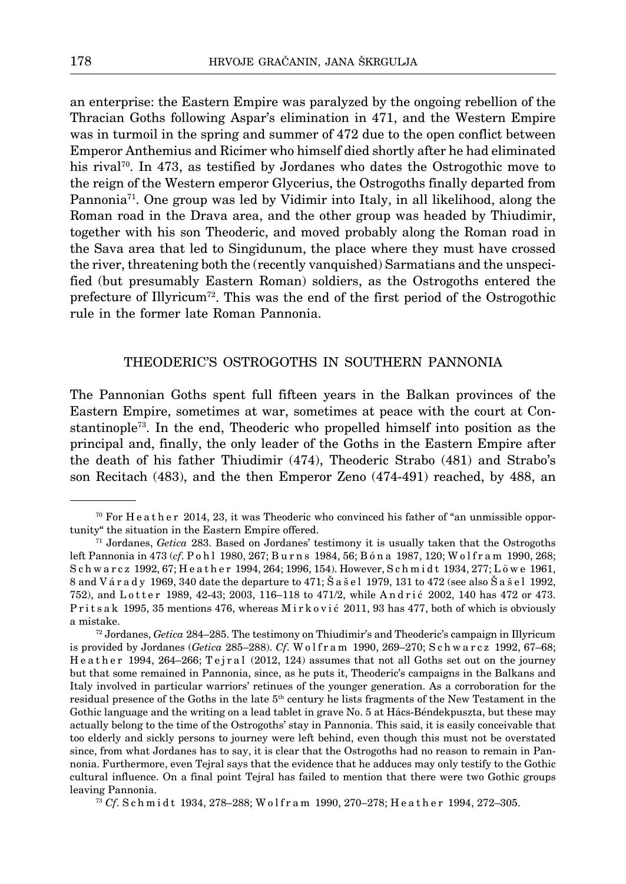an enterprise: the Eastern Empire was paralyzed by the ongoing rebellion of the Thracian Goths following Aspar's elimination in 471, and the Western Empire was in turmoil in the spring and summer of 472 due to the open conflict between Emperor Anthemius and Ricimer who himself died shortly after he had eliminated his rival<sup>70</sup>. In 473, as testified by Jordanes who dates the Ostrogothic move to the reign of the Western emperor Glycerius, the Ostrogoths finally departed from Pannonia71. One group was led by Vidimir into Italy, in all likelihood, along the Roman road in the Drava area, and the other group was headed by Thiudimir, together with his son Theoderic, and moved probably along the Roman road in the Sava area that led to Singidunum, the place where they must have crossed the river, threatening both the (recently vanquished) Sarmatians and the unspecified (but presumably Eastern Roman) soldiers, as the Ostrogoths entered the prefecture of Illyricum<sup>72</sup>. This was the end of the first period of the Ostrogothic rule in the former late Roman Pannonia.

# Theoderic's Ostrogoths in southern Pannonia

The Pannonian Goths spent full fifteen years in the Balkan provinces of the Eastern Empire, sometimes at war, sometimes at peace with the court at Constantinople73. In the end, Theoderic who propelled himself into position as the principal and, finally, the only leader of the Goths in the Eastern Empire after the death of his father Thiudimir (474), Theoderic Strabo (481) and Strabo's son Recitach (483), and the then Emperor Zeno (474-491) reached, by 488, an

 $70$  For H e a t h e r 2014, 23, it was Theoderic who convinced his father of "an unmissible opportunity" the situation in the Eastern Empire offered.

<sup>71</sup> Jordanes, *Getica* 283. Based on Jordanes' testimony it is usually taken that the Ostrogoths left Pannonia in 473 (*cf.* P o h l 1980, 267; Burns 1984, 56; B ó n a 1987, 120; W o l f r a m 1990, 268; Schwarcz 1992, 67; Heather 1994, 264; 1996, 154). However, Schmidt 1934, 277; Löwe 1961, 8 and V á r a d y 1969, 340 date the departure to 471; Š a š e l 1979, 131 to 472 (see also Š a š e l 1992, 752), and Lotter 1989, 42-43; 2003, 116-118 to 471/2, while Andrić 2002, 140 has 472 or 473. Prits ak 1995, 35 mentions 476, whereas Mirković 2011, 93 has 477, both of which is obviously a mistake.

<sup>72</sup> Jordanes, *Getica* 284–285. The testimony on Thiudimir's and Theoderic's campaign in Illyricum is provided by Jordanes (*Getica* 285–288). *Cf.* W olfram 1990, 269–270; S ch w a r c z 1992, 67–68; Heather 1994, 264–266; Tejral (2012, 124) assumes that not all Goths set out on the journey but that some remained in Pannonia, since, as he puts it, Theoderic's campaigns in the Balkans and Italy involved in particular warriors' retinues of the younger generation. As a corroboration for the residual presence of the Goths in the late  $5<sup>th</sup>$  century he lists fragments of the New Testament in the Gothic language and the writing on a lead tablet in grave No. 5 at Hács-Béndekpuszta, but these may actually belong to the time of the Ostrogoths' stay in Pannonia. This said, it is easily conceivable that too elderly and sickly persons to journey were left behind, even though this must not be overstated since, from what Jordanes has to say, it is clear that the Ostrogoths had no reason to remain in Pannonia. Furthermore, even Tejral says that the evidence that he adduces may only testify to the Gothic cultural influence. On a final point Tejral has failed to mention that there were two Gothic groups leaving Pannonia.

<sup>73</sup> *Cf*. S c h m i d t 1934, 278–288; W o l f r a m 1990, 270–278; H e a t h e r 1994, 272–305.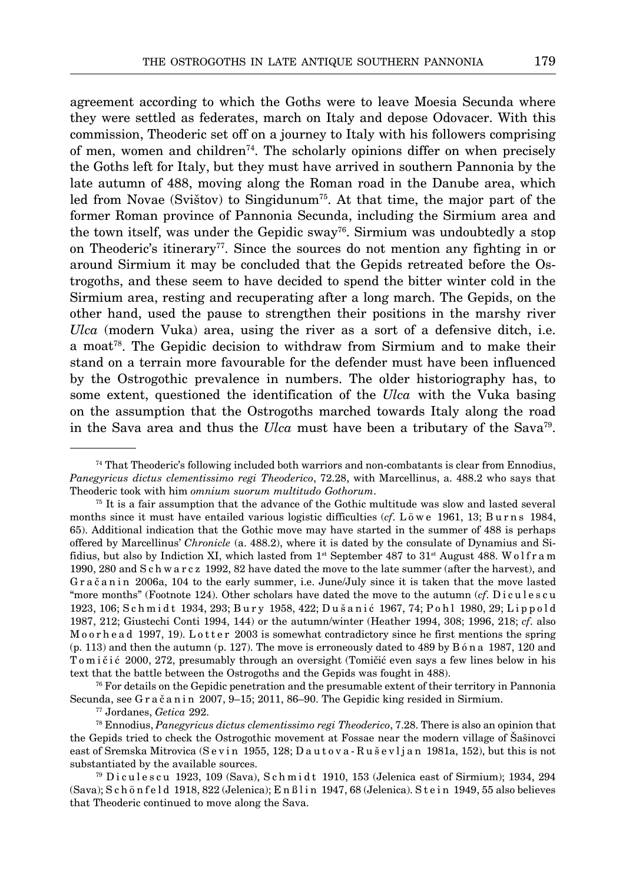agreement according to which the Goths were to leave Moesia Secunda where they were settled as federates, march on Italy and depose Odovacer. With this commission, Theoderic set off on a journey to Italy with his followers comprising of men, women and children<sup> $74$ </sup>. The scholarly opinions differ on when precisely the Goths left for Italy, but they must have arrived in southern Pannonia by the late autumn of 488, moving along the Roman road in the Danube area, which led from Novae (Svištov) to Singidunum<sup>75</sup>. At that time, the major part of the former Roman province of Pannonia Secunda, including the Sirmium area and the town itself, was under the Gepidic sway<sup>76</sup>. Sirmium was undoubtedly a stop on Theoderic's itinerary77. Since the sources do not mention any fighting in or around Sirmium it may be concluded that the Gepids retreated before the Ostrogoths, and these seem to have decided to spend the bitter winter cold in the Sirmium area, resting and recuperating after a long march. The Gepids, on the other hand, used the pause to strengthen their positions in the marshy river *Ulca* (modern Vuka) area, using the river as a sort of a defensive ditch, i.e. a moat78. The Gepidic decision to withdraw from Sirmium and to make their stand on a terrain more favourable for the defender must have been influenced by the Ostrogothic prevalence in numbers. The older historiography has, to some extent, questioned the identification of the *Ulca* with the Vuka basing on the assumption that the Ostrogoths marched towards Italy along the road in the Sava area and thus the *Ulca* must have been a tributary of the Sava<sup>79</sup>.

 $74$  That Theoderic's following included both warriors and non-combatants is clear from Ennodius, *Panegyricus dictus clementissimo regi Theoderico*, 72.28, with Marcellinus, a. 488.2 who says that Theoderic took with him *omnium suorum multitudo Gothorum*.

<sup>&</sup>lt;sup>75</sup> It is a fair assumption that the advance of the Gothic multitude was slow and lasted several months since it must have entailed various logistic difficulties (*cf*. L ö w e 1961, 13; Burns 1984, 65). Additional indication that the Gothic move may have started in the summer of 488 is perhaps offered by Marcellinus' *Chronicle* (a. 488.2), where it is dated by the consulate of Dynamius and Sifidius, but also by Indiction XI, which lasted from  $1<sup>st</sup>$  September 487 to 31<sup>st</sup> August 488. W o l f r a m 1990, 280 and S c h w a r c z 1992, 82 have dated the move to the late summer (after the harvest), and Gračanin 2006a, 104 to the early summer, i.e. June/July since it is taken that the move lasted "more months" (Footnote 124). Other scholars have dated the move to the autumn (*cf*. Diculescu 1923, 106; S ch midt 1934, 293; Bury 1958, 422; Dušanić 1967, 74; P ohl 1980, 29; Lippold 1987, 212; Giustechi Conti 1994, 144) or the autumn/winter (Heather 1994, 308; 1996, 218; *cf*. also M o o r h e a d 1997, 19). L o t t e r 2003 is somewhat contradictory since he first mentions the spring (p. 113) and then the autumn (p. 127). The move is erroneously dated to 489 by B ó n a 1987, 120 and To m i č i ć 2000, 272, presumably through an oversight (Tomičić even says a few lines below in his text that the battle between the Ostrogoths and the Gepids was fought in 488).

<sup>76</sup> For details on the Gepidic penetration and the presumable extent of their territory in Pannonia Secunda, see G r a č a n i n 2007, 9-15; 2011, 86-90. The Gepidic king resided in Sirmium.

<sup>77</sup> Jordanes, *Getica* 292.

<sup>78</sup> Ennodius, *Panegyricus dictus clementissimo regi Theoderico*, 7.28. There is also an opinion that the Gepids tried to check the Ostrogothic movement at Fossae near the modern village of Šašinovci east of Sremska Mitrovica (Sevin 1955, 128; Dautova-Ruševljan 1981a, 152), but this is not substantiated by the available sources.

<sup>&</sup>lt;sup>79</sup> Diculescu 1923, 109 (Sava), Schmidt 1910, 153 (Jelenica east of Sirmium); 1934, 294 (Sava); S c h ö n f e l d 1918, 822 (Jelenica); E n ß l i n 1947, 68 (Jelenica). S t e i n 1949, 55 also believes that Theoderic continued to move along the Sava.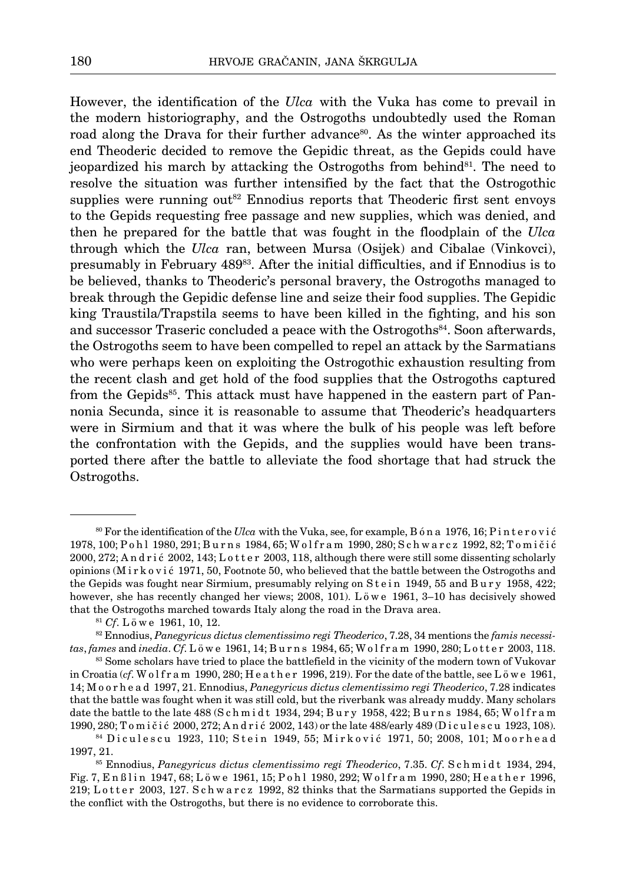However, the identification of the *Ulca* with the Vuka has come to prevail in the modern historiography, and the Ostrogoths undoubtedly used the Roman road along the Drava for their further advance<sup>80</sup>. As the winter approached its end Theoderic decided to remove the Gepidic threat, as the Gepids could have jeopardized his march by attacking the Ostrogoths from behind<sup>81</sup>. The need to resolve the situation was further intensified by the fact that the Ostrogothic supplies were running out<sup>82</sup> Ennodius reports that Theoderic first sent envoys to the Gepids requesting free passage and new supplies, which was denied, and then he prepared for the battle that was fought in the floodplain of the *Ulca* through which the *Ulca* ran, between Mursa (Osijek) and Cibalae (Vinkovci), presumably in February 48983. After the initial difficulties, and if Ennodius is to be believed, thanks to Theoderic's personal bravery, the Ostrogoths managed to break through the Gepidic defense line and seize their food supplies. The Gepidic king Traustila/Trapstila seems to have been killed in the fighting, and his son and successor Traseric concluded a peace with the Ostrogoths84. Soon afterwards, the Ostrogoths seem to have been compelled to repel an attack by the Sarmatians who were perhaps keen on exploiting the Ostrogothic exhaustion resulting from the recent clash and get hold of the food supplies that the Ostrogoths captured from the Gepids<sup>85</sup>. This attack must have happened in the eastern part of Pannonia Secunda, since it is reasonable to assume that Theoderic's headquarters were in Sirmium and that it was where the bulk of his people was left before the confrontation with the Gepids, and the supplies would have been transported there after the battle to alleviate the food shortage that had struck the Ostrogoths.

<sup>80</sup> For the identification of the *Ulca* with the Vuka, see, for example, B ó n a 1976, 16; P i n t e r o v i ć 1978, 100; P o h l 1980, 291; B u r n s 1984, 65; W o l f r a m 1990, 280; S c h w a r c z 1992, 82; T o m i č i ć 2000, 272; Andri ć 2002, 143; Lotter 2003, 118, although there were still some dissenting scholarly opinions (M i r k o v i ć 1971, 50, Footnote 50, who believed that the battle between the Ostrogoths and the Gepids was fought near Sirmium, presumably relying on Stein 1949, 55 and Bury 1958, 422; however, she has recently changed her views; 2008, 101). L ö w e 1961, 3-10 has decisively showed that the Ostrogoths marched towards Italy along the road in the Drava area.

<sup>81</sup> *Cf*. L ö w e 1961, 10, 12.

<sup>82</sup> Ennodius, *Panegyricus dictus clementissimo regi Theoderico*, 7.28, 34 mentions the *famis necessitas*, *fames* and *inedia*. *Cf*. L ö w e 1961, 14; B u r n s 1984, 65; W o l f r a m 1990, 280; L o t t e r 2003, 118.

<sup>&</sup>lt;sup>83</sup> Some scholars have tried to place the battlefield in the vicinity of the modern town of Vukovar in Croatia (*cf*. W o l f r a m 1990, 280; H e a t h e r 1996, 219). For the date of the battle, see L  $\ddot{o}$  w e 1961, 14; M o o r h e a d 1997, 21. Ennodius, *Panegyricus dictus clementissimo regi Theoderico*, 7.28 indicates that the battle was fought when it was still cold, but the riverbank was already muddy. Many scholars date the battle to the late 488 (S c h m i d t 1934, 294; B u r y 1958, 422; B u r n s 1984, 65; W o l f r a m 1990, 280; T o m i č i ć 2000, 272; A n d r i ć 2002, 143) or the late 488/early 489 (D i c u l e s c u 1923, 108).

<sup>84</sup> Diculescu 1923, 110; Stein 1949, 55; Mirković 1971, 50; 2008, 101; Moorhead 1997, 21.

<sup>85</sup> Ennodius, *Panegyricus dictus clementissimo regi Theoderico*, 7.35. *Cf*. S c h m i d t 1934, 294, Fig. 7, En ßlin 1947, 68; Löwe 1961, 15; Pohl 1980, 292; Wolfram 1990, 280; Heather 1996, 219; L o t t e r 2003, 127. S c h w a r c z 1992, 82 thinks that the Sarmatians supported the Gepids in the conflict with the Ostrogoths, but there is no evidence to corroborate this.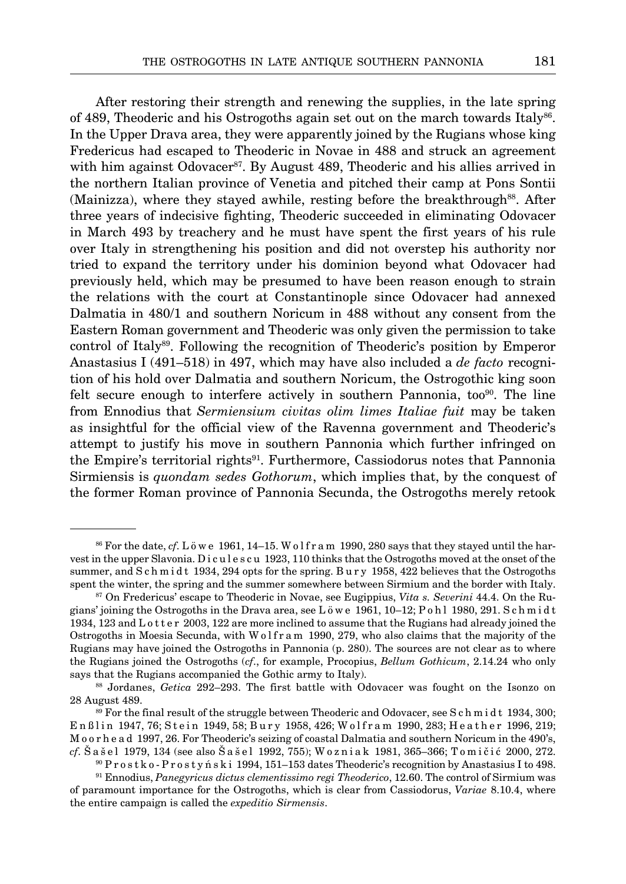After restoring their strength and renewing the supplies, in the late spring

of 489, Theoderic and his Ostrogoths again set out on the march towards Italy86. In the Upper Drava area, they were apparently joined by the Rugians whose king Fredericus had escaped to Theoderic in Novae in 488 and struck an agreement with him against Odovacer<sup>87</sup>. By August 489, Theoderic and his allies arrived in the northern Italian province of Venetia and pitched their camp at Pons Sontii (Mainizza), where they stayed awhile, resting before the breakthrough<sup>88</sup>. After three years of indecisive fighting, Theoderic succeeded in eliminating Odovacer in March 493 by treachery and he must have spent the first years of his rule over Italy in strengthening his position and did not overstep his authority nor tried to expand the territory under his dominion beyond what Odovacer had previously held, which may be presumed to have been reason enough to strain the relations with the court at Constantinople since Odovacer had annexed Dalmatia in 480/1 and southern Noricum in 488 without any consent from the Eastern Roman government and Theoderic was only given the permission to take control of Italy<sup>89</sup>. Following the recognition of Theoderic's position by Emperor Anastasius I (491–518) in 497, which may have also included a *de facto* recognition of his hold over Dalmatia and southern Noricum, the Ostrogothic king soon felt secure enough to interfere actively in southern Pannonia, too<sup>90</sup>. The line from Ennodius that *Sermiensium civitas olim limes Italiae fuit* may be taken as insightful for the official view of the Ravenna government and Theoderic's attempt to justify his move in southern Pannonia which further infringed on the Empire's territorial rights<sup>91</sup>. Furthermore, Cassiodorus notes that Pannonia Sirmiensis is *quondam sedes Gothorum*, which implies that, by the conquest of the former Roman province of Pannonia Secunda, the Ostrogoths merely retook

 $86$  For the date, *cf*. L  $\ddot{\text{o}}$  w e 1961, 14–15. W o l f r a m 1990, 280 says that they stayed until the harvest in the upper Slavonia. Dicules cu 1923, 110 thinks that the Ostrogoths moved at the onset of the summer, and S c h m i d t 1934, 294 opts for the spring. Bury 1958, 422 believes that the Ostrogoths spent the winter, the spring and the summer somewhere between Sirmium and the border with Italy.

<sup>87</sup> On Fredericus' escape to Theoderic in Novae, see Eugippius, *Vita s. Severini* 44.4. On the Rugians' joining the Ostrogoths in the Drava area, see L ö w e 1961, 10–12; P o h l 1980, 291. S c h m i d t 1934, 123 and L o t t e r 2003, 122 are more inclined to assume that the Rugians had already joined the Ostrogoths in Moesia Secunda, with W o l f r a m 1990, 279, who also claims that the majority of the Rugians may have joined the Ostrogoths in Pannonia (p. 280). The sources are not clear as to where the Rugians joined the Ostrogoths (*cf*., for example, Procopius, *Bellum Gothicum*, 2.14.24 who only says that the Rugians accompanied the Gothic army to Italy).

<sup>88</sup> Jordanes, *Getica* 292–293. The first battle with Odovacer was fought on the Isonzo on 28 August 489.

 $89$  For the final result of the struggle between Theoderic and Odovacer, see S c h m i d t 1934, 300: Enßlin 1947, 76; Stein 1949, 58; Bury 1958, 426; Wolfram 1990, 283; Heather 1996, 219; M o o r h e a d 1997, 26. For Theoderic's seizing of coastal Dalmatia and southern Noricum in the 490's, *cf*. Š a š e l 1979, 134 (see also Š a š e l 1992, 755); W o z n i a k 1981, 365–366; T o m i č i ć 2000, 272.

<sup>90</sup> P r o s t k o - P r o s t y ń s k i 1994, 151–153 dates Theoderic's recognition by Anastasius I to 498.

<sup>91</sup> Ennodius, *Panegyricus dictus clementissimo regi Theoderico*, 12.60. The control of Sirmium was of paramount importance for the Ostrogoths, which is clear from Cassiodorus, *Variae* 8.10.4, where the entire campaign is called the *expeditio Sirmensis*.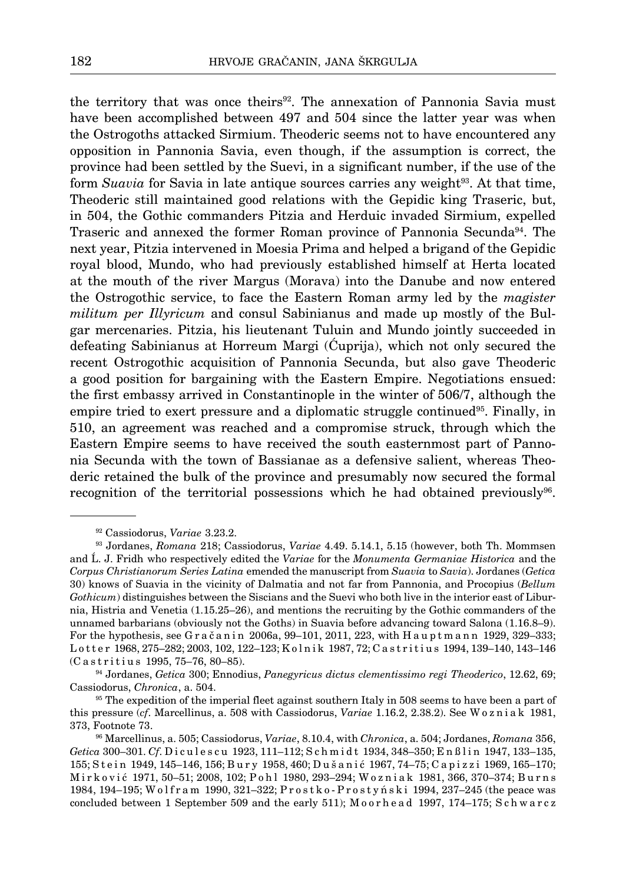the territory that was once theirs<sup>92</sup>. The annexation of Pannonia Savia must have been accomplished between 497 and 504 since the latter year was when the Ostrogoths attacked Sirmium. Theoderic seems not to have encountered any opposition in Pannonia Savia, even though, if the assumption is correct, the province had been settled by the Suevi, in a significant number, if the use of the form *Suavia* for Savia in late antique sources carries any weight<sup>93</sup>. At that time, Theoderic still maintained good relations with the Gepidic king Traseric, but, in 504, the Gothic commanders Pitzia and Herduic invaded Sirmium, expelled Traseric and annexed the former Roman province of Pannonia Secunda<sup>94</sup>. The next year, Pitzia intervened in Moesia Prima and helped a brigand of the Gepidic royal blood, Mundo, who had previously established himself at Herta located at the mouth of the river Margus (Morava) into the Danube and now entered the Ostrogothic service, to face the Eastern Roman army led by the *magister militum per Illyricum* and consul Sabinianus and made up mostly of the Bulgar mercenaries. Pitzia, his lieutenant Tuluin and Mundo jointly succeeded in defeating Sabinianus at Horreum Margi (Ćuprija), which not only secured the recent Ostrogothic acquisition of Pannonia Secunda, but also gave Theoderic a good position for bargaining with the Eastern Empire. Negotiations ensued: the first embassy arrived in Constantinople in the winter of 506/7, although the empire tried to exert pressure and a diplomatic struggle continued<sup>95</sup>. Finally, in 510, an agreement was reached and a compromise struck, through which the Eastern Empire seems to have received the south easternmost part of Pannonia Secunda with the town of Bassianae as a defensive salient, whereas Theoderic retained the bulk of the province and presumably now secured the formal recognition of the territorial possessions which he had obtained previously96.

<sup>92</sup> Cassiodorus, *Variae* 3.23.2.

<sup>93</sup> Jordanes, *Romana* 218; Cassiodorus, *Variae* 4.49. 5.14.1, 5.15 (however, both Th. Mommsen and Å. J. Fridh who respectively edited the *Variae* for the *Monumenta Germaniae Historica* and the *Corpus Christianorum Series Latina* emended the manuscript from *Suavia* to *Savia*). Jordanes (*Getica* 30) knows of Suavia in the vicinity of Dalmatia and not far from Pannonia, and Procopius (*Bellum Gothicum*) distinguishes between the Siscians and the Suevi who both live in the interior east of Liburnia, Histria and Venetia (1.15.25–26), and mentions the recruiting by the Gothic commanders of the unnamed barbarians (obviously not the Goths) in Suavia before advancing toward Salona (1.16.8–9). For the hypothesis, see G r a č a n i n 2006a,  $99-101$ ,  $2011$ ,  $223$ , with H a u p t m a n n 1929,  $329-333$ ; L o t t e r 1968, 275–282; 2003, 102, 122–123; K o l n i k 1987, 72; C a s t r i t i u s 1994, 139–140, 143–146 (Castritius 1995, 75-76, 80-85).

<sup>94</sup> Jordanes, *Getica* 300; Ennodius, *Panegyricus dictus clementissimo regi Theoderico*, 12.62, 69; Cassiodorus, *Chronica*, a. 504.

<sup>&</sup>lt;sup>95</sup> The expedition of the imperial fleet against southern Italy in 508 seems to have been a part of this pressure (*cf*. Marcellinus, a. 508 with Cassiodorus, *Variae* 1.16.2, 2.38.2). See W o z n i a k 1981, 373, Footnote 73.

<sup>96</sup> Marcellinus, a. 505; Cassiodorus, *Variae*, 8.10.4, with *Chronica*, a. 504; Jordanes, *Romana* 356, *Getica* 300-301. *Cf*. Diculescu 1923, 111-112; Schmidt 1934, 348-350; Enßlin 1947, 133-135, 155; Stein 1949, 145-146, 156; Bury 1958, 460; Dušanić 1967, 74-75; Capizzi 1969, 165-170; M i r k o v i ć 1971, 50–51; 2008, 102; P o h l 1980, 293–294; W o z n i a k 1981, 366, 370–374; B u r n s 1984, 194-195; Wolfram 1990, 321-322; Prostko-Prostyński 1994, 237-245 (the peace was concluded between 1 September 509 and the early 511); Moorhead 1997, 174-175; Schwarcz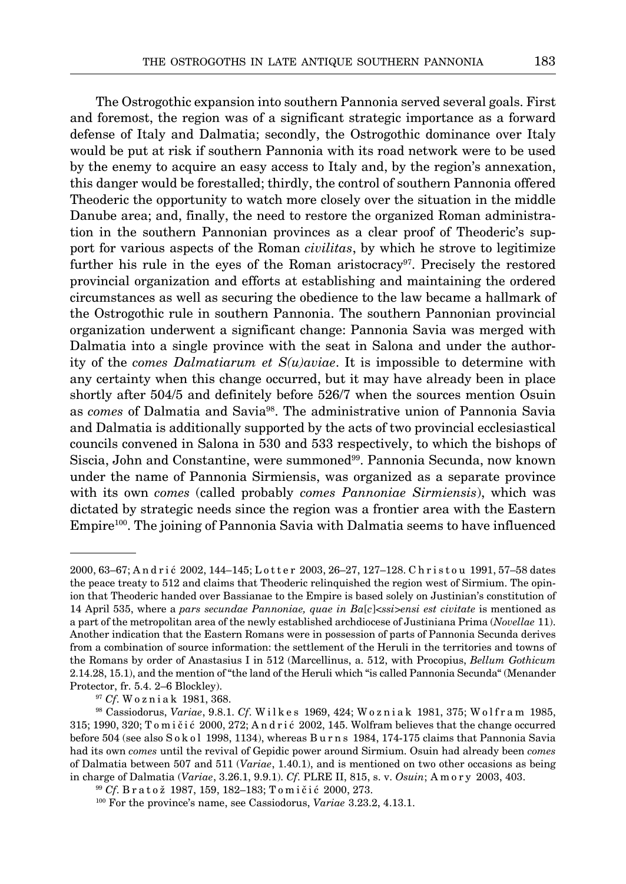The Ostrogothic expansion into southern Pannonia served several goals. First and foremost, the region was of a significant strategic importance as a forward defense of Italy and Dalmatia; secondly, the Ostrogothic dominance over Italy would be put at risk if southern Pannonia with its road network were to be used by the enemy to acquire an easy access to Italy and, by the region's annexation, this danger would be forestalled; thirdly, the control of southern Pannonia offered Theoderic the opportunity to watch more closely over the situation in the middle Danube area; and, finally, the need to restore the organized Roman administration in the southern Pannonian provinces as a clear proof of Theoderic's support for various aspects of the Roman *civilitas*, by which he strove to legitimize further his rule in the eyes of the Roman aristocracy<sup>97</sup>. Precisely the restored provincial organization and efforts at establishing and maintaining the ordered circumstances as well as securing the obedience to the law became a hallmark of the Ostrogothic rule in southern Pannonia. The southern Pannonian provincial organization underwent a significant change: Pannonia Savia was merged with Dalmatia into a single province with the seat in Salona and under the authority of the *comes Dalmatiarum et S(u)aviae*. It is impossible to determine with any certainty when this change occurred, but it may have already been in place shortly after 504/5 and definitely before 526/7 when the sources mention Osuin as *comes* of Dalmatia and Savia98. The administrative union of Pannonia Savia and Dalmatia is additionally supported by the acts of two provincial ecclesiastical councils convened in Salona in 530 and 533 respectively, to which the bishops of Siscia, John and Constantine, were summoned<sup>99</sup>. Pannonia Secunda, now known under the name of Pannonia Sirmiensis, was organized as a separate province with its own *comes* (called probably *comes Pannoniae Sirmiensis*), which was dictated by strategic needs since the region was a frontier area with the Eastern Empire100. The joining of Pannonia Savia with Dalmatia seems to have influenced

<sup>2000, 63–67;</sup> Andrić 2002, 144–145; Lotter 2003, 26–27, 127–128. Christou 1991, 57–58 dates the peace treaty to 512 and claims that Theoderic relinquished the region west of Sirmium. The opinion that Theoderic handed over Bassianae to the Empire is based solely on Justinian's constitution of 14 April 535, where a *pars secundae Pannoniae, quae in Ba*[*c*]<*ssi*>*ensi est civitate* is mentioned as a part of the metropolitan area of the newly established archdiocese of Justiniana Prima (*Novellae* 11). Another indication that the Eastern Romans were in possession of parts of Pannonia Secunda derives from a combination of source information: the settlement of the Heruli in the territories and towns of the Romans by order of Anastasius I in 512 (Marcellinus, a. 512, with Procopius, *Bellum Gothicum*  2.14.28, 15.1), and the mention of "the land of the Heruli which "is called Pannonia Secunda" (Menander Protector, fr. 5.4. 2–6 Blockley). 97 *Cf*. W o z n i a k 1981, 368.

<sup>98</sup> Cassiodorus, *Variae*, 9.8.1. *Cf*. W i l k e s 1969, 424; W o z n i a k 1981, 375; W o l f r a m 1985, 315; 1990, 320; T o m i č i ć 2000, 272; A n d r i ć 2002, 145. Wolfram believes that the change occurred before 504 (see also Sokol 1998, 1134), whereas Burns 1984, 174-175 claims that Pannonia Savia had its own *comes* until the revival of Gepidic power around Sirmium. Osuin had already been *comes* of Dalmatia between 507 and 511 (*Variae*, 1.40.1), and is mentioned on two other occasions as being in charge of Dalmatia (*Variae*, 3.26.1, 9.9.1). *Cf*. PLRE II, 815, s. v. *Osuin*; A m o r y 2003, 403.

<sup>&</sup>lt;sup>99</sup> *Cf*. Bratož 1987, 159, 182-183; Tomičić 2000, 273.

<sup>100</sup> For the province's name, see Cassiodorus, *Variae* 3.23.2, 4.13.1.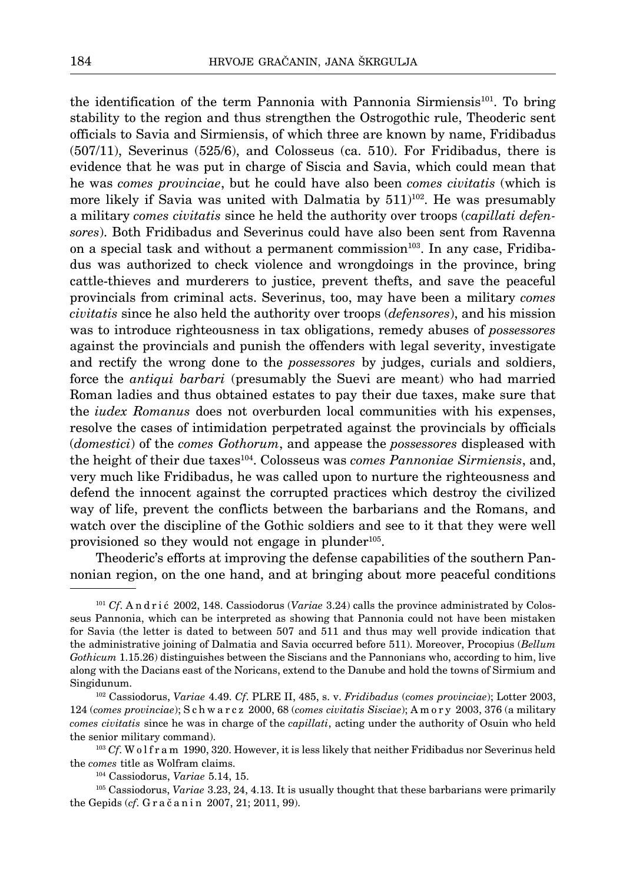the identification of the term Pannonia with Pannonia Sirmiensis<sup>101</sup>. To bring stability to the region and thus strengthen the Ostrogothic rule, Theoderic sent officials to Savia and Sirmiensis, of which three are known by name, Fridibadus (507/11), Severinus (525/6), and Colosseus (ca. 510). For Fridibadus, there is evidence that he was put in charge of Siscia and Savia, which could mean that he was *comes provinciae*, but he could have also been *comes civitatis* (which is more likely if Savia was united with Dalmatia by  $511$ <sup> $102$ </sup>. He was presumably a military *comes civitatis* since he held the authority over troops (*capillati defensores*). Both Fridibadus and Severinus could have also been sent from Ravenna on a special task and without a permanent commission<sup>103</sup>. In any case, Fridibadus was authorized to check violence and wrongdoings in the province, bring cattle-thieves and murderers to justice, prevent thefts, and save the peaceful provincials from criminal acts. Severinus, too, may have been a military *comes civitatis* since he also held the authority over troops (*defensores*), and his mission was to introduce righteousness in tax obligations, remedy abuses of *possessores*  against the provincials and punish the offenders with legal severity, investigate and rectify the wrong done to the *possessores* by judges, curials and soldiers, force the *antiqui barbari* (presumably the Suevi are meant) who had married Roman ladies and thus obtained estates to pay their due taxes, make sure that the *iudex Romanus* does not overburden local communities with his expenses, resolve the cases of intimidation perpetrated against the provincials by officials (*domestici*) of the *comes Gothorum*, and appease the *possessores* displeased with the height of their due taxes104. Colosseus was *comes Pannoniae Sirmiensis*, and, very much like Fridibadus, he was called upon to nurture the righteousness and defend the innocent against the corrupted practices which destroy the civilized way of life, prevent the conflicts between the barbarians and the Romans, and watch over the discipline of the Gothic soldiers and see to it that they were well provisioned so they would not engage in plunder<sup>105</sup>.

Theoderic's efforts at improving the defense capabilities of the southern Pannonian region, on the one hand, and at bringing about more peaceful conditions

<sup>101</sup> *Cf*. A n d r i ć 2002, 148. Cassiodorus (*Variae* 3.24) calls the province administrated by Colosseus Pannonia, which can be interpreted as showing that Pannonia could not have been mistaken for Savia (the letter is dated to between 507 and 511 and thus may well provide indication that the administrative joining of Dalmatia and Savia occurred before 511). Moreover, Procopius (*Bellum Gothicum* 1.15.26) distinguishes between the Siscians and the Pannonians who, according to him, live along with the Dacians east of the Noricans, extend to the Danube and hold the towns of Sirmium and Singidunum.

102 Cassiodorus, *Variae* 4.49. *Cf*. PLRE II, 485, s. v. *Fridibadus* (*comes provinciae*); Lotter 2003, 124 (*comes provinciae*); S c h w a r c z 2000, 68 (*comes civitatis Sisciae*); A m o r y 2003, 376 (a military *comes civitatis* since he was in charge of the *capillati*, acting under the authority of Osuin who held the senior military command).

<sup>103</sup> *Cf.* W o l f r a m 1990, 320. However, it is less likely that neither Fridibadus nor Severinus held the *comes* title as Wolfram claims.

105 Cassiodorus, *Variae* 3.23, 24, 4.13. It is usually thought that these barbarians were primarily the Gepids (*cf.* G r a č a n i n 2007, 21; 2011, 99).

<sup>104</sup> Cassiodorus, *Variae* 5.14, 15.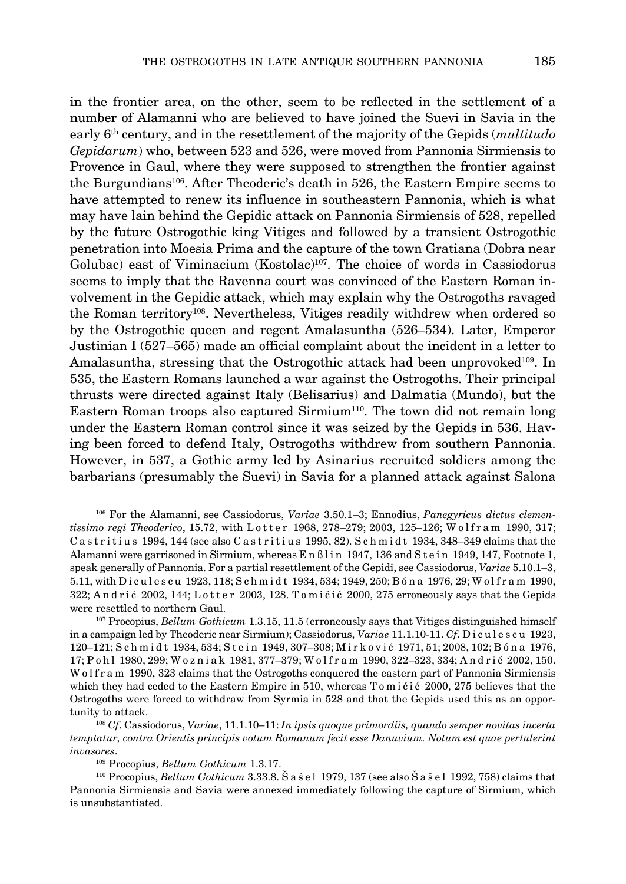in the frontier area, on the other, seem to be reflected in the settlement of a number of Alamanni who are believed to have joined the Suevi in Savia in the early 6th century, and in the resettlement of the majority of the Gepids (*multitudo Gepidarum*) who, between 523 and 526, were moved from Pannonia Sirmiensis to Provence in Gaul, where they were supposed to strengthen the frontier against the Burgundians106. After Theoderic's death in 526, the Eastern Empire seems to have attempted to renew its influence in southeastern Pannonia, which is what may have lain behind the Gepidic attack on Pannonia Sirmiensis of 528, repelled by the future Ostrogothic king Vitiges and followed by a transient Ostrogothic penetration into Moesia Prima and the capture of the town Gratiana (Dobra near Golubac) east of Viminacium (Kostolac)107. The choice of words in Cassiodorus seems to imply that the Ravenna court was convinced of the Eastern Roman involvement in the Gepidic attack, which may explain why the Ostrogoths ravaged the Roman territory108. Nevertheless, Vitiges readily withdrew when ordered so

by the Ostrogothic queen and regent Amalasuntha (526–534). Later, Emperor Justinian I (527–565) made an official complaint about the incident in a letter to Amalasuntha, stressing that the Ostrogothic attack had been unprovoked<sup>109</sup>. In 535, the Eastern Romans launched a war against the Ostrogoths. Their principal thrusts were directed against Italy (Belisarius) and Dalmatia (Mundo), but the Eastern Roman troops also captured  $Sirmium<sup>110</sup>$ . The town did not remain long under the Eastern Roman control since it was seized by the Gepids in 536. Having been forced to defend Italy, Ostrogoths withdrew from southern Pannonia. However, in 537, a Gothic army led by Asinarius recruited soldiers among the barbarians (presumably the Suevi) in Savia for a planned attack against Salona

<sup>106</sup> For the Alamanni, see Cassiodorus, *Variae* 3.50.1–3; Ennodius, *Panegyricus dictus clementissimo regi Theoderico*, 15.72, with L o t t e r 1968, 278–279; 2003, 125–126; W o l f r a m 1990, 317; C a stritius 1994, 144 (see also C a stritius 1995, 82). S ch midt 1934, 348–349 claims that the Alamanni were garrisoned in Sirmium, whereas Enßlin 1947, 136 and Stein 1949, 147, Footnote 1, speak generally of Pannonia. For a partial resettlement of the Gepidi, see Cassiodorus, *Variae* 5.10.1–3, 5.11, with Diculescu 1923, 118; Schmidt 1934, 534; 1949, 250; Bóna 1976, 29; Wolfram 1990,  $322$ ; Andrić 2002, 144; Lotter 2003, 128. Tomičić 2000, 275 erroneously says that the Gepids were resettled to northern Gaul.

<sup>107</sup> Procopius, *Bellum Gothicum* 1.3.15, 11.5 (erroneously says that Vitiges distinguished himself in a campaign led by Theoderic near Sirmium); Cassiodorus, *Variae* 11.1.10-11. *Cf*. D i c u l e s c u 1923, 120–121; S c h m i d t 1934, 534; S t e i n 1949, 307–308; M i r k o v i ć 1971, 51; 2008, 102; B ó n a 1976, 17; P o h l 1980, 299; W o z n i a k 1981, 377–379; W o l f r a m 1990, 322–323, 334; A n d r i ć 2002, 150. W o l f r a m 1990, 323 claims that the Ostrogoths conquered the eastern part of Pannonia Sirmiensis which they had ceded to the Eastern Empire in 510, whereas T o m i č i ć 2000, 275 believes that the Ostrogoths were forced to withdraw from Syrmia in 528 and that the Gepids used this as an opportunity to attack.

<sup>108</sup> *Cf*. Cassiodorus, *Variae*, 11.1.10–11: *In ipsis quoque primordiis, quando semper novitas incerta temptatur, contra Orientis principis votum Romanum fecit esse Danuvium. Notum est quae pertulerint invasores*.

<sup>109</sup> Procopius, *Bellum Gothicum* 1.3.17.

<sup>110</sup> Procopius, *Bellum Gothicum* 3.33.8. Š a š e l 1979, 137 (see also Š a š e l 1992, 758) claims that Pannonia Sirmiensis and Savia were annexed immediately following the capture of Sirmium, which is unsubstantiated.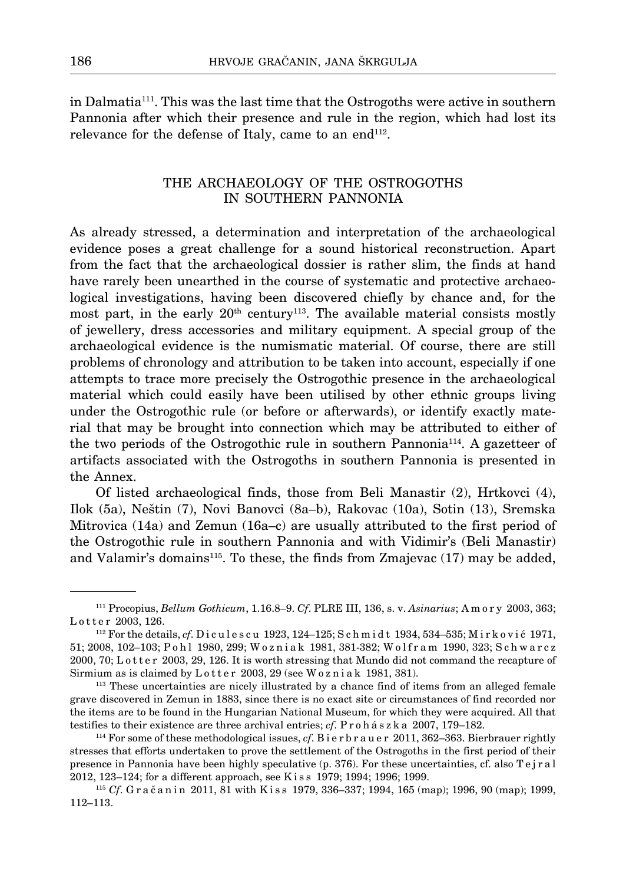in Dalmatia111. This was the last time that the Ostrogoths were active in southern Pannonia after which their presence and rule in the region, which had lost its relevance for the defense of Italy, came to an end $^{112}$ .

# The archaeology of the Ostrogoths in southern Pannonia

As already stressed, a determination and interpretation of the archaeological evidence poses a great challenge for a sound historical reconstruction. Apart from the fact that the archaeological dossier is rather slim, the finds at hand have rarely been unearthed in the course of systematic and protective archaeological investigations, having been discovered chiefly by chance and, for the most part, in the early  $20<sup>th</sup>$  century<sup>113</sup>. The available material consists mostly of jewellery, dress accessories and military equipment. A special group of the archaeological evidence is the numismatic material. Of course, there are still problems of chronology and attribution to be taken into account, especially if one attempts to trace more precisely the Ostrogothic presence in the archaeological material which could easily have been utilised by other ethnic groups living under the Ostrogothic rule (or before or afterwards), or identify exactly material that may be brought into connection which may be attributed to either of the two periods of the Ostrogothic rule in southern Pannonia114. A gazetteer of artifacts associated with the Ostrogoths in southern Pannonia is presented in the Annex.

Of listed archaeological finds, those from Beli Manastir (2), Hrtkovci (4), Ilok (5a), Neštin (7), Novi Banovci (8a–b), Rakovac (10a), Sotin (13), Sremska Mitrovica (14a) and Zemun (16a–c) are usually attributed to the first period of the Ostrogothic rule in southern Pannonia and with Vidimir's (Beli Manastir) and Valamir's domains115. To these, the finds from Zmajevac (17) may be added,

<sup>111</sup> Procopius, *Bellum Gothicum*, 1.16.8–9. *Cf*. PLRE III, 136, s. v. *Asinarius*; A m o r y 2003, 363; Lotter 2003, 126.

<sup>&</sup>lt;sup>112</sup> For the details, *cf*. Diculescu 1923, 124–125; Schmidt 1934, 534–535; Mirković 1971, 51; 2008, 102-103; P o h l 1980, 299; W o z ni a k 1981, 381-382; W o l f r a m 1990, 323; S c h w a r c z 2000, 70; L o t t e r 2003, 29, 126. It is worth stressing that Mundo did not command the recapture of Sirmium as is claimed by  $L \text{ o} t t e r 2003$ , 29 (see W $\text{o} z$  n i a k 1981, 381).

<sup>113</sup> These uncertainties are nicely illustrated by a chance find of items from an alleged female grave discovered in Zemun in 1883, since there is no exact site or circumstances of find recorded nor the items are to be found in the Hungarian National Museum, for which they were acquired. All that testifies to their existence are three archival entries; *cf*. P r o h á s z k a 2007, 179–182.

<sup>114</sup> For some of these methodological issues, *cf*. B i e r b r a u e r 2011, 362–363. Bierbrauer rightly stresses that efforts undertaken to prove the settlement of the Ostrogoths in the first period of their presence in Pannonia have been highly speculative (p. 376). For these uncertainties, cf. also T e j r a l 2012, 123–124; for a different approach, see K i s s 1979; 1994; 1996; 1999.

<sup>&</sup>lt;sup>115</sup> *Cf*. Gračanin 2011, 81 with Kiss 1979, 336–337; 1994, 165 (map); 1996, 90 (map); 1999, 112–113.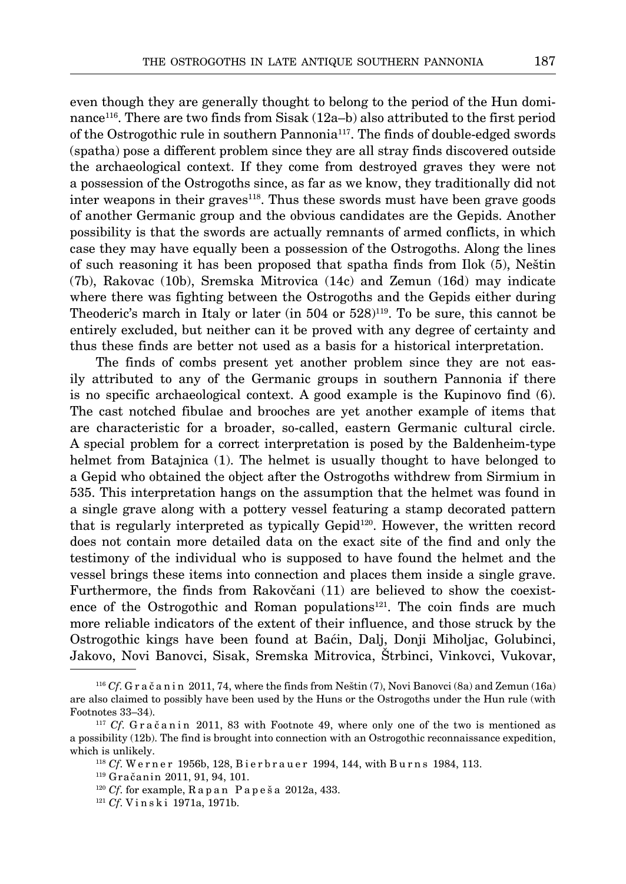even though they are generally thought to belong to the period of the Hun dominance116. There are two finds from Sisak (12a–b) also attributed to the first period of the Ostrogothic rule in southern Pannonia117. The finds of double-edged swords (spatha) pose a different problem since they are all stray finds discovered outside the archaeological context. If they come from destroyed graves they were not a possession of the Ostrogoths since, as far as we know, they traditionally did not inter weapons in their graves118. Thus these swords must have been grave goods of another Germanic group and the obvious candidates are the Gepids. Another possibility is that the swords are actually remnants of armed conflicts, in which case they may have equally been a possession of the Ostrogoths. Along the lines of such reasoning it has been proposed that spatha finds from Ilok (5), Neštin (7b), Rakovac (10b), Sremska Mitrovica (14c) and Zemun (16d) may indicate where there was fighting between the Ostrogoths and the Gepids either during Theoderic's march in Italy or later (in  $504$  or  $528$ )<sup>119</sup>. To be sure, this cannot be entirely excluded, but neither can it be proved with any degree of certainty and

thus these finds are better not used as a basis for a historical interpretation.

The finds of combs present yet another problem since they are not easily attributed to any of the Germanic groups in southern Pannonia if there is no specific archaeological context. A good example is the Kupinovo find (6). The cast notched fibulae and brooches are yet another example of items that are characteristic for a broader, so-called, eastern Germanic cultural circle. A special problem for a correct interpretation is posed by the Baldenheim-type helmet from Batajnica (1). The helmet is usually thought to have belonged to a Gepid who obtained the object after the Ostrogoths withdrew from Sirmium in 535. This interpretation hangs on the assumption that the helmet was found in a single grave along with a pottery vessel featuring a stamp decorated pattern that is regularly interpreted as typically Gepid120. However, the written record does not contain more detailed data on the exact site of the find and only the testimony of the individual who is supposed to have found the helmet and the vessel brings these items into connection and places them inside a single grave. Furthermore, the finds from Rakovčani (11) are believed to show the coexistence of the Ostrogothic and Roman populations<sup>121</sup>. The coin finds are much more reliable indicators of the extent of their influence, and those struck by the Ostrogothic kings have been found at Baćin, Dalj, Donji Miholjac, Golubinci, Jakovo, Novi Banovci, Sisak, Sremska Mitrovica, Štrbinci, Vinkovci, Vukovar,

<sup>&</sup>lt;sup>116</sup> *Cf*. G r a č a n i n 2011, 74, where the finds from Neštin  $(7)$ , Novi Banovci  $(8a)$  and Zemun  $(16a)$ are also claimed to possibly have been used by the Huns or the Ostrogoths under the Hun rule (with Footnotes 33–34).

 $117 \text{ } Cf$ . G r a č a n i n 2011, 83 with Footnote 49, where only one of the two is mentioned as a possibility (12b). The find is brought into connection with an Ostrogothic reconnaissance expedition, which is unlikely.

<sup>&</sup>lt;sup>118</sup> *Cf*. Werner 1956b, 128, Bierbrauer 1994, 144, with Burns 1984, 113.

<sup>119</sup> Gračanin 2011, 91, 94, 101.

<sup>120</sup> *Cf*. for example, R a p a n P a p e š a 2012a, 433.

<sup>121</sup> *Cf*. V i n s k i 1971a, 1971b.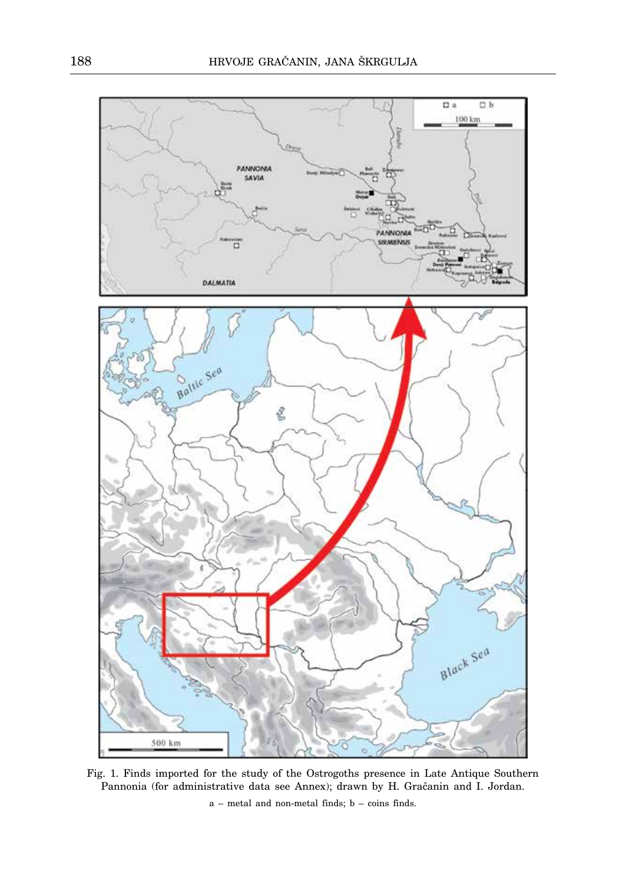

Fig. 1. Finds imported for the study of the Ostrogoths presence in Late Antique Southern Pannonia (for administrative data see Annex); drawn by H. Gračanin and I. Jordan.

a – metal and non-metal finds; b – coins finds.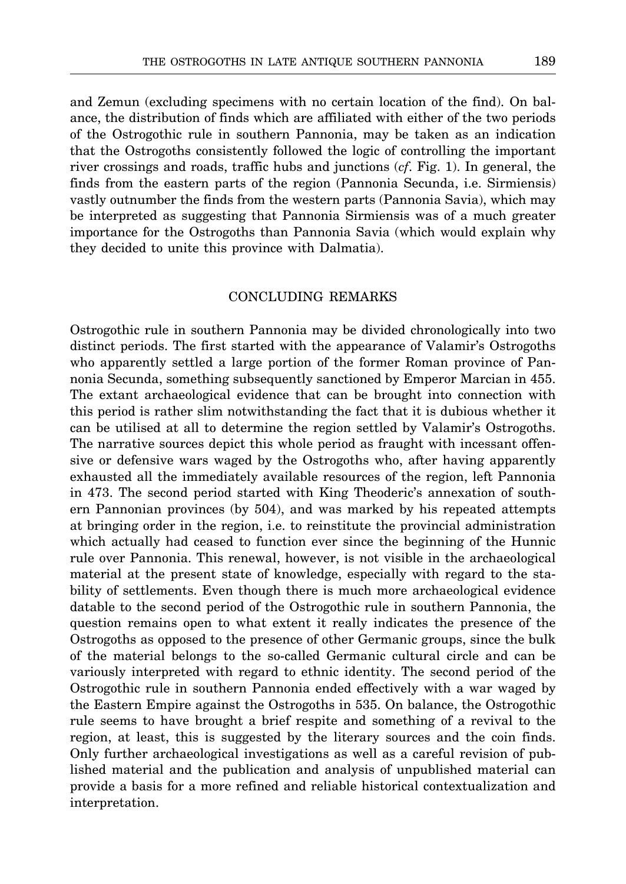and Zemun (excluding specimens with no certain location of the find). On balance, the distribution of finds which are affiliated with either of the two periods of the Ostrogothic rule in southern Pannonia, may be taken as an indication that the Ostrogoths consistently followed the logic of controlling the important river crossings and roads, traffic hubs and junctions (*cf*. Fig. 1). In general, the finds from the eastern parts of the region (Pannonia Secunda, i.e. Sirmiensis) vastly outnumber the finds from the western parts (Pannonia Savia), which may be interpreted as suggesting that Pannonia Sirmiensis was of a much greater importance for the Ostrogoths than Pannonia Savia (which would explain why they decided to unite this province with Dalmatia).

# Concluding remarks

Ostrogothic rule in southern Pannonia may be divided chronologically into two distinct periods. The first started with the appearance of Valamir's Ostrogoths who apparently settled a large portion of the former Roman province of Pannonia Secunda, something subsequently sanctioned by Emperor Marcian in 455. The extant archaeological evidence that can be brought into connection with this period is rather slim notwithstanding the fact that it is dubious whether it can be utilised at all to determine the region settled by Valamir's Ostrogoths. The narrative sources depict this whole period as fraught with incessant offensive or defensive wars waged by the Ostrogoths who, after having apparently exhausted all the immediately available resources of the region, left Pannonia in 473. The second period started with King Theoderic's annexation of southern Pannonian provinces (by 504), and was marked by his repeated attempts at bringing order in the region, i.e. to reinstitute the provincial administration which actually had ceased to function ever since the beginning of the Hunnic rule over Pannonia. This renewal, however, is not visible in the archaeological material at the present state of knowledge, especially with regard to the stability of settlements. Even though there is much more archaeological evidence datable to the second period of the Ostrogothic rule in southern Pannonia, the question remains open to what extent it really indicates the presence of the Ostrogoths as opposed to the presence of other Germanic groups, since the bulk of the material belongs to the so-called Germanic cultural circle and can be variously interpreted with regard to ethnic identity. The second period of the Ostrogothic rule in southern Pannonia ended effectively with a war waged by the Eastern Empire against the Ostrogoths in 535. On balance, the Ostrogothic rule seems to have brought a brief respite and something of a revival to the region, at least, this is suggested by the literary sources and the coin finds. Only further archaeological investigations as well as a careful revision of published material and the publication and analysis of unpublished material can provide a basis for a more refined and reliable historical contextualization and interpretation.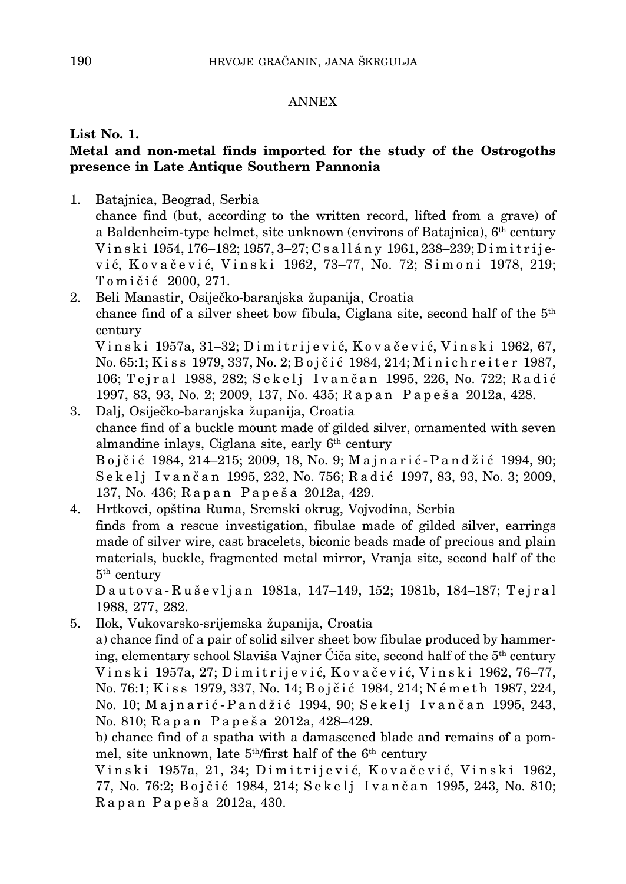# ANNEX

# **List No. 1. Metal and non-metal finds imported for the study of the Ostrogoths presence in Late Antique Southern Pannonia**

- 1. Batajnica, Beograd, Serbia chance find (but, according to the written record, lifted from a grave) of a Baldenheim-type helmet, site unknown (environs of Batajnica), 6th century V i n s k i 1954, 176–182; 1957, 3–27; C s a l l á n y 1961, 238–239; D i m i t r i j ević, Kovačević, Vinski 1962, 73-77, No. 72; Simoni 1978, 219; Tomičić 2000, 271.
- 2. Beli Manastir, Osiječko-baranjska županija, Croatia chance find of a silver sheet bow fibula, Ciglana site, second half of the  $5<sup>th</sup>$ century V i n s k i 1957a, 31–32; D i m i t r i j e v i ć, K o v a č e v i ć, V i n s k i 1962, 67,

No. 65:1; Kiss 1979, 337, No. 2; Bojčić 1984, 214; Minichreiter 1987, 106; Tejral 1988, 282; Sekelj Ivančan 1995, 226, No. 722; Radić 1997, 83, 93, No. 2; 2009, 137, No. 435; R a p a n P a p e š a 2012a, 428.

- 3. Dalj, Osiječko-baranjska županija, Croatia chance find of a buckle mount made of gilded silver, ornamented with seven almandine inlays, Ciglana site, early 6<sup>th</sup> century B o j č i ć 1984, 214–215; 2009, 18, No. 9; M a j n a r i ć - P a n d ž i ć 1994, 90; Sekelj Ivančan 1995, 232, No. 756; Radić 1997, 83, 93, No. 3; 2009, 137, No. 436; R a p a n P a p e š a 2012a, 429.
- 4. Hrtkovci, opština Ruma, Sremski okrug, Vojvodina, Serbia finds from a rescue investigation, fibulae made of gilded silver, earrings made of silver wire, cast bracelets, biconic beads made of precious and plain materials, buckle, fragmented metal mirror, Vranja site, second half of the  $5<sup>th</sup>$  century

Dautova-Ruševljan 1981a, 147–149, 152; 1981b, 184–187; Teiral 1988, 277, 282.

5. Ilok, Vukovarsko-srijemska županija, Croatia a) chance find of a pair of solid silver sheet bow fibulae produced by hammering, elementary school Slaviša Vajner Čiča site, second half of the 5th century V i n s k i 1957a, 27; D i m i t r i j e v i ć, K o v a č e v i ć, V i n s k i 1962, 76–77, No. 76:1; Kiss 1979, 337, No. 14; Bojčić 1984, 214; Németh 1987, 224, No. 10; Majnarić-Pandžić 1994, 90; Sekelj Ivančan 1995, 243, No. 810; R a p a n P a p e š a 2012a, 428–429.

b) chance find of a spatha with a damascened blade and remains of a pommel, site unknown, late  $5<sup>th</sup>/first$  half of the  $6<sup>th</sup>$  century

Vinski 1957a, 21, 34; Dimitrijević, Kovačević, Vinski 1962, 77, No. 76:2; Bojčić 1984, 214; Sekelj Ivančan 1995, 243, No. 810; R a p a n P a p e š a 2012a, 430.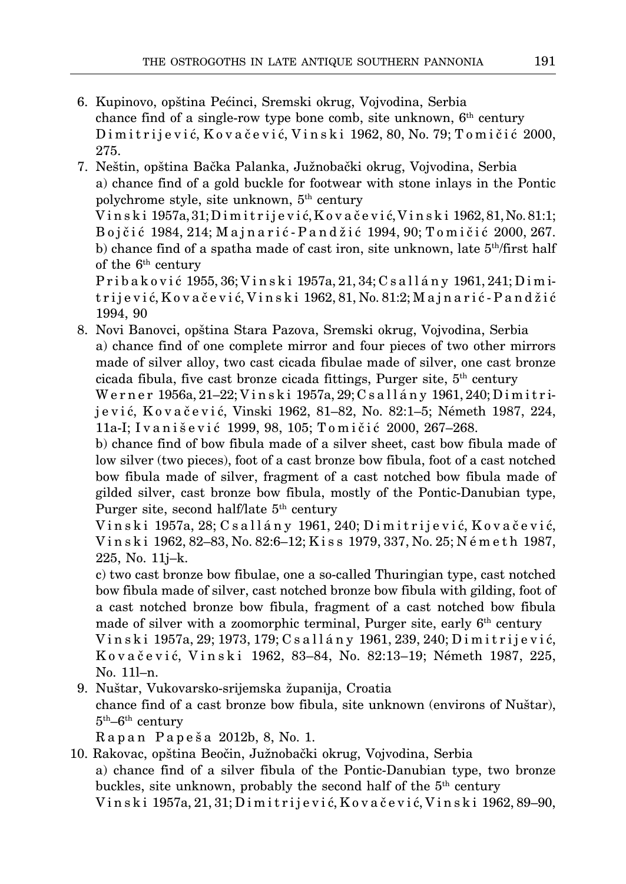- 16. Kupinovo, opština Pećinci, Sremski okrug, Vojvodina, Serbia chance find of a single-row type bone comb, site unknown,  $6<sup>th</sup>$  century Dimitrijević, Kovačević, Vinski 1962, 80, No. 79; Tomičić 2000, 275.
- 7. Neštin, opština Bačka Palanka, Južnobački okrug, Vojvodina, Serbia a) chance find of a gold buckle for footwear with stone inlays in the Pontic polychrome style, site unknown, 5th century V i n s k i 1957a, 31; D i m i t r i j e v i ć, K o v a č e v i ć, V i n s k i 1962, 81, No. 81:1; B o j č i ć 1984, 214; M a j n a r i ć - P a n d ž i ć 1994, 90; T o m i č i ć 2000, 267. b) chance find of a spatha made of cast iron, site unknown, late  $5<sup>th</sup>/first$  half of the  $6<sup>th</sup>$  century P r i b a k o v i ć 1955, 36; V i n s k i 1957a, 21, 34; C s a l l á n y 1961, 241; D i m itrijević,Kovačević,Vinski 1962,81,No.81:2;Majnarić-Pandžić
- 1994, 90 18. Novi Banovci, opština Stara Pazova, Sremski okrug, Vojvodina, Serbia a) chance find of one complete mirror and four pieces of two other mirrors made of silver alloy, two cast cicada fibulae made of silver, one cast bronze cicada fibula, five cast bronze cicada fittings, Purger site,  $5<sup>th</sup>$  century W e r n e r 1956a, 21–22; V i n s k i 1957a, 29; C s a l l á n y 1961, 240; D i m i t r i-

j e v i ć, K o v a č e v i ć, Vinski 1962, 81–82, No. 82:1–5; Németh 1987, 224, 11a-I; Ivanišević 1999, 98, 105; Tomičić 2000, 267–268.

b) chance find of bow fibula made of a silver sheet, cast bow fibula made of low silver (two pieces), foot of a cast bronze bow fibula, foot of a cast notched bow fibula made of silver, fragment of a cast notched bow fibula made of gilded silver, cast bronze bow fibula, mostly of the Pontic-Danubian type, Purger site, second half/late 5<sup>th</sup> century

V i n s k i 1957a, 28; C s a l l á n y 1961, 240; D i m i t r i j e v i ć, K o v a č e v i ć, V i n s k i 1962, 82–83, No. 82:6–12; K i s s 1979, 337, No. 25; N é m e t h 1987, 225, No. 11j–k.

c) two cast bronze bow fibulae, one a so-called Thuringian type, cast notched bow fibula made of silver, cast notched bronze bow fibula with gilding, foot of a cast notched bronze bow fibula, fragment of a cast notched bow fibula made of silver with a zoomorphic terminal, Purger site, early  $6<sup>th</sup>$  century V i n s k i 1957a, 29; 1973, 179; C s a l l á n y 1961, 239, 240; D i m i t r i j e v i ć,

K o v a č e v i ć, V i n s k i 1962, 83–84, No. 82:13–19; Németh 1987, 225, No. 11l–n.

19. Nuštar, Vukovarsko-srijemska županija, Croatia chance find of a cast bronze bow fibula, site unknown (environs of Nuštar),  $5<sup>th</sup>$ – $6<sup>th</sup>$  century

R a p a n P a p e š a 2012b, 8, No. 1.

10. Rakovac, opština Beočin, Južnobački okrug, Vojvodina, Serbia a) chance find of a silver fibula of the Pontic-Danubian type, two bronze buckles, site unknown, probably the second half of the 5th century V i n s k i 1957a, 21, 31; D i m i t r i j e v i ć, K o v a č e v i ć, V i n s k i 1962, 89–90,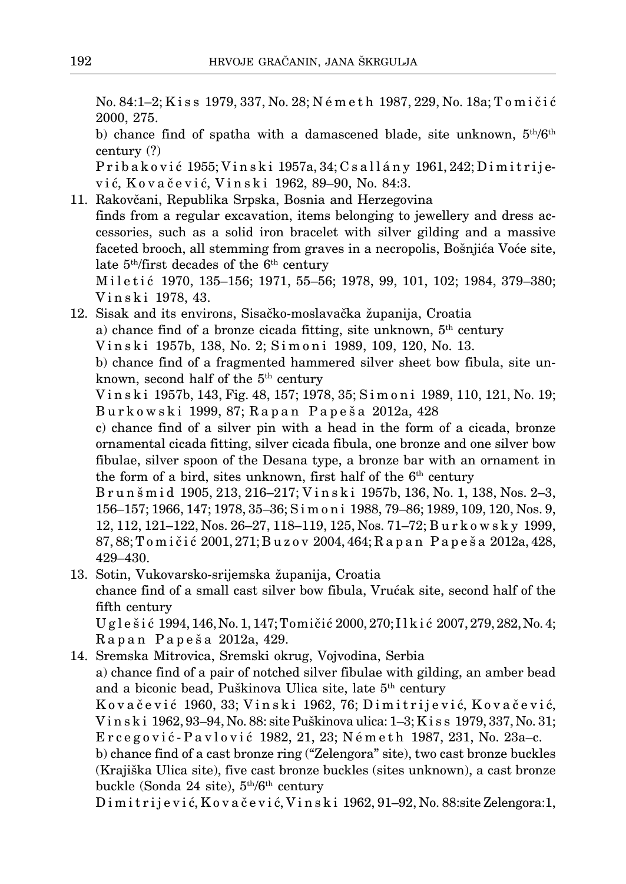No. 84:1–2; K i s s 1979, 337, No. 28; N é m e t h 1987, 229, No. 18a; T o m i č i ć 2000, 275.

b) chance find of spatha with a damascened blade, site unknown,  $5<sup>th</sup>/6<sup>th</sup>$ century (?)

Pribaković 1955; Vinski 1957a, 34; Csallány 1961, 242; Dimitrijev i ć, K o v a č e v i ć, V i n s k i 1962, 89–90, No. 84:3.

11. Rakovčani, Republika Srpska, Bosnia and Herzegovina finds from a regular excavation, items belonging to jewellery and dress accessories, such as a solid iron bracelet with silver gilding and a massive faceted brooch, all stemming from graves in a necropolis, Bošnjića Voće site, late  $5<sup>th</sup>/first$  decades of the  $6<sup>th</sup>$  century

Miletić 1970, 135-156; 1971, 55-56; 1978, 99, 101, 102; 1984, 379-380; V i n s k i 1978, 43.

12. Sisak and its environs, Sisačko-moslavačka županija, Croatia a) chance find of a bronze cicada fitting, site unknown,  $5<sup>th</sup>$  century V i n s k i 1957b, 138, No. 2; S i m o n i 1989, 109, 120, No. 13. b) chance find of a fragmented hammered silver sheet bow fibula, site unknown, second half of the  $5<sup>th</sup>$  century

V i n s k i 1957b, 143, Fig. 48, 157; 1978, 35; S i m o n i 1989, 110, 121, No. 19; B u r k o w s k i 1999, 87; R a p a n P a p e š a 2012a, 428

c) chance find of a silver pin with a head in the form of a cicada, bronze ornamental cicada fitting, silver cicada fibula, one bronze and one silver bow fibulae, silver spoon of the Desana type, a bronze bar with an ornament in the form of a bird, sites unknown, first half of the  $6<sup>th</sup>$  century

B r u n š m i d 1905, 213, 216–217; V i n s k i 1957b, 136, No. 1, 138, Nos. 2–3, 156–157; 1966, 147; 1978, 35–36; S i m o n i 1988, 79–86; 1989, 109, 120, Nos. 9, 12, 112, 121–122, Nos. 26–27, 118–119, 125, Nos. 71–72; B u r k o w s k y 1999, 87, 88; T o m i č i ć 2001, 271; B u z o v 2004, 464; R a p a n P a p e š a 2012a, 428, 429–430.

13. Sotin, Vukovarsko-srijemska županija, Croatia chance find of a small cast silver bow fibula, Vrućak site, second half of the fifth century

U g l e š i ć 1994, 146, No. 1, 147; Tomičić 2000, 270; I l k i ć 2007, 279, 282, No. 4; R a p a n P a p e š a 2012a, 429.

14. Sremska Mitrovica, Sremski okrug, Vojvodina, Serbia a) chance find of a pair of notched silver fibulae with gilding, an amber bead and a biconic bead, Puškinova Ulica site, late 5<sup>th</sup> century Kovačević 1960, 33; Vinski 1962, 76; Dimitrijević, Kovačević, V i n s k i 1962, 93–94, No. 88: site Puškinova ulica: 1–3; K i s s 1979, 337, No. 31; E r c e g o v i ć - P a v l o v i ć 1982, 21, 23; N é m e t h 1987, 231, No. 23a–c. b) chance find of a cast bronze ring ("Zelengora" site), two cast bronze buckles (Krajiška Ulica site), five cast bronze buckles (sites unknown), a cast bronze buckle (Sonda 24 site), 5th/6th century

D i m i t r i j e v i ć, K o v a č e v i ć, V i n s k i 1962, 91–92, No. 88:site Zelengora:1,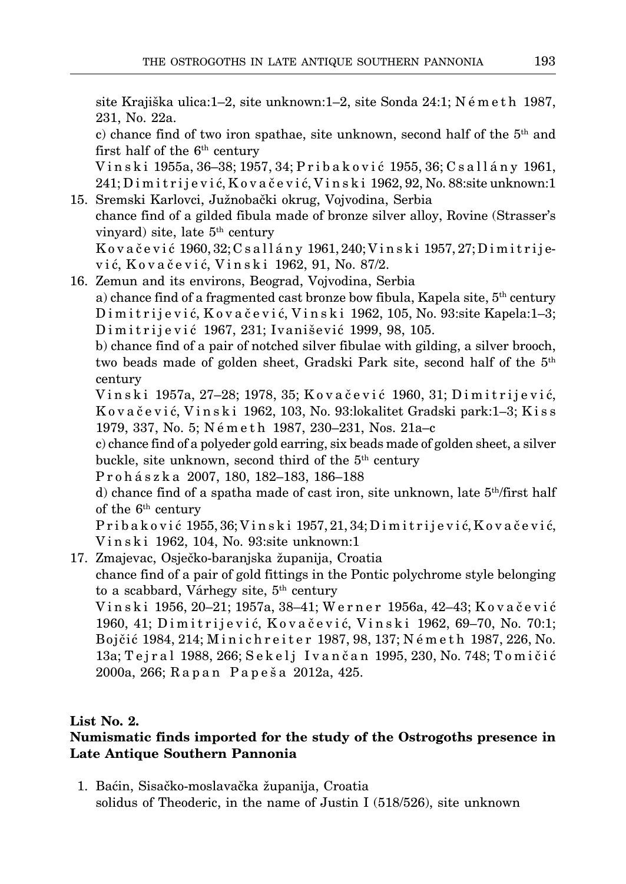site Krajiška ulica:1–2, site unknown:1–2, site Sonda 24:1;  $N \in \mathbb{R}$  et h 1987, 231, No. 22a.

c) chance find of two iron spathae, site unknown, second half of the  $5<sup>th</sup>$  and first half of the  $6<sup>th</sup>$  century

V i n s k i 1955a, 36–38; 1957, 34; P r i b a k o v i ć 1955, 36; C s a l l á n y 1961, 241; D i m i t r i j e v i ć, K o v a č e v i ć, V i n s k i 1962, 92, No. 88:site unknown:1 15. Sremski Karlovci, Južnobački okrug, Vojvodina, Serbia

- chance find of a gilded fibula made of bronze silver alloy, Rovine (Strasser's vinyard) site, late 5<sup>th</sup> century  $K$ ovačević 1960, 32; C sallány 1961, 240; Vinski 1957, 27; Dimitrijev i ć, K o v a č e v i ć, V i n s k i 1962, 91, No. 87/2.
- 16. Zemun and its environs, Beograd, Vojvodina, Serbia

a) chance find of a fragmented cast bronze bow fibula, Kapela site,  $5<sup>th</sup>$  century Dimitrijević, Kovačević, Vinski 1962, 105, No. 93:site Kapela:1–3; Dimitrijević 1967, 231; Ivanišević 1999, 98, 105.

b) chance find of a pair of notched silver fibulae with gilding, a silver brooch, two beads made of golden sheet, Gradski Park site, second half of the 5th century

Vinski 1957a, 27–28; 1978, 35; Kovačević 1960, 31; Dimitrijević, K o v a č e v i ć, V i n s k i 1962, 103, No. 93:lokalitet Gradski park:1–3; K i s s 1979, 337, No. 5; N é m e t h 1987, 230–231, Nos. 21a–c

c) chance find of a polyeder gold earring, six beads made of golden sheet, a silver buckle, site unknown, second third of the 5<sup>th</sup> century

P r o h á s z k a 2007, 180, 182–183, 186–188

d) chance find of a spatha made of cast iron, site unknown, late 5th/first half of the  $6<sup>th</sup>$  century

P r i b a k o v i ć 1955, 36; V i n s k i 1957, 21, 34; D i m i t r i j e v i ć, K o v a č e v i ć, Vinski 1962, 104, No. 93:site unknown:1

17. Zmajevac, Osječko-baranjska županija, Croatia chance find of a pair of gold fittings in the Pontic polychrome style belonging to a scabbard, Várhegy site,  $5<sup>th</sup>$  century

Vinski 1956, 20–21; 1957a, 38–41; Werner 1956a, 42–43; Kovačević 1960, 41; D i m i t r i j e v i ć, K o v a č e v i ć, V i n s k i 1962, 69–70, No. 70:1; Bojčić 1984, 214; M i n i c h r e i t e r 1987, 98, 137; N é m e t h 1987, 226, No. 13a; Tejral 1988, 266; Sekelj Ivančan 1995, 230, No. 748; Tomičić 2000a, 266; R a p a n P a p e š a 2012a, 425.

# **List No. 2.**

# **Numismatic finds imported for the study of the Ostrogoths presence in Late Antique Southern Pannonia**

11. Baćin, Sisačko-moslavačka županija, Croatia solidus of Theoderic, in the name of Justin I (518/526), site unknown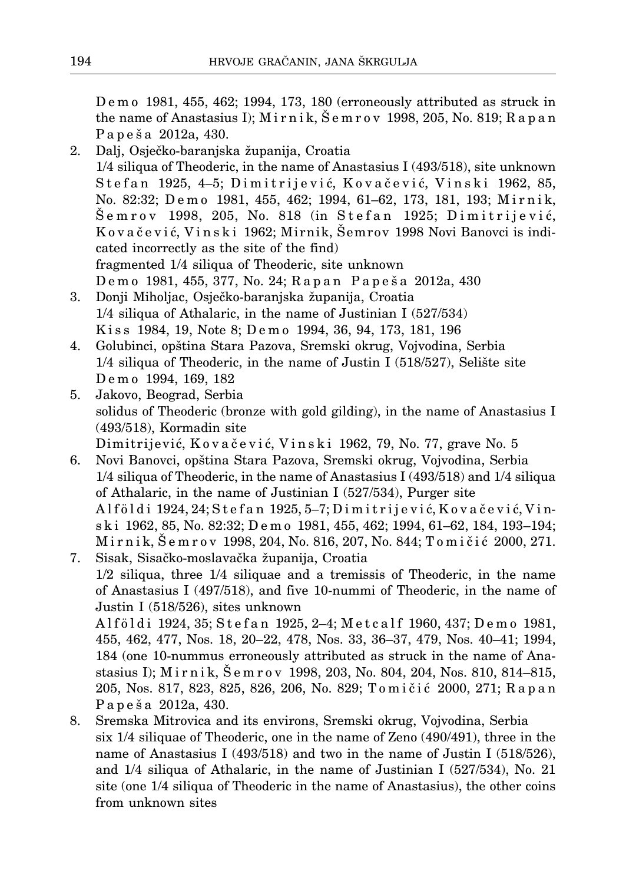D e m o 1981, 455, 462; 1994, 173, 180 (erroneously attributed as struck in the name of Anastasius I); M i r n i k, Š e m r o v 1998, 205, No. 819; R a p a n P a p e š a 2012a, 430.

- 2. Dalj, Osječko-baranjska županija, Croatia 1/4 siliqua of Theoderic, in the name of Anastasius I (493/518), site unknown Stefan 1925, 4–5; Dimitrijević, Kovačević, Vinski 1962, 85, No. 82:32; Demo 1981, 455, 462; 1994, 61–62, 173, 181, 193; Mirnik, Šemrov 1998, 205, No. 818 (in Stefan 1925; Dimitrijević, K o v a č e v i ć, V i n s k i 1962; Mirnik, Šemrov 1998 Novi Banovci is indicated incorrectly as the site of the find) fragmented 1/4 siliqua of Theoderic, site unknown Demo 1981, 455, 377, No. 24; Rapan Papeša 2012a, 430
- 3. Donji Miholjac, Osječko-baranjska županija, Croatia 1/4 siliqua of Athalaric, in the name of Justinian I (527/534) Kiss 1984, 19, Note 8; Demo 1994, 36, 94, 173, 181, 196
- 4. Golubinci, opština Stara Pazova, Sremski okrug, Vojvodina, Serbia 1/4 siliqua of Theoderic, in the name of Justin I (518/527), Selište site D e m o 1994, 169, 182
- 5. Jakovo, Beograd, Serbia solidus of Theoderic (bronze with gold gilding), in the name of Anastasius I (493/518), Kormadin site Dimitrijević, Kovačević, Vinski 1962, 79, No. 77, grave No. 5
- 6. Novi Banovci, opština Stara Pazova, Sremski okrug, Vojvodina, Serbia 1/4 siliqua of Theoderic, in the name of Anastasius I (493/518) and 1/4 siliqua of Athalaric, in the name of Justinian I (527/534), Purger site Alföldi 1924, 24; Stefan 1925, 5–7; Dimitrijević, Kovačević, Vins k i 1962, 85, No. 82:32; D e m o 1981, 455, 462; 1994, 61–62, 184, 193–194; Mirnik, Šemrov 1998, 204, No. 816, 207, No. 844; Tomičić 2000, 271.
- 7. Sisak, Sisačko-moslavačka županija, Croatia 1/2 siliqua, three 1/4 siliquae and a tremissis of Theoderic, in the name of Anastasius I (497/518), and five 10-nummi of Theoderic, in the name of Justin I (518/526), sites unknown

Alföldi 1924, 35; Stefan 1925, 2-4; Metcalf 1960, 437; Demo 1981, 455, 462, 477, Nos. 18, 20–22, 478, Nos. 33, 36–37, 479, Nos. 40–41; 1994, 184 (one 10-nummus erroneously attributed as struck in the name of Anastasius I); M i r n i k, Š e m r o v 1998, 203, No. 804, 204, Nos. 810, 814–815, 205, Nos. 817, 823, 825, 826, 206, No. 829; Tomičić 2000, 271; Rapan P a p e š a 2012a, 430.

8. Sremska Mitrovica and its environs, Sremski okrug, Vojvodina, Serbia six 1/4 siliquae of Theoderic, one in the name of Zeno (490/491), three in the name of Anastasius I (493/518) and two in the name of Justin I (518/526), and 1/4 siliqua of Athalaric, in the name of Justinian I (527/534), No. 21 site (one 1/4 siliqua of Theoderic in the name of Anastasius), the other coins from unknown sites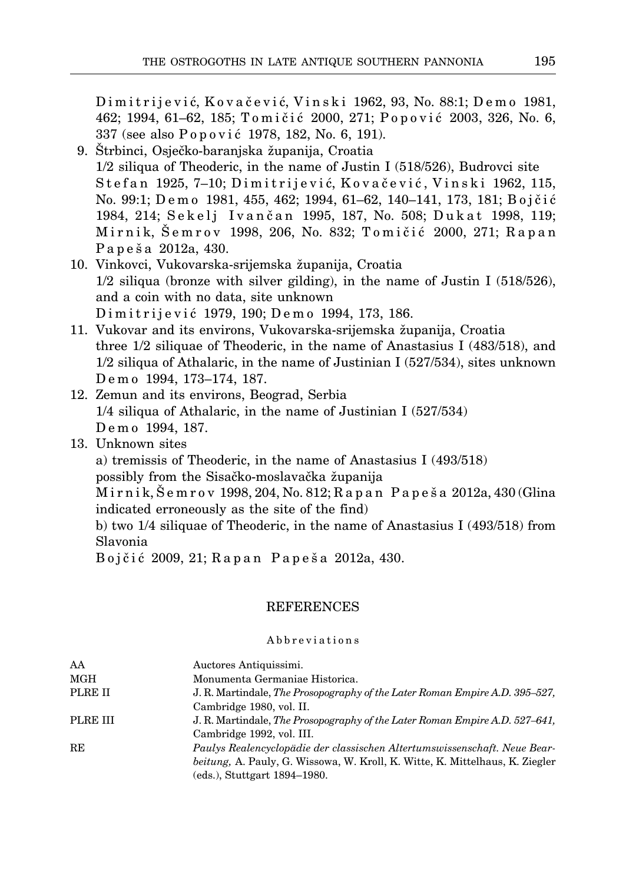Dimitrijević, Kovačević, Vinski 1962, 93, No. 88:1; Demo 1981, 462; 1994, 61–62, 185; Tomičić 2000, 271; Popović 2003, 326, No. 6, 337 (see also P o p o v i ć 1978, 182, No. 6, 191).

- 19. Štrbinci, Osječko-baranjska županija, Croatia  $1/2$  siliqua of Theoderic, in the name of Justin I (518/526), Budrovci site Stefan 1925, 7–10; Dimitrijević, Kovačević, Vinski 1962, 115, No. 99:1; D e m o 1981, 455, 462; 1994, 61–62, 140–141, 173, 181; B o j č i ć 1984, 214; Sekelj Ivančan 1995, 187, No. 508; Dukat 1998, 119; Mirnik, Šemrov 1998, 206, No. 832; Tomičić 2000, 271; Rapan P a p e š a 2012a, 430.
- 10. Vinkovci, Vukovarska-srijemska županija, Croatia  $1/2$  siliqua (bronze with silver gilding), in the name of Justin I (518/526), and a coin with no data, site unknown D i m i t r i j e v i ć 1979, 190; D e m o 1994, 173, 186.
- 11. Vukovar and its environs, Vukovarska-srijemska županija, Croatia three 1/2 siliquae of Theoderic, in the name of Anastasius I (483/518), and 1/2 siliqua of Athalaric, in the name of Justinian I (527/534), sites unknown D e m o 1994, 173–174, 187.
- 12. Zemun and its environs, Beograd, Serbia 1/4 siliqua of Athalaric, in the name of Justinian I (527/534) Demo 1994, 187.
- 13. Unknown sites

a) tremissis of Theoderic, in the name of Anastasius I (493/518)

possibly from the Sisačko-moslavačka županija

M i r n i k, Š e m r o v 1998, 204, No. 812; R a p a n P a p e š a 2012a, 430 (Glina indicated erroneously as the site of the find)

b) two 1/4 siliquae of Theoderic, in the name of Anastasius I (493/518) from Slavonia

Bojčić 2009, 21; Rapan Papeša 2012a, 430.

# REFERENCES

# Abbreviations

| AA       | Auctores Antiquissimi.                                                               |
|----------|--------------------------------------------------------------------------------------|
| MGH      | Monumenta Germaniae Historica.                                                       |
| PLRE II  | J. R. Martindale, The Prosopography of the Later Roman Empire A.D. 395–527,          |
|          | Cambridge 1980, vol. II.                                                             |
| PLRE III | J. R. Martindale, The Prosopography of the Later Roman Empire A.D. 527–641,          |
|          | Cambridge 1992, vol. III.                                                            |
| RE       | Paulys Realencyclopädie der classischen Altertumswissenschaft. Neue Bear-            |
|          | <i>beitung</i> , A. Pauly, G. Wissowa, W. Kroll, K. Witte, K. Mittelhaus, K. Ziegler |
|          | (eds.), Stuttgart 1894–1980.                                                         |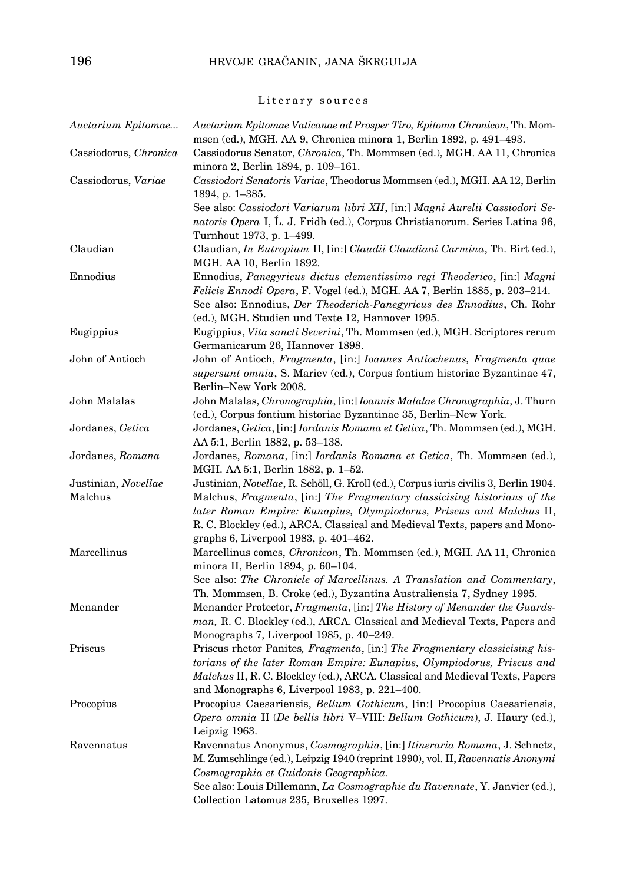# Literary sources

| Auctarium Epitomae    | Auctarium Epitomae Vaticanae ad Prosper Tiro, Epitoma Chronicon, Th. Mom-<br>msen (ed.), MGH. AA 9, Chronica minora 1, Berlin 1892, p. 491–493.       |
|-----------------------|-------------------------------------------------------------------------------------------------------------------------------------------------------|
| Cassiodorus, Chronica | Cassiodorus Senator, Chronica, Th. Mommsen (ed.), MGH. AA 11, Chronica                                                                                |
| Cassiodorus, Variae   | minora 2, Berlin 1894, p. 109–161.<br>Cassiodori Senatoris Variae, Theodorus Mommsen (ed.), MGH. AA 12, Berlin                                        |
|                       | 1894, p. 1-385.                                                                                                                                       |
|                       | See also: Cassiodori Variarum libri XII, [in:] Magni Aurelii Cassiodori Se-                                                                           |
|                       | natoris Opera I, L. J. Fridh (ed.), Corpus Christianorum. Series Latina 96,                                                                           |
|                       | Turnhout 1973, p. 1–499.                                                                                                                              |
| Claudian              | Claudian, <i>In Eutropium II</i> , [in:] Claudii Claudiani Carmina, Th. Birt (ed.),                                                                   |
|                       | MGH. AA 10, Berlin 1892.                                                                                                                              |
| Ennodius              | Ennodius, Panegyricus dictus clementissimo regi Theoderico, [in:] Magni                                                                               |
|                       | Felicis Ennodi Opera, F. Vogel (ed.), MGH. AA 7, Berlin 1885, p. 203–214.                                                                             |
|                       | See also: Ennodius, Der Theoderich-Panegyricus des Ennodius, Ch. Rohr                                                                                 |
|                       | (ed.), MGH. Studien und Texte 12, Hannover 1995.                                                                                                      |
| Eugippius             | Eugippius, Vita sancti Severini, Th. Mommsen (ed.), MGH. Scriptores rerum                                                                             |
|                       | Germanicarum 26, Hannover 1898.                                                                                                                       |
| John of Antioch       | John of Antioch, Fragmenta, [in:] Ioannes Antiochenus, Fragmenta quae                                                                                 |
|                       | supersunt omnia, S. Mariev (ed.), Corpus fontium historiae Byzantinae 47,                                                                             |
|                       | Berlin-New York 2008.                                                                                                                                 |
| John Malalas          | John Malalas, Chronographia, [in:] Ioannis Malalae Chronographia, J. Thurn                                                                            |
|                       | (ed.), Corpus fontium historiae Byzantinae 35, Berlin-New York.                                                                                       |
| Jordanes, Getica      | Jordanes, Getica, [in:] Iordanis Romana et Getica, Th. Mommsen (ed.), MGH.                                                                            |
|                       | AA 5:1, Berlin 1882, p. 53–138.                                                                                                                       |
| Jordanes, Romana      | Jordanes, Romana, [in:] Iordanis Romana et Getica, Th. Mommsen (ed.),                                                                                 |
|                       | MGH. AA 5:1, Berlin 1882, p. 1-52.                                                                                                                    |
| Justinian, Novellae   | Justinian, <i>Novellae</i> , R. Schöll, G. Kroll (ed.), Corpus iuris civilis 3, Berlin 1904.                                                          |
| Malchus               | Malchus, Fragmenta, [in:] The Fragmentary classicising historians of the                                                                              |
|                       | later Roman Empire: Eunapius, Olympiodorus, Priscus and Malchus II,                                                                                   |
|                       | R. C. Blockley (ed.), ARCA. Classical and Medieval Texts, papers and Mono-                                                                            |
|                       | graphs 6, Liverpool 1983, p. 401–462.                                                                                                                 |
| Marcellinus           | Marcellinus comes, <i>Chronicon</i> , Th. Mommsen (ed.), MGH. AA 11, Chronica                                                                         |
|                       | minora II, Berlin 1894, p. 60–104.                                                                                                                    |
|                       | See also: The Chronicle of Marcellinus. A Translation and Commentary,                                                                                 |
| Menander              | Th. Mommsen, B. Croke (ed.), Byzantina Australiensia 7, Sydney 1995.                                                                                  |
|                       | Menander Protector, Fragmenta, [in:] The History of Menander the Guards-<br>man, R. C. Blockley (ed.), ARCA. Classical and Medieval Texts, Papers and |
|                       | Monographs 7, Liverpool 1985, p. 40–249.                                                                                                              |
| Priscus               | Priscus rhetor Panites, Fragmenta, [in:] The Fragmentary classicising his-                                                                            |
|                       | torians of the later Roman Empire: Eunapius, Olympiodorus, Priscus and                                                                                |
|                       | Malchus II, R. C. Blockley (ed.), ARCA. Classical and Medieval Texts, Papers                                                                          |
|                       | and Monographs 6, Liverpool 1983, p. 221–400.                                                                                                         |
| Procopius             | Procopius Caesariensis, Bellum Gothicum, [in:] Procopius Caesariensis,                                                                                |
|                       | Opera omnia II (De bellis libri V-VIII: Bellum Gothicum), J. Haury (ed.),                                                                             |
|                       | Leipzig 1963.                                                                                                                                         |
| Ravennatus            | Ravennatus Anonymus, Cosmographia, [in:] Itineraria Romana, J. Schnetz,                                                                               |
|                       | M. Zumschlinge (ed.), Leipzig 1940 (reprint 1990), vol. II, Ravennatis Anonymi                                                                        |
|                       | Cosmographia et Guidonis Geographica.                                                                                                                 |
|                       | See also: Louis Dillemann, La Cosmographie du Ravennate, Y. Janvier (ed.),                                                                            |
|                       | Collection Latomus 235, Bruxelles 1997.                                                                                                               |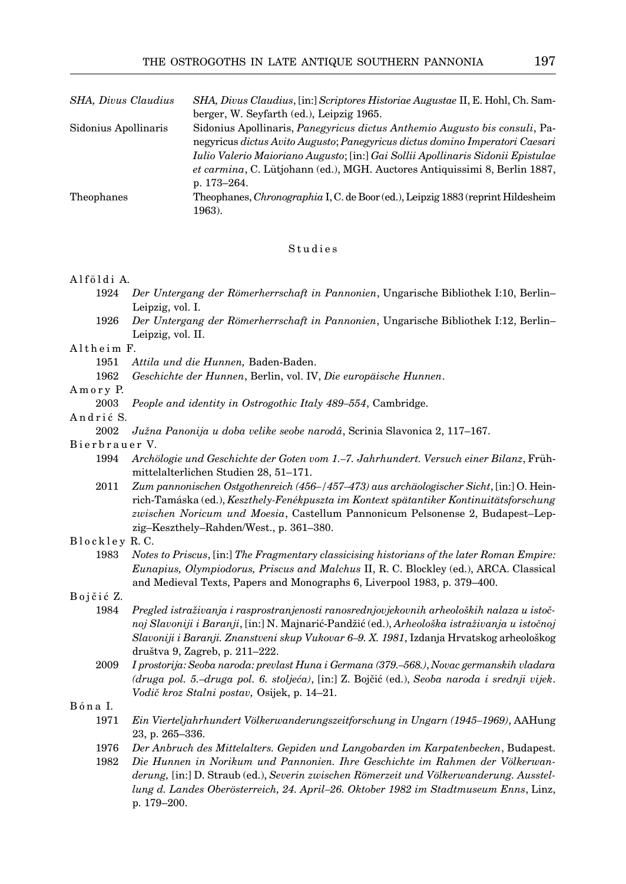| SHA, Divus Claudius  | SHA, Divus Claudius, [in:] Scriptores Historiae Augustae II, E. Hohl, Ch. Sam-         |
|----------------------|----------------------------------------------------------------------------------------|
|                      | berger, W. Seyfarth (ed.), Leipzig 1965.                                               |
| Sidonius Apollinaris | Sidonius Apollinaris, <i>Panegyricus dictus Anthemio Augusto bis consuli</i> , Pa-     |
|                      | negyricus dictus Avito Augusto; Panegyricus dictus domino Imperatori Caesari           |
|                      | Iulio Valerio Maioriano Augusto; [in:] Gai Sollii Apollinaris Sidonii Epistulae        |
|                      | <i>et carmina</i> , C. Lütjohann (ed.), MGH. Auctores Antiquissimi 8, Berlin 1887,     |
|                      | p. 173–264.                                                                            |
| Theophanes           | Theophanes, <i>Chronographia</i> I, C. de Boor (ed.), Leipzig 1883 (reprint Hildesheim |
|                      | 1963).                                                                                 |

#### Studies

### Alföldi A.

- 1924 *Der Untergang der Römerherrschaft in Pannonien*, Ungarische Bibliothek I:10, Berlin– Leipzig, vol. I.
- 1926 *Der Untergang der Römerherrschaft in Pannonien*, Ungarische Bibliothek I:12, Berlin– Leipzig, vol. II.

## Altheim F.

- 1951 *Attila und die Hunnen,* Baden-Baden.
- 1962 *Geschichte der Hunnen*, Berlin, vol. IV, *Die europäische Hunnen*.

### A m o r v P.

2003 *People and identity in Ostrogothic Italy 489–554*, Cambridge.

## Andrić S.

2002 *Južna Panonija u doba velike seobe narodâ*, Scrinia Slavonica 2, 117–167.

### Bierbrauer V.

- 1994 *Archölogie und Geschichte der Goten vom 1.–7. Jahrhundert. Versuch einer Bilanz*, Frühmittelalterlichen Studien 28, 51–171.
- 2011 *Zum pannonischen Ostgothenreich (456–/457–473) aus archäologischer Sicht*, [in:] O. Heinrich-Tamáska (ed.), *Keszthely-Fenékpuszta im Kontext spätantiker Kontinuitätsforschung zwischen Noricum und Moesia*, Castellum Pannonicum Pelsonense 2, Budapest–Lepzig–Keszthely–Rahden/West., p. 361–380.

#### Blockley R.C.

1983 *Notes to Priscus*, [in:] *The Fragmentary classicising historians of the later Roman Empire: Eunapius, Olympiodorus, Priscus and Malchus* II, R. C. Blockley (ed.), ARCA. Classical and Medieval Texts, Papers and Monographs 6, Liverpool 1983, p. 379–400.

## Bojčić Z.

- 1984 *Pregled istraživanja i rasprostranjenosti ranosrednjovjekovnih arheoloških nalaza u istočnoj Slavoniji i Baranji*, [in:] N. Majnarić-Pandžić (ed.), *Arheološka istraživanja u istočnoj Slavoniji i Baranji. Znanstveni skup Vukovar 6–9. X. 1981*, Izdanja Hrvatskog arheološkog društva 9, Zagreb, p. 211–222.
- 2009 *I prostorija: Seoba naroda: prevlast Huna i Germana (379.–568.)*, *Novac germanskih vladara (druga pol. 5.–druga pol. 6. stoljeća)*, [in:] Z. Bojčić (ed.), *Seoba naroda i srednji vijek*. *Vodič kroz Stalni postav,* Osijek, p. 14–21.

# B ó n a I.

- 1971 *Ein Vierteljahrhundert Völkerwanderungszeitforschung in Ungarn (1945–1969)*, AAHung 23, p. 265–336.
- 1976 *Der Anbruch des Mittelalters. Gepiden und Langobarden im Karpatenbecken*, Budapest.
- 1982 *Die Hunnen in Norikum und Pannonien. Ihre Geschichte im Rahmen der Völkerwan derung,* [in:] D. Straub (ed.), *Severin zwischen Römerzeit und Völkerwanderung. Ausstellung d. Landes Oberösterreich, 24. April–26. Oktober 1982 im Stadtmuseum Enns*, Linz, p. 179–200.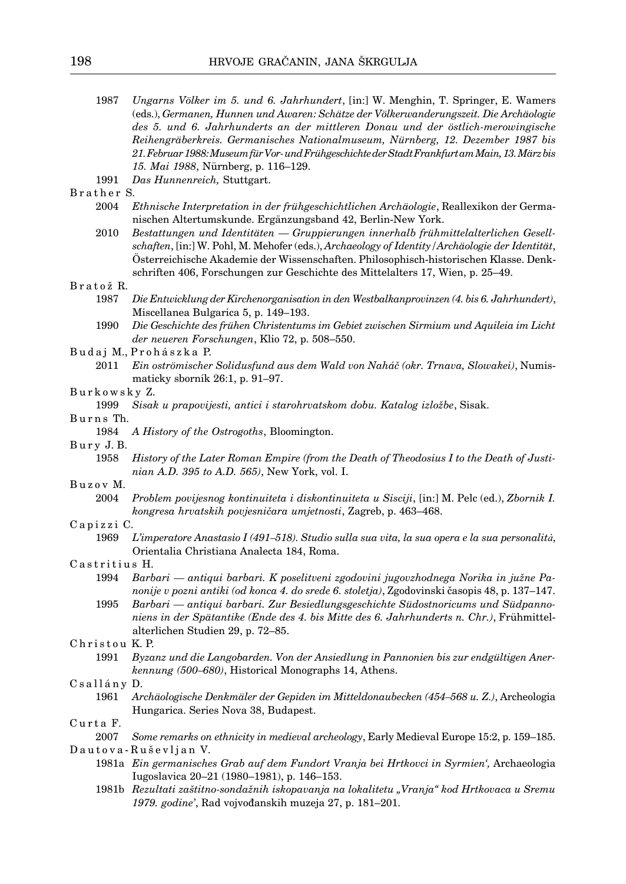- 1987 *Ungarns Völker im 5. und 6. Jahrhundert*, [in:] W. Menghin, T. Springer, E. Wamers (eds.), *Germanen, Hunnen und Awaren: Schätze der Völkerwanderungszeit. Die Archäologie des 5. und 6. Jahrhunderts an der mittleren Donau und der östlich-merowingische Reihengräberkreis. Germanisches Nationalmuseum, Nürnberg, 12. Dezember 1987 bis 21. Februar 1988: Museum für Vor- und Frühgeschichte der Stadt Frankfurt am Main, 13. März bis 15. Mai 1988*, Nürnberg, p. 116–129.
- 1991 *Das Hunnenreich,* Stuttgart.

## Brather S.

- 2004 *Ethnische Interpretation in der frühgeschichtlichen Archäologie*, Reallexikon der Germanischen Altertumskunde. Ergänzungsband 42, Berlin-New York.
- 2010 *Bestattungen und Identitäten Gruppierungen innerhalb frühmittelalterlichen Gesell schaften*, [in:] W. Pohl, M. Mehofer (eds.), *Archaeology of Identity/Archäologie der Identität*, Österreichische Akademie der Wissenschaften. Philosophisch-historischen Klasse. Denkschriften 406, Forschungen zur Geschichte des Mittelalters 17, Wien, p. 25–49.

#### B r a t o ž R.

- 1987 *Die Entwicklung der Kirchenorganisation in den Westbalkanprovinzen (4. bis 6. Jahrhundert)*, Miscellanea Bulgarica 5, p. 149–193.
- 1990 *Die Geschichte des frühen Christentums im Gebiet zwischen Sirmium und Aquileia im Licht der neueren Forschungen*, Klio 72, p. 508–550.
- B u d a j M., P r o h á s z k a P.
	- 2011 *Ein oströmischer Solidusfund aus dem Wald von Naháč (okr. Trnava, Slowakei)*, Numismaticky sborník 26:1, p. 91–97.

#### B u r k o w s k y Z.

1999 *Sisak u prapovijesti, antici i starohrvatskom dobu. Katalog izložbe*, Sisak.

#### Burns Th.

1984 *A History of the Ostrogoths*, Bloomington.

#### Bury J.B.

1958 *History of the Later Roman Empire (from the Death of Theodosius I to the Death of Justinian A.D. 395 to A.D. 565)*, New York, vol. I.

#### Buzov M.

2004 *Problem povijesnog kontinuiteta i diskontinuiteta u Sisciji*, [in:] M. Pelc (ed.), *Zbornik I. kongresa hrvatskih povjesničara umjetnosti*, Zagreb, p. 463–468.

#### Capizzi C.

1969 *L'imperatore Anastasio I (491–518). Studio sulla sua vita, la sua opera e la sua personalità*, Orientalia Christiana Analecta 184, Roma.

### Castritius H.

- 1994 *Barbari antiqui barbari. K poselitveni zgodovini jugovzhodnega Norika in južne Panonije v pozni antiki (od konca 4. do srede 6. stoletja)*, Zgodovinski časopis 48, p. 137–147.
- 1995 *Barbari antiqui barbari. Zur Besiedlungsgeschichte Südostnoricums und Südpannoniens in der Spätantike (Ende des 4. bis Mitte des 6. Jahrhunderts n. Chr.)*, Frühmittelalterlichen Studien 29, p. 72–85.

## Christou K.P.

1991 *Byzanz und die Langobarden. Von der Ansiedlung in Pannonien bis zur endgültigen Anerkennung (500–680)*, Historical Monographs 14, Athens.

#### Csallány D.

1961 *Archäologische Denkmäler der Gepiden im Mitteldonaubecken (454–568 u. Z.)*, Archeologia Hungarica. Series Nova 38, Budapest.

### Curta F.

2007 *Some remarks on ethnicity in medieval archeology*, Early Medieval Europe 15:2, p. 159–185.

#### Dautova-Ruševljan V.

- 1981a *Ein germanisches Grab auf dem Fundort Vranja bei Hrtkovci in Syrmien',* Archaeologia Iugoslavica 20–21 (1980–1981), p. 146–153.
- 1981b *Rezultati zaštitno-sondažnih iskopavanja na lokalitetu "Vranja" kod Hrtkovaca u Sremu 1979. godine'*, Rad vojvođanskih muzeja 27, p. 181–201.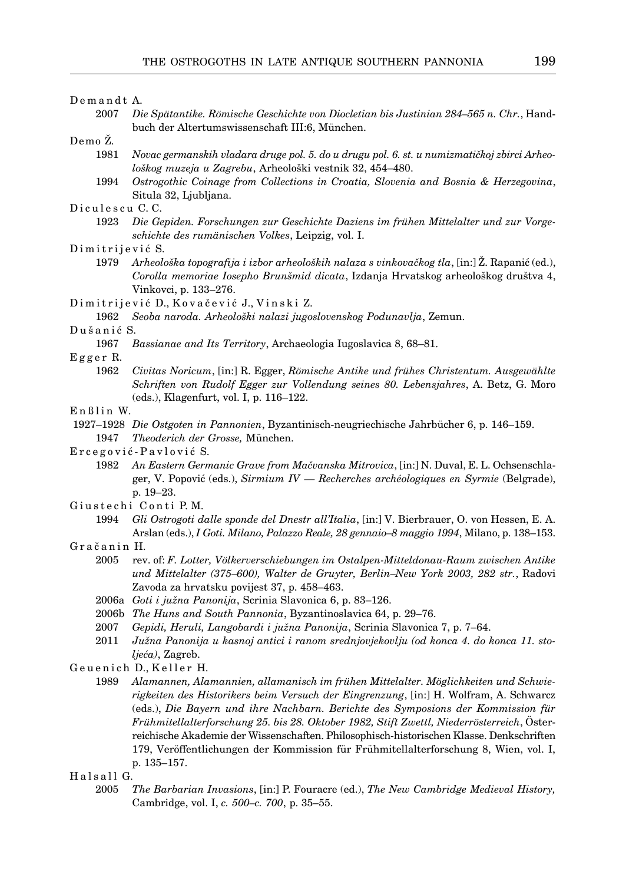#### Demandt A.

2007 *Die Spätantike. Römische Geschichte von Diocletian bis Justinian 284–565 n. Chr.*, Handbuch der Altertumswissenschaft III:6, München.

Demo Ž.

- 1981 *Novac germanskih vladara druge pol. 5. do u drugu pol. 6. st. u numizmatičkoj zbirci Arheološkog muzeja u Zagrebu*, Arheološki vestnik 32, 454–480.
- 1994 *Ostrogothic Coinage from Collections in Croatia, Slovenia and Bosnia & Herzegovina*, Situla 32, Ljubljana.

### Diculescu C.C.

1923 *Die Gepiden. Forschungen zur Geschichte Daziens im frühen Mittelalter und zur Vorgeschichte des rumänischen Volkes*, Leipzig, vol. I.

#### Dimitrijević S.

- 1979 *Arheološka topografija i izbor arheoloških nalaza s vinkovačkog tla*, [in:] Ž. Rapanić (ed.), *Corolla memoriae Iosepho Brunšmid dicata*, Izdanja Hrvatskog arheološkog društva 4, Vinkovci, p. 133–276.
- Dimitrijević D., Kovačević J., Vinski Z.
	- 1962 *Seoba naroda. Arheološki nalazi jugoslovenskog Podunavlja*, Zemun.

# Dušanić S.

1967 *Bassianae and Its Territory*, Archaeologia Iugoslavica 8, 68–81.

#### E g g e r R.

1962 *Civitas Noricum*, [in:] R. Egger, *Römische Antike und frühes Christentum. Ausgewählte Schriften von Rudolf Egger zur Vollendung seines 80. Lebensjahres*, A. Betz, G. Moro (eds.), Klagenfurt, vol. I, p. 116–122.

# $E$  n  $B$  lin W.

 1927–1928 *Die Ostgoten in Pannonien*, Byzantinisch-neugriechische Jahrbücher 6, p. 146–159. 1947 *Theoderich der Grosse,* München.

#### Ercegović-Pavlović S.

- 1982 *An Eastern Germanic Grave from Mačvanska Mitrovica*, [in:] N. Duval, E. L. Ochsenschlager, V. Popović (eds.), *Sirmium IV — Recherches archéologiques en Syrmie* (Belgrade), p. 19–23.
- Giustechi Conti P.M.
	- 1994 *Gli Ostrogoti dalle sponde del Dnestr all'Italia*, [in:] V. Bierbrauer, O. von Hessen, E. A. Arslan (eds.), *I Goti. Milano, Palazzo Reale, 28 gennaio–8 maggio 1994*, Milano, p. 138–153.
- Gračanin H.
	- 2005 rev. of: *F. Lotter, Völkerverschiebungen im Ostalpen-Mitteldonau-Raum zwischen Antike und Mittelalter (375–600), Walter de Gruyter, Berlin–New York 2003, 282 str.*, Radovi Zavoda za hrvatsku povijest 37, p. 458–463.
	- 2006a *Goti i južna Panonija*, Scrinia Slavonica 6, p. 83–126.
	- 2006b *The Huns and South Pannonia*, Byzantinoslavica 64, p. 29–76.
	- 2007 *Gepidi, Heruli, Langobardi i južna Panonija*, Scrinia Slavonica 7, p. 7–64.
	- 2011 *Južna Panonija u kasnoj antici i ranom srednjovjekovlju (od konca 4. do konca 11. stoljeća)*, Zagreb.
- Geuenich D., Keller H.
	- 1989 *Alamannen, Alamannien, allamanisch im frühen Mittelalter. Möglichkeiten und Schwierigkeiten des Historikers beim Versuch der Eingrenzung*, [in:] H. Wolfram, A. Schwarcz (eds.), *Die Bayern und ihre Nachbarn. Berichte des Symposions der Kommission für Frühmitellalterforschung 25. bis 28. Oktober 1982, Stift Zwettl, Niederrösterreich*, Österreichische Akademie der Wissenschaften. Philosophisch-historischen Klasse. Denkschriften 179, Veröffentlichungen der Kommission für Frühmitellalterforschung 8, Wien, vol. I, p. 135–157.

## Halsall G.

2005 *The Barbarian Invasions*, [in:] P. Fouracre (ed.), *The New Cambridge Medieval History,* Cambridge, vol. I, *c. 500–c. 700*, p. 35–55.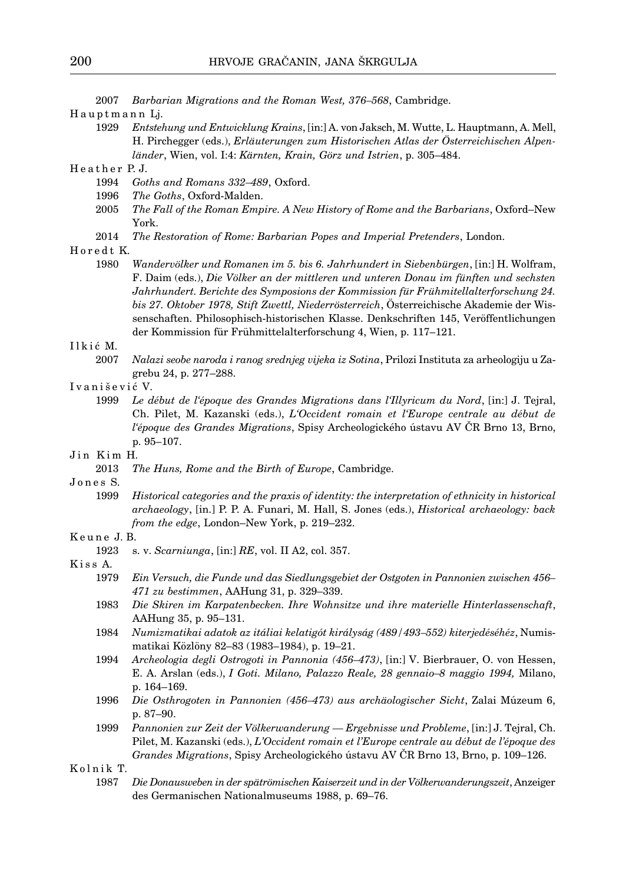2007 *Barbarian Migrations and the Roman West, 376–568*, Cambridge.

Hauptmann Lj.

1929 *Entstehung und Entwicklung Krains*, [in:] A. von Jaksch, M. Wutte, L. Hauptmann, A. Mell, H. Pirchegger (eds.), *Erläuterungen zum Historischen Atlas der Österreichischen Alpenländer*, Wien, vol. I:4: *Kärnten, Krain, Görz und Istrien*, p. 305–484.

## Heather P.J.

- 1994 *Goths and Romans 332–489*, Oxford.
- 1996 *The Goths*, Oxford-Malden.
- 2005 *The Fall of the Roman Empire. A New History of Rome and the Barbarians*, Oxford–New York.
- 2014 *The Restoration of Rome: Barbarian Popes and Imperial Pretenders*, London.

## Horedt K.

1980 *Wandervölker und Romanen im 5. bis 6. Jahrhundert in Siebenbürgen*, [in:] H. Wolfram, F. Daim (eds.), *Die Völker an der mittleren und unteren Donau im fünften und sechsten Jahrhundert. Berichte des Symposions der Kommission für Frühmitellalterforschung 24. bis 27. Oktober 1978, Stift Zwettl, Niederrösterreich*, Österreichische Akademie der Wissenschaften. Philosophisch-historischen Klasse. Denkschriften 145, Veröffentlichungen der Kommission für Frühmittelalterforschung 4, Wien, p. 117–121.

#### I l k i ć M.

- 2007 *Nalazi seobe naroda i ranog srednjeg vijeka iz Sotina*, Prilozi Instituta za arheologiju u Zagrebu 24, p. 277–288.
- I v a n i š e v i ć V.
	- 1999 *Le début de l'époque des Grandes Migrations dans l'Illyricum du Nord*, [in:] J. Tejral, Ch. Pilet, M. Kazanski (eds.), *L'Occident romain et l'Europe centrale au début de l'époque des Grandes Migrations*, Spisy Archeologického ústavu AV ČR Brno 13, Brno, p. 95–107.
- Jin Kim H.
	- 2013 *The Huns, Rome and the Birth of Europe*, Cambridge.
- Jones S.
	- 1999 *Historical categories and the praxis of identity: the interpretation of ethnicity in historical archaeology*, [in.] P. P. A. Funari, M. Hall, S. Jones (eds.), *Historical archaeology: back from the edge*, London–New York, p. 219–232.

#### K e u n e J. B.

1923 s. v. *Scarniunga*, [in:] *RE*, vol. II A2, col. 357.

K i s s A.

- 1979 *Ein Versuch, die Funde und das Siedlungsgebiet der Ostgoten in Pannonien zwischen 456– 471 zu bestimmen*, AAHung 31, p. 329–339.
- 1983 *Die Skiren im Karpatenbecken. Ihre Wohnsitze und ihre materielle Hinterlassenschaft*, AAHung 35, p. 95–131.
- 1984 *Numizmatikai adatok az itáliai kelatigót királyság (489/493–552) kiterjedéséhéz*, Numismatikai Közlöny 82–83 (1983–1984), p. 19–21.
- 1994 *Archeologia degli Ostrogoti in Pannonia (456–473)*, [in:] V. Bierbrauer, O. von Hessen, E. A. Arslan (eds.), *I Goti. Milano, Palazzo Reale, 28 gennaio–8 maggio 1994,* Milano, p. 164–169.
- 1996 *Die Osthrogoten in Pannonien (456–473) aus archäologischer Sicht*, Zalai Múzeum 6, p. 87–90.
- 1999 *Pannonien zur Zeit der Völkerwanderung Ergebnisse und Probleme*, [in:] J. Tejral, Ch. Pilet, M. Kazanski (eds.), *L'Occident romain et l'Europe centrale au début de l'époque des Grandes Migrations*, Spisy Archeologického ústavu AV ČR Brno 13, Brno, p. 109–126.

K o l n i k T.

1987 *Die Donausweben in der spätrömischen Kaiserzeit und in der Völkerwanderungszeit*, Anzeiger des Germanischen Nationalmuseums 1988, p. 69–76.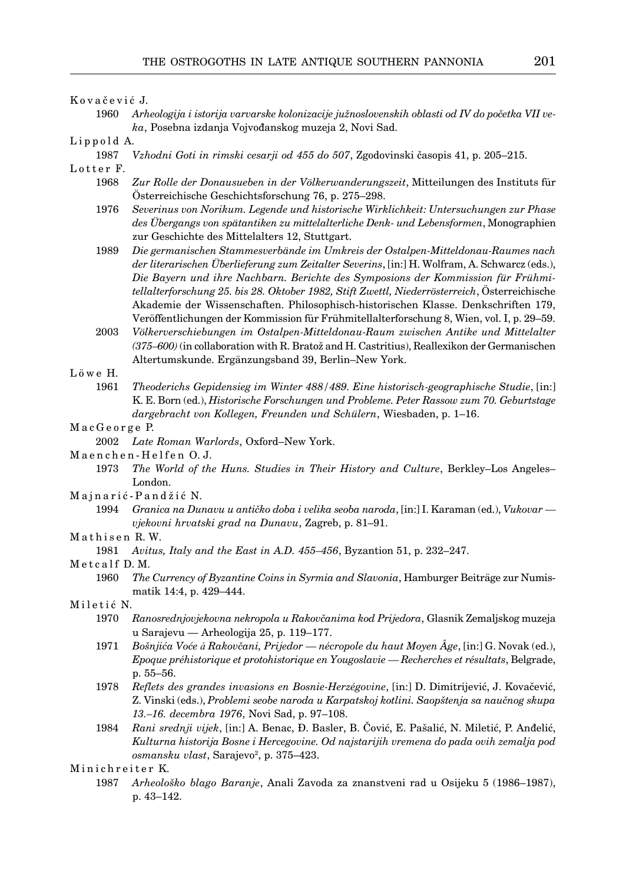Kovačević J.

- 1960 *Arheologija i istorija varvarske kolonizacije južnoslovenskih oblasti od IV do početka VII veka*, Posebna izdanja Vojvođanskog muzeja 2, Novi Sad.
- Lippold A.
	- 1987 *Vzhodni Goti in rimski cesarji od 455 do 507*, Zgodovinski časopis 41, p. 205–215.
- Lotter F.
	- 1968 *Zur Rolle der Donausueben in der Völkerwanderungszeit*, Mitteilungen des Instituts für Österreichische Geschichtsforschung 76, p. 275–298.
	- 1976 *Severinus von Norikum. Legende und historische Wirklichkeit: Untersuchungen zur Phase des Übergangs von spätantiken zu mittelalterliche Denk- und Lebensformen*, Monographien zur Geschichte des Mittelalters 12, Stuttgart.
	- 1989 *Die germanischen Stammesverbände im Umkreis der Ostalpen-Mitteldonau-Raumes nach der literarischen Überlieferung zum Zeitalter Severins*, [in:] H. Wolfram, A. Schwarcz (eds.), *Die Bayern und ihre Nachbarn. Berichte des Symposions der Kommission für Frühmitellalterforschung 25. bis 28. Oktober 1982, Stift Zwettl, Niederrösterreich*, Österreichische Akademie der Wissenschaften. Philosophisch-historischen Klasse. Denkschriften 179, Veröffentlichungen der Kommission für Frühmitellalterforschung 8, Wien, vol. I, p. 29–59.
	- 2003 *Völkerverschiebungen im Ostalpen-Mitteldonau-Raum zwischen Antike und Mittelalter (375–600)* (in collaboration with R. Bratož and H. Castritius), Reallexikon der Germanischen Altertumskunde. Ergänzungsband 39, Berlin–New York.
- L ö w e H.
	- 1961 *Theoderichs Gepidensieg im Winter 488/489. Eine historisch-geographische Studie*, [in:] K. E. Born (ed.), *Historische Forschungen und Probleme. Peter Rassow zum 70. Geburtstage dargebracht von Kollegen, Freunden und Schülern*, Wiesbaden, p. 1–16.
- MacGeorge P.
	- 2002 *Late Roman Warlords*, Oxford–New York.
- Maenchen-Helfen O.J.
	- 1973 *The World of the Huns. Studies in Their History and Culture*, Berkley–Los Angeles– London.
- Majnarić-Pandžić N.
	- 1994 *Granica na Dunavu u antičko doba i velika seoba naroda*, [in:] I. Karaman (ed.), *Vukovar vjekovni hrvatski grad na Dunavu*, Zagreb, p. 81–91.
- Mathisen R.W.
	- 1981 *Avitus, Italy and the East in A.D. 455–456*, Byzantion 51, p. 232–247.

Metcalf D.M.

- 1960 *The Currency of Byzantine Coins in Syrmia and Slavonia*, Hamburger Beiträge zur Numismatik 14:4, p. 429–444.
- Miletić N.
	- 1970 *Ranosrednjovjekovna nekropola u Rakovčanima kod Prijedora*, Glasnik Zemaljskog muzeja u Sarajevu — Arheologija 25, p. 119–177.
	- 1971 *Bošnjića Voće à Rakovčani, Prijedor nécropole du haut Moyen Âge*, [in:] G. Novak (ed.), *Epoque préhistorique et protohistorique en Yougoslavie — Recherches et résultats*, Belgrade, p. 55–56.
	- 1978 *Reflets des grandes invasions en Bosnie-Herzégovine*, [in:] D. Dimitrijević, J. Kovačević, Z. Vinski (eds.), *Problemi seobe naroda u Karpatskoj kotlini. Saopštenja sa naučnog skupa 13.–16. decembra 1976*, Novi Sad, p. 97–108.
	- 1984 *Rani srednji vijek*, [in:] A. Benac, Đ. Basler, B. Čović, E. Pašalić, N. Miletić, P. Anđelić, *Kulturna historija Bosne i Hercegovine. Od najstarijih vremena do pada ovih zemalja pod*  osmansku vlast, Sarajevo<sup>2</sup>, p. 375–423.

1987 *Arheološko blago Baranje*, Anali Zavoda za znanstveni rad u Osijeku 5 (1986–1987), p. 43–142.

Minichreiter K.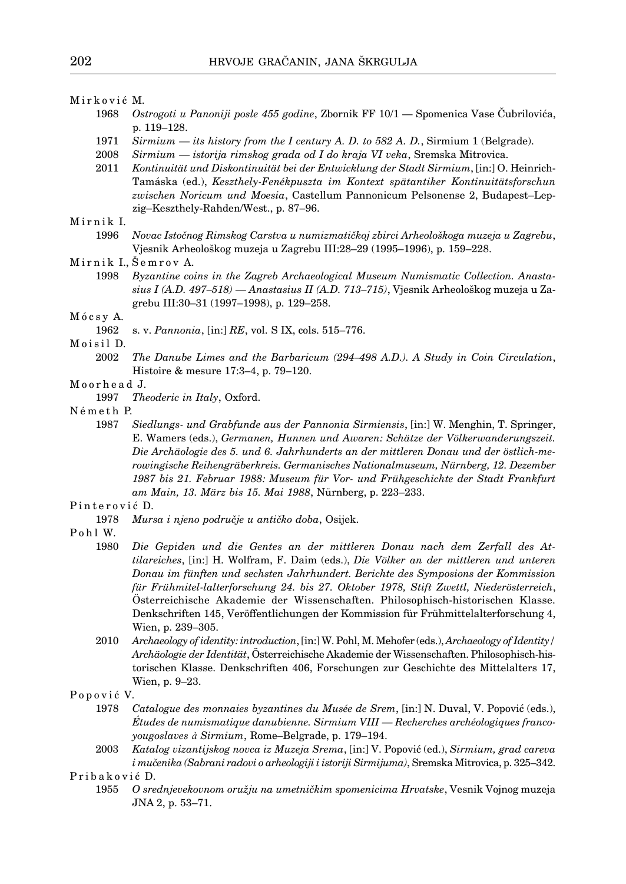#### Mirković M.

- 1968 *Ostrogoti u Panoniji posle 455 godine*, Zbornik FF 10/1 Spomenica Vase Čubrilovića, p. 119–128.
- 1971 *Sirmium its history from the I century A. D. to 582 A. D.*, Sirmium 1 (Belgrade).
- 2008 *Sirmium istorija rimskog grada od I do kraja VI veka*, Sremska Mitrovica.
- 2011 *Kontinuität und Diskontinuität bei der Entwicklung der Stadt Sirmium*, [in:] O. Heinrich-Tamáska (ed.), *Keszthely-Fenékpuszta im Kontext spätantiker Kontinuitätsforschun zwischen Noricum und Moesia*, Castellum Pannonicum Pelsonense 2, Budapest–Lepzig–Keszthely-Rahden/West., p. 87–96.

# Mirnik I.

1996 *Novac Istočnog Rimskog Carstva u numizmatičkoj zbirci Arheološkoga muzeja u Zagrebu*, Vjesnik Arheološkog muzeja u Zagrebu III:28–29 (1995–1996), p. 159–228.

1998 *Byzantine coins in the Zagreb Archaeological Museum Numismatic Collection. Anastasius I (A.D. 497–518) — Anastasius II (A.D. 713–715)*, Vjesnik Arheološkog muzeja u Zagrebu III:30–31 (1997–1998), p. 129–258.

### Mócsy A.

1962 s. v. *Pannonia*, [in:] *RE*, vol. S IX, cols. 515–776.

Moisil D.

2002 *The Danube Limes and the Barbaricum (294–498 A.D.). A Study in Coin Circulation*, Histoire & mesure 17:3–4, p. 79–120.

## M o o r h e a d J.

- 1997 *Theoderic in Italy*, Oxford.
- Németh P.
	- 1987 *Siedlungs- und Grabfunde aus der Pannonia Sirmiensis*, [in:] W. Menghin, T. Springer, E. Wamers (eds.), *Germanen, Hunnen und Awaren: Schätze der Völkerwanderungszeit. Die Archäologie des 5. und 6. Jahrhunderts an der mittleren Donau und der östlich-merowingische Reihengräberkreis. Germanisches Nationalmuseum, Nürnberg, 12. Dezember 1987 bis 21. Februar 1988: Museum für Vor- und Frühgeschichte der Stadt Frankfurt am Main, 13. März bis 15. Mai 1988*, Nürnberg, p. 223–233.

# Pinterović D.

- 1978 *Mursa i njeno područje u antičko doba*, Osijek.
- Pohl W.
	- 1980 *Die Gepiden und die Gentes an der mittleren Donau nach dem Zerfall des At tilareiches*, [in:] H. Wolfram, F. Daim (eds.), *Die Völker an der mittleren und unteren Donau im fünften und sechsten Jahrhundert. Berichte des Symposions der Kommission für Frühmitel-lalterforschung 24. bis 27. Oktober 1978, Stift Zwettl, Niederösterreich*, Österreichische Akademie der Wissenschaften. Philosophisch-historischen Klasse. Denkschriften 145, Veröffentlichungen der Kommission für Frühmittelalterforschung 4, Wien, p. 239–305.
	- 2010 *Archaeology of identity: introduction*, [in:] W. Pohl, M. Mehofer (eds.), *Archaeology of Identity/ Archäologie der Identität*, Österreichische Akademie der Wissenschaften. Philosophisch-historischen Klasse. Denkschriften 406, Forschungen zur Geschichte des Mittelalters 17, Wien, p. 9–23.

### Popović V.

- 1978 *Catalogue des monnaies byzantines du Musée de Srem*, [in:] N. Duval, V. Popović (eds.), *Études de numismatique danubienne. Sirmium VIII — Recherches archéologiques franco yougoslaves à Sirmium*, Rome–Belgrade, p. 179–194.
- 2003 *Katalog vizantijskog novca iz Muzeja Srema*, [in:] V. Popović (ed.), *Sirmium, grad careva i mučenika (Sabrani radovi o arheologiji i istoriji Sirmijuma)*, Sremska Mitrovica, p. 325–342.

Pribaković D.

1955 *O srednjevekovnom oružju na umetničkim spomenicima Hrvatske*, Vesnik Vojnog muzeja JNA 2, p. 53–71.

Mirnik I., Šemrov A.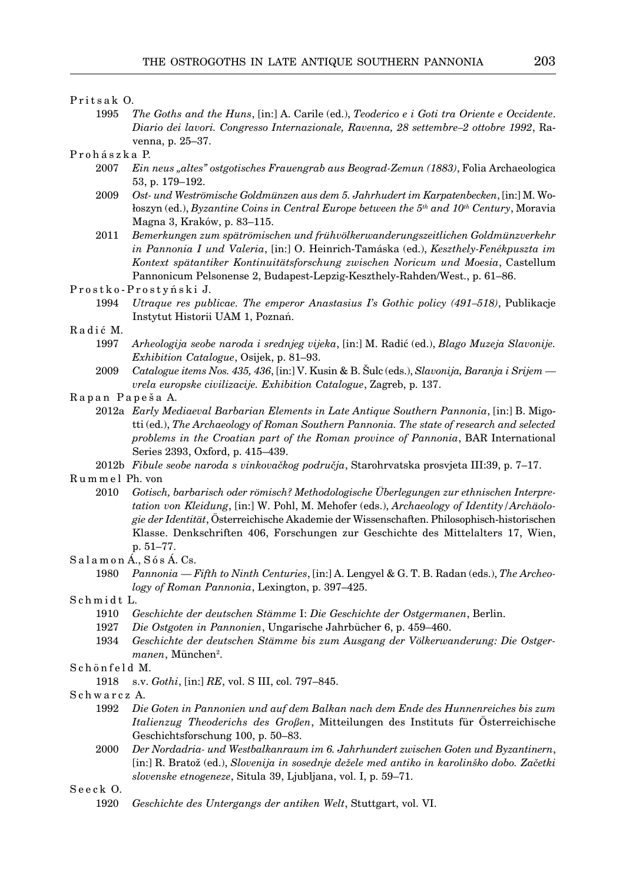#### Pritsak O.

1995 *The Goths and the Huns*, [in:] A. Carile (ed.), *Teoderico e i Goti tra Oriente e Occidente*. *Diario dei lavori. Congresso Internazionale, Ravenna, 28 settembre–2 ottobre 1992*, Ravenna, p. 25–37.

# P r o h á s z k a P.

- 2007 *Ein neus "altes" ostgotisches Frauengrab aus Beograd-Zemun (1883)*, Folia Archaeologica 53, p. 179–192.
- 2009 *Ost- und Weströmische Goldmünzen aus dem 5. Jahrhudert im Karpatenbecken*, [in:] M. Wołoszyn (ed.), *Byzantine Coins in Central Europe between the 5th and 10th Century*, Moravia Magna 3, Kraków, p. 83–115.
- 2011 *Bemerkungen zum spätrömischen und frühvölkerwanderungszeitlichen Goldmünzverkehr in Pannonia I und Valeria*, [in:] O. Heinrich-Tamáska (ed.), *Keszthely-Fenékpuszta im Kontext spätantiker Kontinuitätsforschung zwischen Noricum und Moesia*, Castellum Pannonicum Pelsonense 2, Budapest-Lepzig-Keszthely-Rahden/West., p. 61–86.
- Prostko-Prostyński J.
	- 1994 *Utraque res publicae. The emperor Anastasius I's Gothic policy (491–518)*, Publikacje Instytut Historii UAM 1, Poznań.

# Radić M.

- 1997 *Arheologija seobe naroda i srednjeg vijeka*, [in:] M. Radić (ed.), *Blago Muzeja Slavonije. Exhibition Catalogue*, Osijek, p. 81–93.
- 2009 *Catalogue items nos. 435, 436*, [in:] V. Kusin & B. Šulc (eds.), *Slavonija, Baranja i Srijem vrela europske civilizacije. Exhibition Catalogue*, Zagreb, p. 137.

## Rapan Papeša A.

- 2012a *Early Mediaeval Barbarian Elements in Late Antique Southern Pannonia*, [in:] B. Migotti (ed.), *The Archaeology of Roman Southern Pannonia. The state of research and selected problems in the Croatian part of the Roman province of Pannonia*, BAR International Series 2393, Oxford, p. 415–439.
- 2012b *Fibule seobe naroda s vinkovačkog područja*, Starohrvatska prosvjeta III:39, p. 7–17.

#### R u m m e l Ph. von

2010 *Gotisch, barbarisch oder römisch? Methodologische Überlegungen zur ethnischen Interpre tation von Kleidung*, [in:] W. Pohl, M. Mehofer (eds.), *Archaeology of Identity/Archäologie der Identität*, Österreichische Akademie der Wissenschaften. Philosophisch-historischen Klasse. Denkschriften 406, Forschungen zur Geschichte des Mittelalters 17, Wien, p. 51–77.

S a l a m o n Á., S ó s Á. Cs.

- 1980 *Pannonia Fifth to Ninth Centuries*, [in:] A. Lengyel & G. T. B. Radan (eds.), *The Archeo logy of Roman Pannonia*, Lexington, p. 397–425.
- Schmidt L.
	- 1910 *Geschichte der deutschen Stämme* I: *Die Geschichte der Ostgermanen*, Berlin.
	- 1927 *Die Ostgoten in Pannonien*, Ungarische Jahrbücher 6, p. 459–460.
- 1934 *Geschichte der deutschen Stämme bis zum Ausgang der Völkerwanderung: Die Ostger* manen, München<sup>2</sup>.
- Schönfeld M.
	- 1918 s.v. *Gothi*, [in:] *RE*, vol. S III, col. 797–845.
- S c h w a r c z A.
	- 1992 *Die Goten in Pannonien und auf dem Balkan nach dem Ende des Hunnenreiches bis zum Italienzug Theoderichs des Großen*, Mitteilungen des Instituts für Österreichische Geschichtsforschung 100, p. 50–83.
	- 2000 *Der Nordadria- und Westbalkanraum im 6. Jahrhundert zwischen Goten und Byzantinern*, [in:] R. Bratož (ed.), *Slovenija in sosednje dežele med antiko in karolinško dobo. Začetki slovenske etnogeneze*, Situla 39, Ljubljana, vol. I, p. 59–71.

Seeck O.

1920 *Geschichte des Untergangs der antiken Welt*, Stuttgart, vol. VI.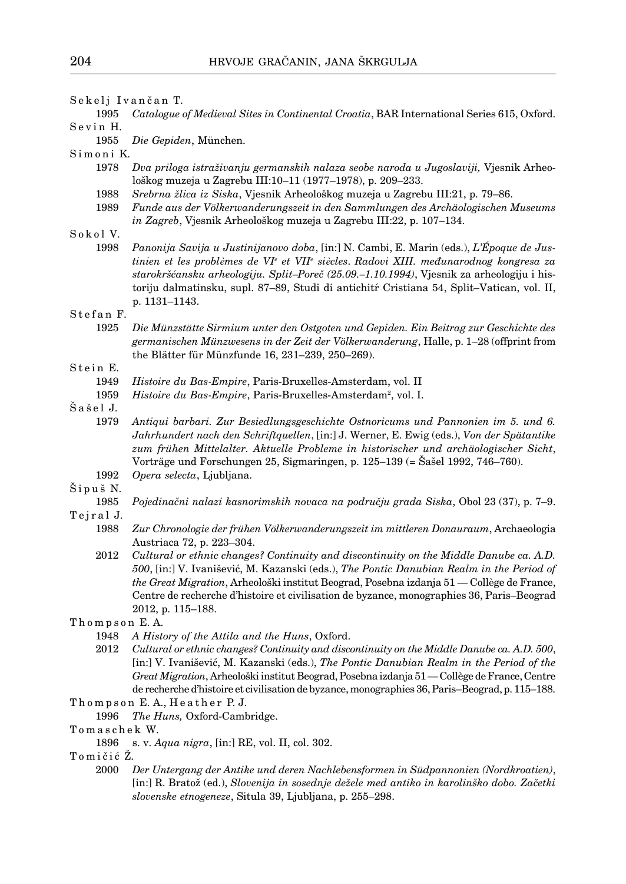Sekelj Ivančan T.

1995 *Catalogue of Medieval Sites in Continental Croatia*, BAR International Series 615, Oxford. Sevin H.

1955 *Die Gepiden*, München.

Simoni K.

- 1978 *Dva priloga istraživanju germanskih nalaza seobe naroda u Jugoslaviji,* Vjesnik Arheološkog muzeja u Zagrebu III:10–11 (1977–1978), p. 209–233.
- 1988 *Srebrna žlica iz Siska*, Vjesnik Arheološkog muzeja u Zagrebu III:21, p. 79–86.
- 1989 *Funde aus der Völkerwanderungszeit in den Sammlungen des Archäologischen Museums in Zagreb*, Vjesnik Arheološkog muzeja u Zagrebu III:22, p. 107–134.
- Sokol V.
- 1998 *Panonija Savija u Justinijanovo doba*, [in:] N. Cambi, E. Marin (eds.), *L'Époque de Jus tinien et les problèmes de VIe et VIIe siècles*. *Radovi XIII. međunarodnog kongresa za starokršćansku arheologiju. Split–Poreč (25.09.–1.10.1994)*, Vjesnik za arheologiju i historiju dalmatinsku, supl. 87–89, Studi di antichità Cristiana 54, Split–Vatican, vol. II, p. 1131–1143.

## Stefan F.

1925 *Die Münzstätte Sirmium unter den Ostgoten und Gepiden. Ein Beitrag zur Geschichte des germanischen Münzwesens in der Zeit der Völkerwanderung*, Halle, p. 1–28 (offprint from the Blätter für Münzfunde 16, 231–239, 250–269).

# Stein E.

- 1949 *Histoire du Bas-Empire*, Paris-Bruxelles-Amsterdam, vol. II
- 1959 Histoire du Bas-Empire, Paris-Bruxelles-Amsterdam<sup>2</sup>, vol. I.
- Šašel J.
	- 1979 *Antiqui barbari. Zur Besiedlungsgeschichte Ostnoricums und Pannonien im 5. und 6. Jahrhundert nach den Schriftquellen*, [in:] J. Werner, E. Ewig (eds.), *Von der Spätantike zum frühen Mittelalter. Aktuelle Probleme in historischer und archäologischer Sicht*, Vorträge und Forschungen 25, Sigmaringen, p. 125–139 (= Šašel 1992, 746–760).
	- 1992 *Opera selecta*, Ljubljana.

#### Šipuš N.

- 1985 *Pojedinačni nalazi kasnorimskih novaca na području grada Siska*, Obol 23 (37), p. 7–9.
- Teiral J.
	- 1988 *Zur Chronologie der frühen Völkerwanderungszeit im mittleren Donauraum*, Archaeologia Austriaca 72, p. 223–304.
	- 2012 *Cultural or ethnic changes? Continuity and discontinuity on the Middle Danube ca. A.D. 500*, [in:] V. Ivanišević, M. Kazanski (eds.), *The Pontic Danubian Realm in the Period of the Great Migration*, Arheološki institut Beograd, Posebna izdanja 51 — Collège de France, Centre de recherche d'histoire et civilisation de byzance, monographies 36, Paris–Beograd 2012, p. 115–188.

## Thompson E. A.

- 1948 *A History of the Attila and the Huns*, Oxford.
- 2012 *Cultural or ethnic changes? Continuity and discontinuity on the Middle Danube ca. A.D. 500*, [in:] V. Ivanišević, M. Kazanski (eds.), *The Pontic Danubian Realm in the Period of the Great Migration*, Arheološki institut Beograd, Posebna izdanja 51 — Collège de France, Centre de recherche d'histoire et civilisation de byzance, monographies 36, Paris–Beograd, p. 115–188. Thompson E.A., Heather P.J.
- 1996 *The Huns,* Oxford-Cambridge.

T o m a s c h e k W.

- 1896 s. v. *Aqua nigra*, [in:] RE, vol. II, col. 302.
- Tomičić Z.
	- 2000 *Der Untergang der Antike und deren Nachlebensformen in Südpannonien (Nordkroatien)*, [in:] R. Bratož (ed.), *Slovenija in sosednje dežele med antiko in karolinško dobo. Začetki slovenske etnogeneze*, Situla 39, Ljubljana, p. 255–298.